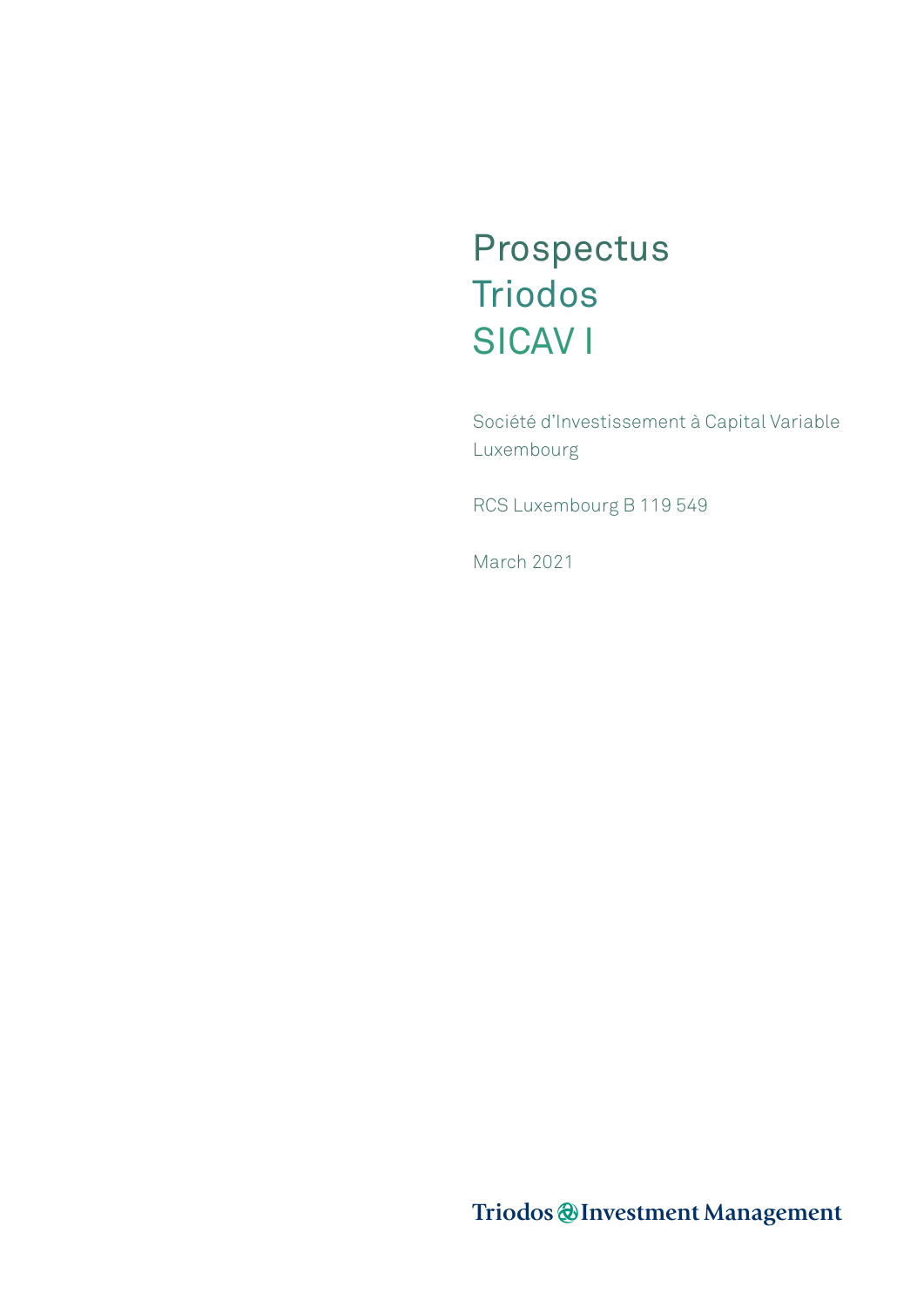# Prospectus Triodos SICAV I

Société d'Investissement à Capital Variable Luxembourg

RCS Luxembourg B 119 549

March 2021

Triodos @Investment Management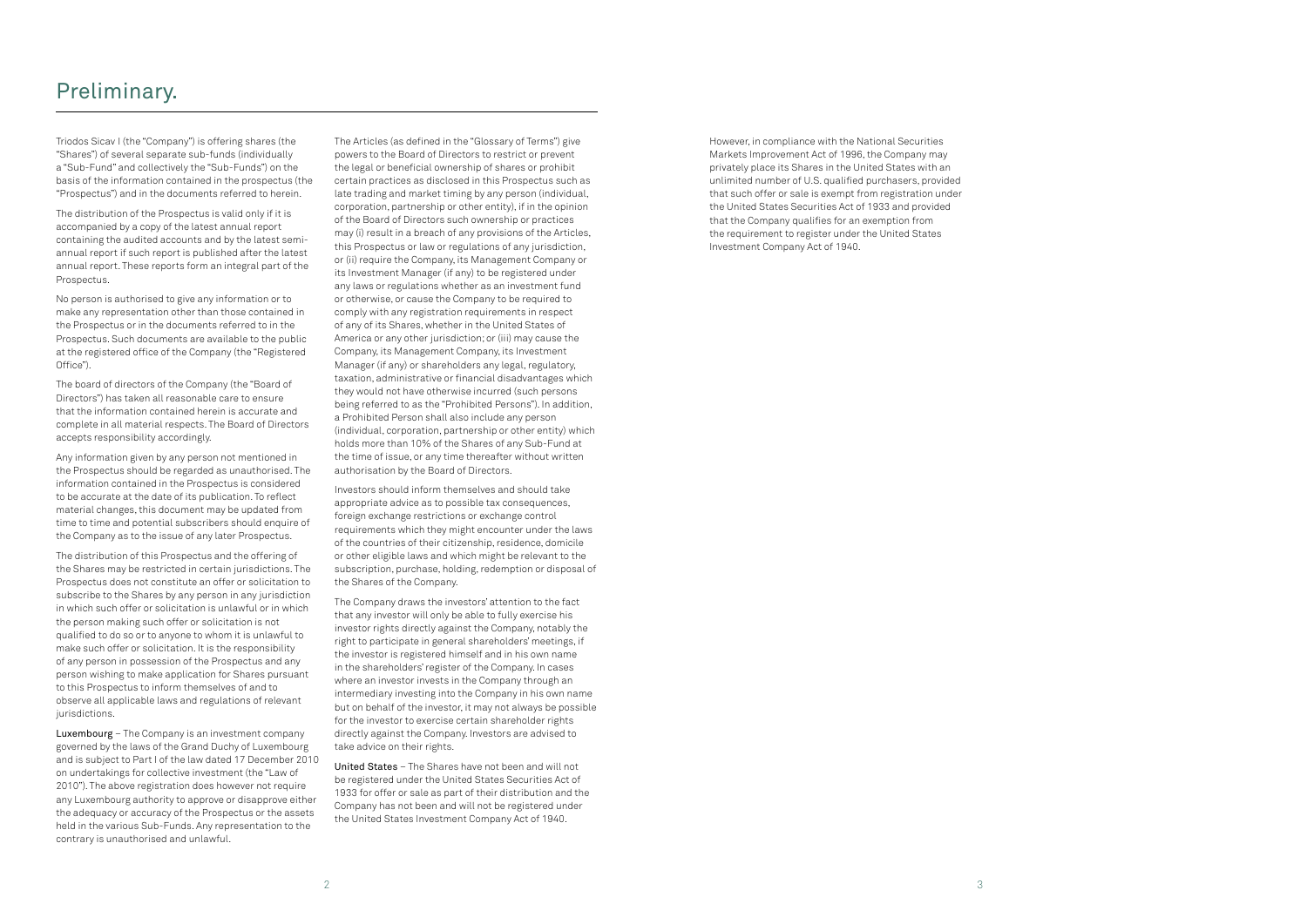Triodos Sicav I (the "Company") is offering shares (the "Shares") of several separate sub-funds (individually a "Sub-Fund" and collectively the "Sub-Funds") on the basis of the information contained in the prospectus (the "Prospectus") and in the documents referred to herein.

The distribution of the Prospectus is valid only if it is accompanied by a copy of the latest annual report containing the audited accounts and by the latest semiannual report if such report is published after the latest annual report. These reports form an integral part of the Prospectus.

No person is authorised to give any information or to make any representation other than those contained in the Prospectus or in the documents referred to in the Prospectus. Such documents are available to the public at the registered office of the Company (the "Registered Office").

The board of directors of the Company (the "Board of Directors") has taken all reasonable care to ensure that the information contained herein is accurate and complete in all material respects. The Board of Directors accepts responsibility accordingly.

Any information given by any person not mentioned in the Prospectus should be regarded as unauthorised. The information contained in the Prospectus is considered to be accurate at the date of its publication. To reflect material changes, this document may be updated from time to time and potential subscribers should enquire of the Company as to the issue of any later Prospectus.

The distribution of this Prospectus and the offering of the Shares may be restricted in certain jurisdictions. The Prospectus does not constitute an offer or solicitation to subscribe to the Shares by any person in any jurisdiction in which such offer or solicitation is unlawful or in which the person making such offer or solicitation is not qualified to do so or to anyone to whom it is unlawful to make such offer or solicitation. It is the responsibility of any person in possession of the Prospectus and any person wishing to make application for Shares pursuant to this Prospectus to inform themselves of and to observe all applicable laws and regulations of relevant jurisdictions.

Luxembourg – The Company is an investment company governed by the laws of the Grand Duchy of Luxembourg and is subject to Part I of the law dated 17 December 2010 on undertakings for collective investment (the "Law of 2010"). The above registration does however not require any Luxembourg authority to approve or disapprove either the adequacy or accuracy of the Prospectus or the assets held in the various Sub-Funds. Any representation to the contrary is unauthorised and unlawful.

The Articles (as defined in the "Glossary of Terms") give powers to the Board of Directors to restrict or prevent the legal or beneficial ownership of shares or prohibit certain practices as disclosed in this Prospectus such as late trading and market timing by any person (individual, corporation, partnership or other entity), if in the opinion of the Board of Directors such ownership or practices may (i) result in a breach of any provisions of the Articles, this Prospectus or law or regulations of any jurisdiction, or (ii) require the Company, its Management Company or its Investment Manager (if any) to be registered under any laws or regulations whether as an investment fund or otherwise, or cause the Company to be required to comply with any registration requirements in respect of any of its Shares, whether in the United States of America or any other jurisdiction; or (iii) may cause the Company, its Management Company, its Investment Manager (if any) or shareholders any legal, regulatory, taxation, administrative or financial disadvantages which they would not have otherwise incurred (such persons being referred to as the "Prohibited Persons"). In addition, a Prohibited Person shall also include any person (individual, corporation, partnership or other entity) which holds more than 10% of the Shares of any Sub-Fund at the time of issue, or any time thereafter without written authorisation by the Board of Directors.

Investors should inform themselves and should take appropriate advice as to possible tax consequences, foreign exchange restrictions or exchange control requirements which they might encounter under the laws of the countries of their citizenship, residence, domicile or other eligible laws and which might be relevant to the subscription, purchase, holding, redemption or disposal of the Shares of the Company.

The Company draws the investors' attention to the fact that any investor will only be able to fully exercise his investor rights directly against the Company, notably the right to participate in general shareholders' meetings, if the investor is registered himself and in his own name in the shareholders' register of the Company. In cases where an investor invests in the Company through an intermediary investing into the Company in his own name but on behalf of the investor, it may not always be possible for the investor to exercise certain shareholder rights directly against the Company. Investors are advised to take advice on their rights.

United States – The Shares have not been and will not be registered under the United States Securities Act of 1933 for offer or sale as part of their distribution and the Company has not been and will not be registered under the United States Investment Company Act of 1940.

However, in compliance with the National Securities Markets Improvement Act of 1996, the Company may privately place its Shares in the United States with an unlimited number of U.S. qualified purchasers, provided that such offer or sale is exempt from registration under the United States Securities Act of 1933 and provided that the Company qualifies for an exemption from the requirement to register under the United States Investment Company Act of 1940.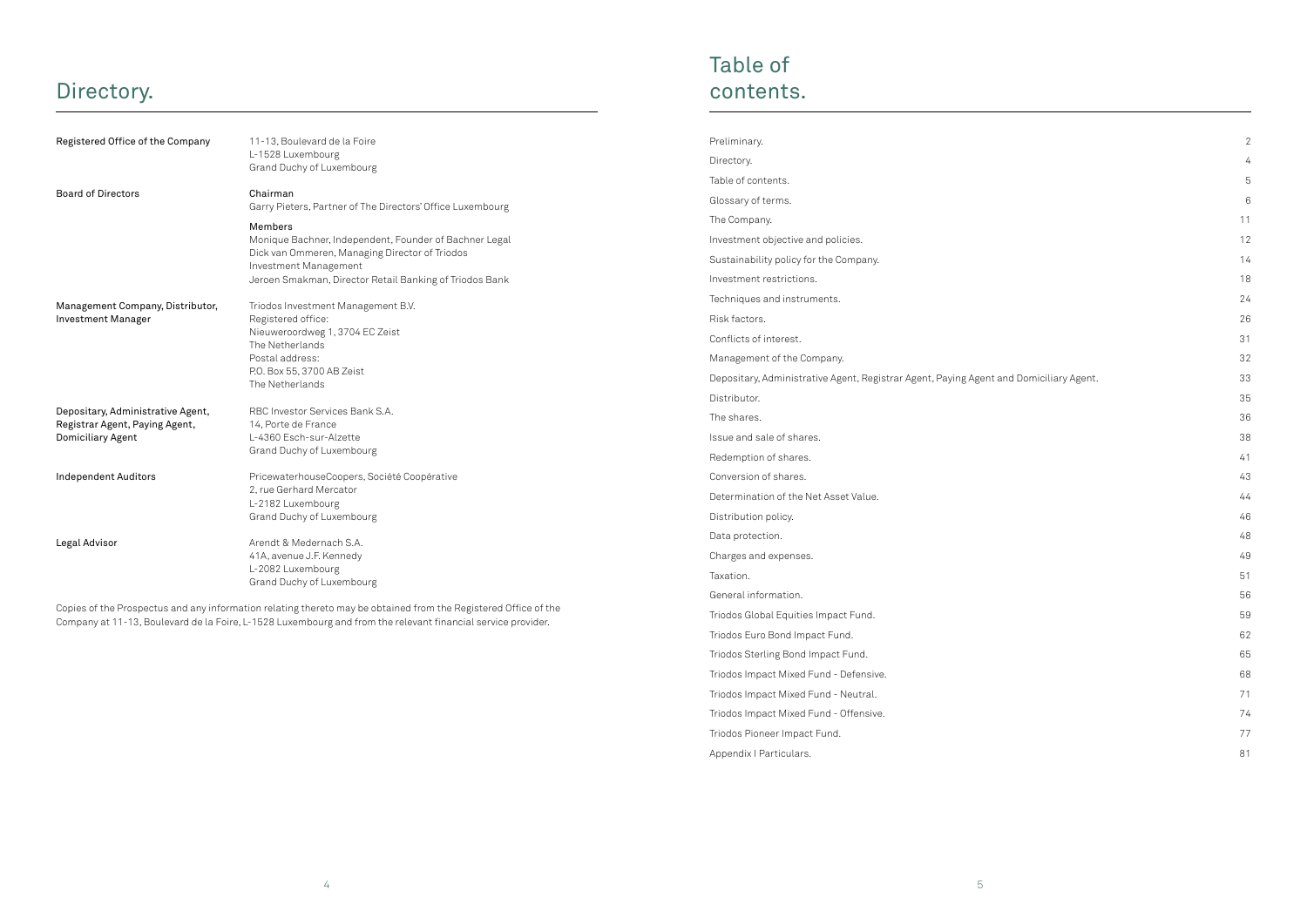## Directory.

| Registered Office of the Company                                                         | 11-13, Boulevard de la Foire<br>L-1528 Luxembourg<br>Grand Duchy of Luxembourg                                                                                                                          |
|------------------------------------------------------------------------------------------|---------------------------------------------------------------------------------------------------------------------------------------------------------------------------------------------------------|
| <b>Board of Directors</b>                                                                | Chairman<br>Garry Pieters, Partner of The Directors' Office Luxembourg                                                                                                                                  |
|                                                                                          | Members<br>Monique Bachner, Independent, Founder of Bachner Legal<br>Dick van Ommeren, Managing Director of Triodos<br>Investment Management<br>Jeroen Smakman, Director Retail Banking of Triodos Bank |
| Management Company, Distributor,<br><b>Investment Manager</b>                            | Triodos Investment Management B.V.<br>Registered office:<br>Nieuweroordweg 1, 3704 EC Zeist<br>The Netherlands<br>Postal address:<br>P.O. Box 55, 3700 AB Zeist<br>The Netherlands                      |
| Depositary, Administrative Agent,<br>Registrar Agent, Paying Agent,<br>Domiciliary Agent | RBC Investor Services Bank S.A.<br>14, Porte de France<br>L-4360 Esch-sur-Alzette<br>Grand Duchy of Luxembourg                                                                                          |
| <b>Independent Auditors</b>                                                              | PricewaterhouseCoopers, Société Coopérative<br>2, rue Gerhard Mercator<br>L-2182 Luxembourg<br>Grand Duchy of Luxembourg                                                                                |
| Legal Advisor                                                                            | Arendt & Medernach S.A.<br>41A, avenue J.F. Kennedy<br>L-2082 Luxembourg<br>Grand Duchy of Luxembourg                                                                                                   |

Copies of the Prospectus and any information relating thereto may be obtained from the Registered Office of the Company at 11-13, Boulevard de la Foire, L-1528 Luxembourg and from the relevant financial service provider.

| Preliminary.                                                                           | $\overline{2}$ |
|----------------------------------------------------------------------------------------|----------------|
| Directory.                                                                             | 4              |
| Table of contents.                                                                     | 5              |
| Glossary of terms.                                                                     | 6              |
| The Company.                                                                           | 11             |
| Investment objective and policies.                                                     | 12             |
| Sustainability policy for the Company.                                                 | 14             |
| Investment restrictions.                                                               | 18             |
| Techniques and instruments.                                                            | 24             |
| Risk factors.                                                                          | 26             |
| Conflicts of interest.                                                                 | 31             |
| Management of the Company.                                                             | 32             |
| Depositary, Administrative Agent, Registrar Agent, Paying Agent and Domiciliary Agent. | 33             |
| Distributor.                                                                           | 35             |
| The shares.                                                                            | 36             |
| Issue and sale of shares.                                                              | 38             |
| Redemption of shares.                                                                  | 41             |
| Conversion of shares.                                                                  | 43             |
| Determination of the Net Asset Value.                                                  | 44             |
| Distribution policy.                                                                   | 46             |
| Data protection.                                                                       | 48             |
| Charges and expenses.                                                                  | 49             |
| Taxation.                                                                              | 51             |
| General information.                                                                   | 56             |
| Triodos Global Equities Impact Fund.                                                   | 59             |
| Triodos Euro Bond Impact Fund.                                                         | 62             |
| Triodos Sterling Bond Impact Fund.                                                     | 65             |
| Triodos Impact Mixed Fund - Defensive.                                                 | 68             |
| Triodos Impact Mixed Fund - Neutral.                                                   | 71             |
| Triodos Impact Mixed Fund - Offensive.                                                 | 74             |
| Triodos Pioneer Impact Fund.                                                           | 77             |
| Appendix I Particulars.                                                                | 81             |
|                                                                                        |                |

|                                         | $\overline{c}$ |
|-----------------------------------------|----------------|
|                                         | $\overline{4}$ |
|                                         | 5              |
|                                         | $\overline{6}$ |
|                                         | 11             |
|                                         | 12             |
|                                         | 14             |
|                                         | 18             |
|                                         | 24             |
|                                         | 26             |
|                                         | 31             |
|                                         | 32             |
| nt and Domiciliary Agent <mark>.</mark> | 33             |
|                                         | 35             |
|                                         | 36             |
|                                         | 38             |
|                                         | 41             |
|                                         | 43             |
|                                         | 44             |
|                                         | 46             |
|                                         | 48             |
|                                         | 49             |
|                                         | 51             |
|                                         | 56             |
|                                         | 59             |
|                                         | 62             |
|                                         | 65             |
|                                         | 68             |
|                                         | 71             |
|                                         | 74             |
|                                         | 77             |
|                                         | 81             |
|                                         |                |
|                                         |                |

# Table of contents.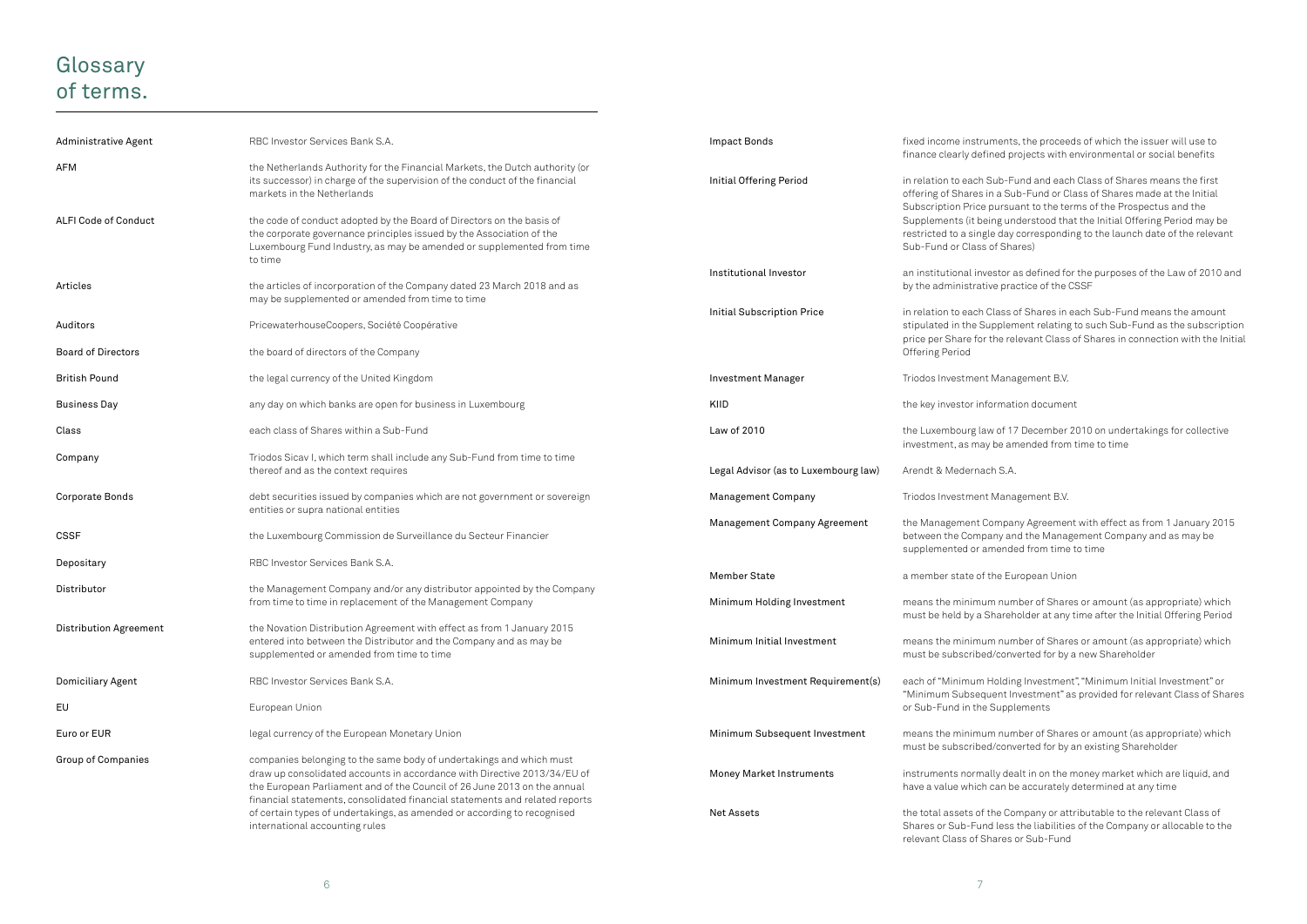## **Glossary** of terms.

| Administrative Agent          | RBC Investor Services Bank S.A.                                                                                                                                                                                                                                                                            | Impact Bonds                         | fixed income instruments<br>finance clearly defined pi                                                         |
|-------------------------------|------------------------------------------------------------------------------------------------------------------------------------------------------------------------------------------------------------------------------------------------------------------------------------------------------------|--------------------------------------|----------------------------------------------------------------------------------------------------------------|
| AFM                           | the Netherlands Authority for the Financial Markets, the Dutch authority (or<br>its successor) in charge of the supervision of the conduct of the financial<br>markets in the Netherlands                                                                                                                  | Initial Offering Period              | in relation to each Sub-F<br>offering of Shares in a Su                                                        |
| <b>ALFI Code of Conduct</b>   | the code of conduct adopted by the Board of Directors on the basis of<br>the corporate governance principles issued by the Association of the<br>Luxembourg Fund Industry, as may be amended or supplemented from time<br>to time                                                                          |                                      | Subscription Price pursu<br>Supplements (it being un<br>restricted to a single day<br>Sub-Fund or Class of Sha |
| Articles                      | the articles of incorporation of the Company dated 23 March 2018 and as<br>may be supplemented or amended from time to time                                                                                                                                                                                | Institutional Investor               | an institutional investor a<br>by the administrative pra                                                       |
| Auditors                      | PricewaterhouseCoopers, Société Coopérative                                                                                                                                                                                                                                                                | <b>Initial Subscription Price</b>    | in relation to each Class<br>stipulated in the Supplen                                                         |
| <b>Board of Directors</b>     | the board of directors of the Company                                                                                                                                                                                                                                                                      |                                      | price per Share for the re<br>Offering Period                                                                  |
| <b>British Pound</b>          | the legal currency of the United Kingdom                                                                                                                                                                                                                                                                   | <b>Investment Manager</b>            | Triodos Investment Mana                                                                                        |
| <b>Business Day</b>           | any day on which banks are open for business in Luxembourg                                                                                                                                                                                                                                                 | KIID                                 | the key investor informat                                                                                      |
| Class                         | each class of Shares within a Sub-Fund                                                                                                                                                                                                                                                                     | Law of 2010                          | the Luxembourg law of 17<br>investment, as may be an                                                           |
| Company                       | Triodos Sicav I, which term shall include any Sub-Fund from time to time<br>thereof and as the context requires                                                                                                                                                                                            | Legal Advisor (as to Luxembourg law) | Arendt & Medernach S.A.                                                                                        |
| Corporate Bonds               | debt securities issued by companies which are not government or sovereign<br>entities or supra national entities                                                                                                                                                                                           | <b>Management Company</b>            | Triodos Investment Mana                                                                                        |
| <b>CSSF</b>                   | the Luxembourg Commission de Surveillance du Secteur Financier                                                                                                                                                                                                                                             | <b>Management Company Agreement</b>  | the Management Compar<br>between the Company an<br>supplemented or amende                                      |
| Depositary                    | RBC Investor Services Bank S.A.                                                                                                                                                                                                                                                                            | <b>Member State</b>                  | a member state of the Eu                                                                                       |
| Distributor                   | the Management Company and/or any distributor appointed by the Company<br>from time to time in replacement of the Management Company                                                                                                                                                                       | Minimum Holding Investment           | means the minimum num<br>must be held by a Shareh                                                              |
| <b>Distribution Agreement</b> | the Novation Distribution Agreement with effect as from 1 January 2015<br>entered into between the Distributor and the Company and as may be<br>supplemented or amended from time to time                                                                                                                  | Minimum Initial Investment           | means the minimum num<br>must be subscribed/conv                                                               |
| Domiciliary Agent             | RBC Investor Services Bank S.A.                                                                                                                                                                                                                                                                            | Minimum Investment Requirement(s)    | each of "Minimum Holdin                                                                                        |
| EU                            | European Union                                                                                                                                                                                                                                                                                             |                                      | "Minimum Subsequent In<br>or Sub-Fund in the Suppl                                                             |
| Euro or EUR                   | legal currency of the European Monetary Union                                                                                                                                                                                                                                                              | Minimum Subsequent Investment        | means the minimum num<br>must be subscribed/conv                                                               |
| <b>Group of Companies</b>     | companies belonging to the same body of undertakings and which must<br>draw up consolidated accounts in accordance with Directive 2013/34/EU of<br>the European Parliament and of the Council of 26 June 2013 on the annual<br>financial statements, consolidated financial statements and related reports | <b>Money Market Instruments</b>      | instruments normally dea<br>have a value which can be                                                          |
|                               | of certain types of undertakings, as amended or according to recognised<br>international accounting rules                                                                                                                                                                                                  | Net Assets                           | the total assets of the Co<br>Shares or Sub-Fund less<br>nt Class of Charge.                                   |

iments, the proceeds of which the issuer will use to ined projects with environmental or social benefits

Sub-Fund and each Class of Shares means the first in a Sub-Fund or Class of Shares made at the Initial pursuant to the terms of the Prospectus and the eing understood that the Initial Offering Period may be le day corresponding to the launch date of the relevant of Shares)

restor as defined for the purposes of the Law of 2010 and ive practice of the CSSF

Class of Shares in each Sub-Fund means the amount upplement relating to such Sub-Fund as the subscription the relevant Class of Shares in connection with the Initial

Management B.V.

formation document

Iw of 17 December 2010 on undertakings for collective y be amended from time to time

Management B.V.

Company Agreement with effect as from 1 January 2015 any and the Management Company and as may be supplemented from time to time

the European Union

m number of Shares or amount (as appropriate) which Shareholder at any time after the Initial Offering Period

m number of Shares or amount (as appropriate) which d/converted for by a new Shareholder

Holding Investment". "Minimum Initial Investment" or uent Investment" as provided for relevant Class of Shares **Supplements** 

m number of Shares or amount (as appropriate) which d/converted for by an existing Shareholder

ally dealt in on the money market which are liquid, and  $\alpha$  can be accurately determined at any time

the Company or attributable to the relevant Class of od less the liabilities of the Company or allocable to the relevant Class of Shares or Sub-Fund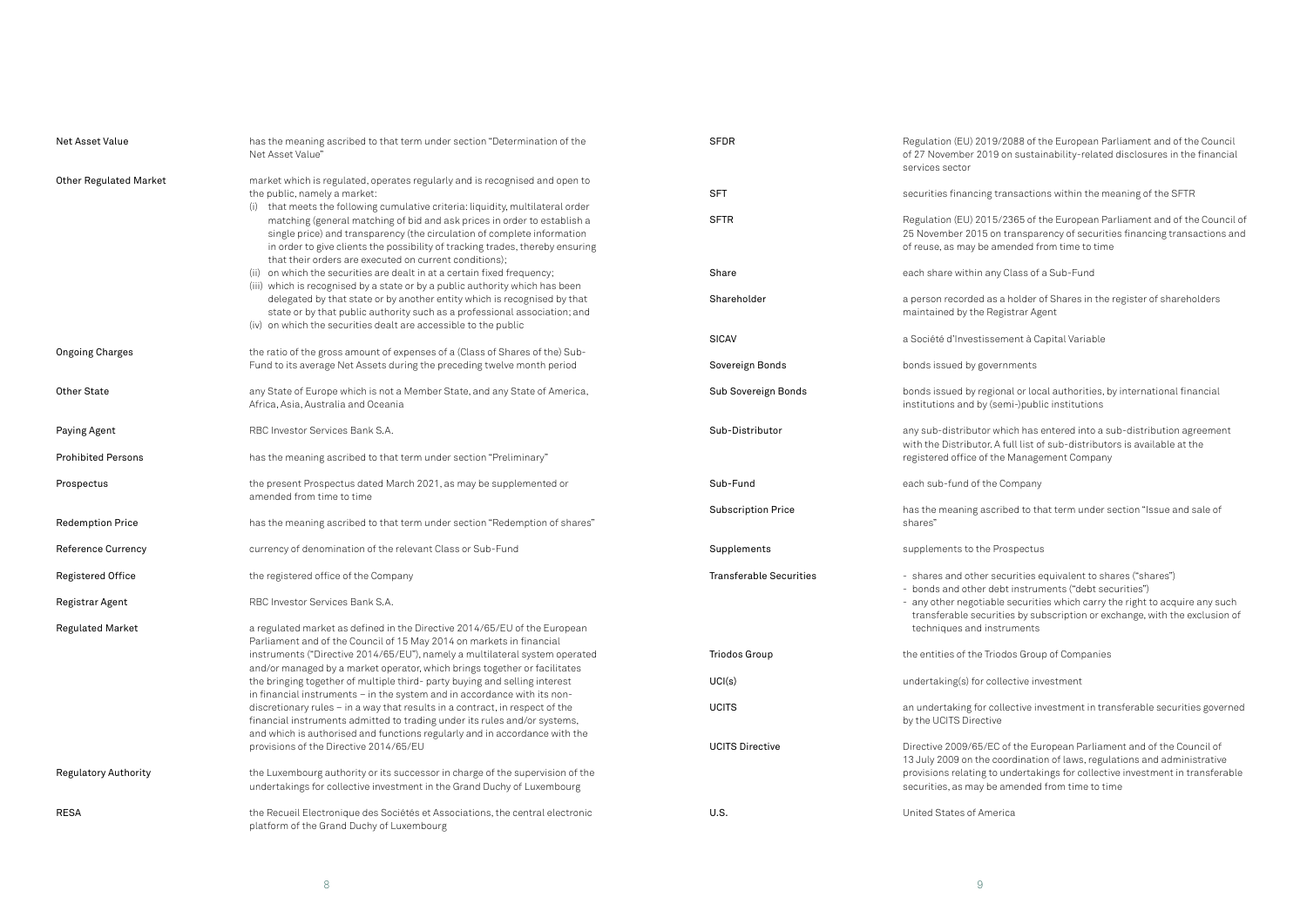2019/2088 of the European Parliament and of the Council 2019 on sustainability-related disclosures in the financial

ing transactions within the meaning of the SFTR

2015/2365 of the European Parliament and of the Council of 15 on transparency of securities financing transactions and be amended from time to time

in any Class of a Sub-Fund

ed as a holder of Shares in the register of shareholders ne Registrar Agent

tissement à Capital Variable

governments

regional or local authorities, by international financial by (semi-)public institutions

tor which has entered into a sub-distribution agreement tor. A full list of sub-distributors is available at the of the Management Company

f the Company

ascribed to that term under section "Issue and sale of

the Prospectus

her securities equivalent to shares ("shares") er debt instruments ("debt securities") otiable securities which carry the right to acquire any such ecurities by subscription or exchange, with the exclusion of id instruments

ne Triodos Group of Companies

 $\overline{\rm E}$ or collective investment

for collective investment in transferable securities governed ective

 $65$ /EC of the European Parliament and of the Council of he coordination of laws, regulations and administrative ng to undertakings for collective investment in transferable ay be amended from time to time

America

| Net Asset Value               | has the meaning ascribed to that term under section "Determination of the<br>Net Asset Value"                                                                                                                                                                                                  | <b>SFDR</b>                    | Regulation (EU) 2<br>of 27 November 2<br>services sector   |
|-------------------------------|------------------------------------------------------------------------------------------------------------------------------------------------------------------------------------------------------------------------------------------------------------------------------------------------|--------------------------------|------------------------------------------------------------|
| <b>Other Regulated Market</b> | market which is regulated, operates regularly and is recognised and open to<br>the public, namely a market:<br>(i) that meets the following cumulative criteria: liquidity, multilateral order                                                                                                 | <b>SFT</b>                     | securities financ                                          |
|                               | matching (general matching of bid and ask prices in order to establish a<br>single price) and transparency (the circulation of complete information<br>in order to give clients the possibility of tracking trades, thereby ensuring<br>that their orders are executed on current conditions); | <b>SFTR</b>                    | Regulation (EU) 2<br>25 November 201<br>of reuse, as may I |
|                               | (ii) on which the securities are dealt in at a certain fixed frequency;<br>(iii) which is recognised by a state or by a public authority which has been                                                                                                                                        | Share                          | each share withir                                          |
|                               | delegated by that state or by another entity which is recognised by that<br>state or by that public authority such as a professional association; and<br>(iv) on which the securities dealt are accessible to the public                                                                       | Shareholder                    | a person recorde<br>maintained by th                       |
|                               |                                                                                                                                                                                                                                                                                                | SICAV                          | a Société d'Inves                                          |
| <b>Ongoing Charges</b>        | the ratio of the gross amount of expenses of a (Class of Shares of the) Sub-<br>Fund to its average Net Assets during the preceding twelve month period                                                                                                                                        | Sovereign Bonds                | bonds issued by                                            |
| <b>Other State</b>            | any State of Europe which is not a Member State, and any State of America,<br>Africa, Asia, Australia and Oceania                                                                                                                                                                              | Sub Sovereign Bonds            | bonds issued by<br>institutions and k                      |
| Paying Agent                  | RBC Investor Services Bank S.A.                                                                                                                                                                                                                                                                | Sub-Distributor                | any sub-distribut<br>with the Distribut                    |
| <b>Prohibited Persons</b>     | has the meaning ascribed to that term under section "Preliminary"                                                                                                                                                                                                                              |                                | registered office                                          |
| Prospectus                    | the present Prospectus dated March 2021, as may be supplemented or<br>amended from time to time                                                                                                                                                                                                | Sub-Fund                       | each sub-fund of                                           |
| <b>Redemption Price</b>       | has the meaning ascribed to that term under section "Redemption of shares"                                                                                                                                                                                                                     | <b>Subscription Price</b>      | has the meaning<br>shares"                                 |
| <b>Reference Currency</b>     | currency of denomination of the relevant Class or Sub-Fund                                                                                                                                                                                                                                     | Supplements                    | supplements to t                                           |
| <b>Registered Office</b>      | the registered office of the Company                                                                                                                                                                                                                                                           | <b>Transferable Securities</b> | - shares and oth<br>- bonds and othe                       |
| Registrar Agent               | RBC Investor Services Bank S.A.                                                                                                                                                                                                                                                                |                                | - any other nego<br>transferable se                        |
| <b>Regulated Market</b>       | a regulated market as defined in the Directive 2014/65/EU of the European<br>Parliament and of the Council of 15 May 2014 on markets in financial                                                                                                                                              |                                | techniques and                                             |
|                               | instruments ("Directive 2014/65/EU"), namely a multilateral system operated<br>and/or managed by a market operator, which brings together or facilitates                                                                                                                                       | <b>Triodos Group</b>           | the entities of the                                        |
|                               | the bringing together of multiple third- party buying and selling interest<br>in financial instruments - in the system and in accordance with its non-                                                                                                                                         | UCI(s)                         | undertaking(s) fo                                          |
|                               | discretionary rules - in a way that results in a contract, in respect of the<br>financial instruments admitted to trading under its rules and/or systems,<br>and which is authorised and functions regularly and in accordance with the                                                        | <b>UCITS</b>                   | an undertaking fo<br>by the UCITS Dire                     |
|                               | provisions of the Directive 2014/65/EU                                                                                                                                                                                                                                                         | <b>UCITS Directive</b>         | Directive 2009/6<br>13 July 2009 on t                      |
| <b>Regulatory Authority</b>   | the Luxembourg authority or its successor in charge of the supervision of the<br>undertakings for collective investment in the Grand Duchy of Luxembourg                                                                                                                                       |                                | provisions relatir<br>securities, as ma                    |
| <b>RESA</b>                   | the Recueil Electronique des Sociétés et Associations, the central electronic<br>platform of the Grand Duchy of Luxembourg                                                                                                                                                                     | U.S.                           | United States of                                           |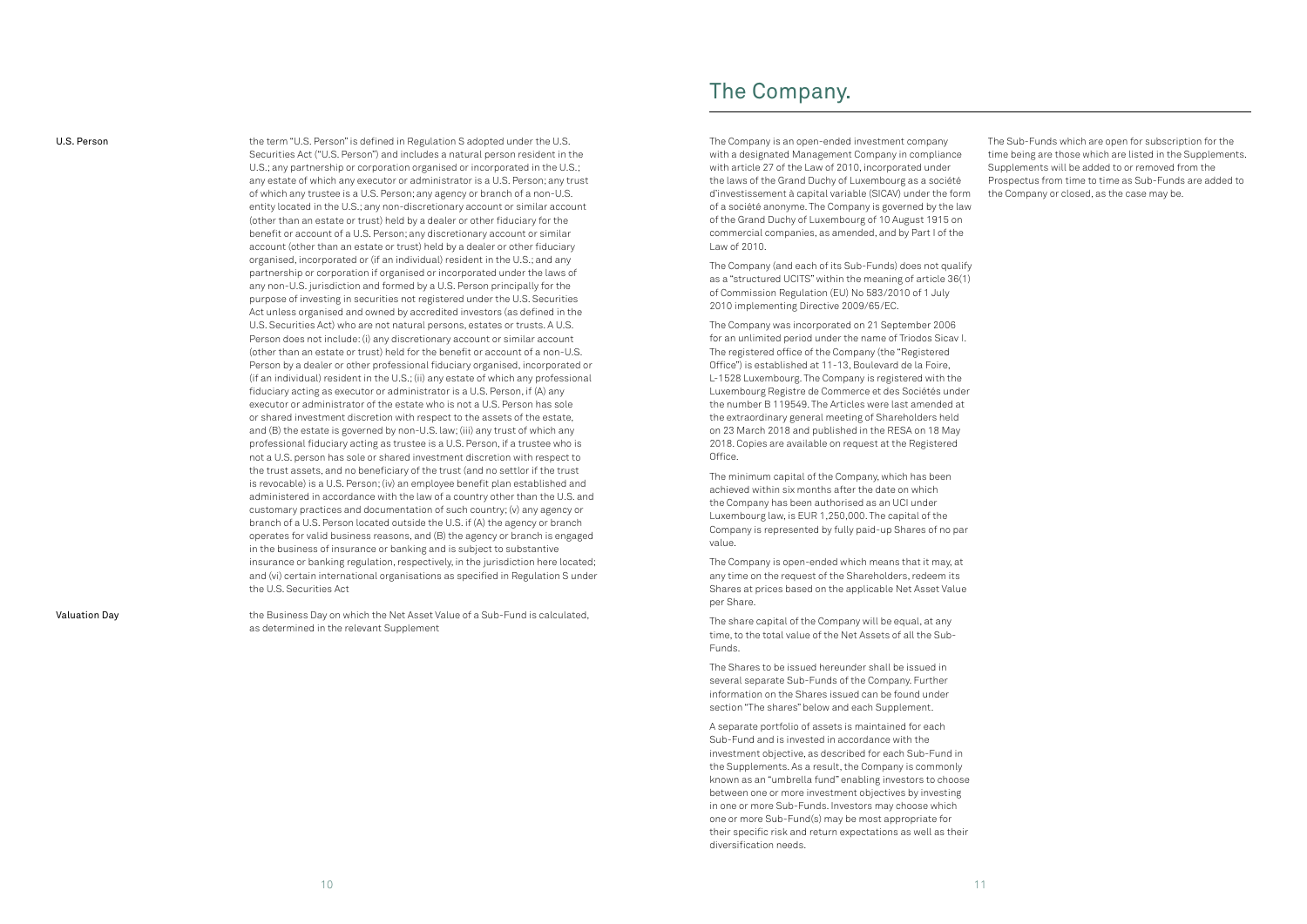U.S. Person **U.S. Person** the term "U.S. Person" is defined in Regulation S adopted under the U.S. Securities Act ("U.S. Person") and includes a natural person resident in the U.S.; any partnership or corporation organised or incorporated in the U.S.; any estate of which any executor or administrator is a U.S. Person; any trust of which any trustee is a U.S. Person; any agency or branch of a non-U.S. entity located in the U.S.; any non-discretionary account or similar account (other than an estate or trust) held by a dealer or other fiduciary for the benefit or account of a U.S. Person; any discretionary account or similar account (other than an estate or trust) held by a dealer or other fiduciary organised, incorporated or (if an individual) resident in the U.S.; and any partnership or corporation if organised or incorporated under the laws of any non-U.S. jurisdiction and formed by a U.S. Person principally for the purpose of investing in securities not registered under the U.S. Securities Act unless organised and owned by accredited investors (as defined in the U.S. Securities Act) who are not natural persons, estates or trusts. A U.S. Person does not include: (i) any discretionary account or similar account (other than an estate or trust) held for the benefit or account of a non-U.S. Person by a dealer or other professional fiduciary organised, incorporated or (if an individual) resident in the U.S.; (ii) any estate of which any professional fiduciary acting as executor or administrator is a U.S. Person, if (A) any executor or administrator of the estate who is not a U.S. Person has sole or shared investment discretion with respect to the assets of the estate, and (B) the estate is governed by non-U.S. law; (iii) any trust of which any professional fiduciary acting as trustee is a U.S. Person, if a trustee who is not a U.S. person has sole or shared investment discretion with respect to the trust assets, and no beneficiary of the trust (and no settlor if the trust is revocable) is a U.S. Person; (iv) an employee benefit plan established and administered in accordance with the law of a country other than the U.S. and customary practices and documentation of such country; (v) any agency or branch of a U.S. Person located outside the U.S. if (A) the agency or branch operates for valid business reasons, and (B) the agency or branch is engaged in the business of insurance or banking and is subject to substantive insurance or banking regulation, respectively, in the jurisdiction here located; and (vi) certain international organisations as specified in Regulation S under the U.S. Securities Act

Valuation Day the Business Day on which the Net Asset Value of a Sub-Fund is calculated, as determined in the relevant Supplement

The Company is an open-ended investment company with a designated Management Company in compliance with article 27 of the Law of 2010, incorporated under the laws of the Grand Duchy of Luxembourg as a société d'investissement à capital variable (SICAV) under the form of a société anonyme. The Company is governed by the law of the Grand Duchy of Luxembourg of 10 August 1915 on commercial companies, as amended, and by Part I of the Law of 2010.

The Company (and each of its Sub-Funds) does not qualify as a "structured UCITS" within the meaning of article 36(1) of Commission Regulation (EU) No 583/2010 of 1 July 2010 implementing Directive 2009/65/EC.

The Company was incorporated on 21 September 2006 for an unlimited period under the name of Triodos Sicav I. The registered office of the Company (the "Registered Office") is established at 11-13, Boulevard de la Foire, L-1528 Luxembourg. The Company is registered with the Luxembourg Registre de Commerce et des Sociétés under the number B 119549. The Articles were last amended at the extraordinary general meeting of Shareholders held on 23 March 2018 and published in the RESA on 18 May 2018. Copies are available on request at the Registered Office.

The minimum capital of the Company, which has been achieved within six months after the date on which the Company has been authorised as an UCI under Luxembourg law, is EUR 1,250,000. The capital of the Company is represented by fully paid-up Shares of no par value.

The Company is open-ended which means that it may, at any time on the request of the Shareholders, redeem its Shares at prices based on the applicable Net Asset Value per Share.

The share capital of the Company will be equal, at any time, to the total value of the Net Assets of all the Sub-Funds.

The Shares to be issued hereunder shall be issued in several separate Sub-Funds of the Company. Further information on the Shares issued can be found under section "The shares" below and each Supplement.

A separate portfolio of assets is maintained for each Sub-Fund and is invested in accordance with the investment objective, as described for each Sub-Fund in the Supplements. As a result, the Company is commonly known as an "umbrella fund" enabling investors to choose between one or more investment objectives by investing in one or more Sub-Funds. Investors may choose which one or more Sub-Fund(s) may be most appropriate for their specific risk and return expectations as well as their diversification needs.

The Sub-Funds which are open for subscription for the time being are those which are listed in the Supplements. Supplements will be added to or removed from the Prospectus from time to time as Sub-Funds are added to the Company or closed, as the case may be.

## The Company.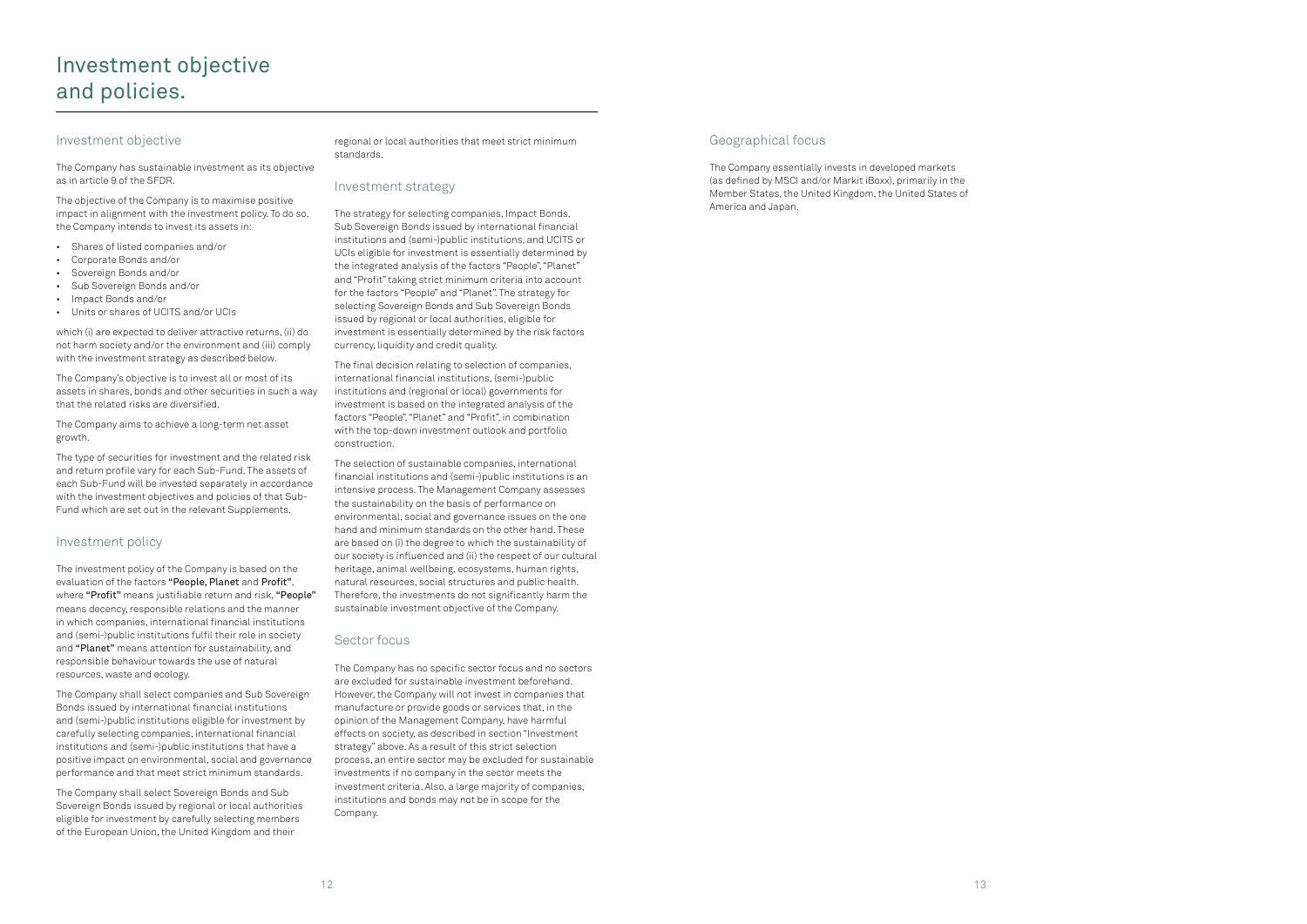### Geographical focus

The Company essentially invests in developed markets (as defined by MSCI and/or Markit iBoxx), primarily in the Member States, the United Kingdom, the United States of America and Japan.

### Investment objective

### The Company has sustainable investment as its objective as in article 9 of the SFDR.

The objective of the Company is to maximise positive impact in alignment with the investment policy. To do so, the Company intends to invest its assets in:

- Shares of listed companies and/or
- Corporate Bonds and/or
- Sovereign Bonds and/or
- Sub Sovereign Bonds and/or
- Impact Bonds and/or
- Units or shares of UCITS and/or UCIs

which (i) are expected to deliver attractive returns, (ii) do not harm society and/or the environment and (iii) comply with the investment strategy as described below.

The Company's objective is to invest all or most of its assets in shares, bonds and other securities in such a way that the related risks are diversified.

### The Company aims to achieve a long-term net asset growth.

The type of securities for investment and the related risk and return profile vary for each Sub-Fund. The assets of each Sub-Fund will be invested separately in accordance with the investment objectives and policies of that Sub-Fund which are set out in the relevant Supplements.

### Investment policy

The investment policy of the Company is based on the evaluation of the factors "People, Planet and Profit", where "Profit" means justifiable return and risk, "People" means decency, responsible relations and the manner in which companies, international financial institutions and (semi-)public institutions fulfil their role in society and "Planet" means attention for sustainability, and responsible behaviour towards the use of natural resources, waste and ecology.

The Company shall select companies and Sub Sovereign Bonds issued by international financial institutions and (semi-)public institutions eligible for investment by carefully selecting companies, international financial institutions and (semi-)public institutions that have a positive impact on environmental, social and governance performance and that meet strict minimum standards.

The Company shall select Sovereign Bonds and Sub Sovereign Bonds issued by regional or local authorities eligible for investment by carefully selecting members of the European Union, the United Kingdom and their

regional or local authorities that meet strict minimum standards.

### Investment strategy

The strategy for selecting companies, Impact Bonds, Sub Sovereign Bonds issued by international financial institutions and (semi-)public institutions, and UCITS or UCIs eligible for investment is essentially determined by the integrated analysis of the factors "People", "Planet" and "Profit" taking strict minimum criteria into account for the factors "People" and "Planet". The strategy for selecting Sovereign Bonds and Sub Sovereign Bonds issued by regional or local authorities, eligible for investment is essentially determined by the risk factors currency, liquidity and credit quality.

The final decision relating to selection of companies, international financial institutions, (semi-)public institutions and (regional or local) governments for investment is based on the integrated analysis of the factors "People", "Planet" and "Profit", in combination with the top-down investment outlook and portfolio construction.

The selection of sustainable companies, international financial institutions and (semi-)public institutions is an intensive process. The Management Company assesses the sustainability on the basis of performance on environmental, social and governance issues on the one hand and minimum standards on the other hand. These are based on (i) the degree to which the sustainability of our society is influenced and (ii) the respect of our cultural heritage, animal wellbeing, ecosystems, human rights, natural resources, social structures and public health. Therefore, the investments do not significantly harm the sustainable investment objective of the Company.

### Sector focus

The Company has no specific sector focus and no sectors are excluded for sustainable investment beforehand. However, the Company will not invest in companies that manufacture or provide goods or services that, in the opinion of the Management Company, have harmful effects on society, as described in section "Investment strategy" above. As a result of this strict selection process, an entire sector may be excluded for sustainable investments if no company in the sector meets the investment criteria. Also, a large majority of companies, institutions and bonds may not be in scope for the Company.

## Investment objective and policies.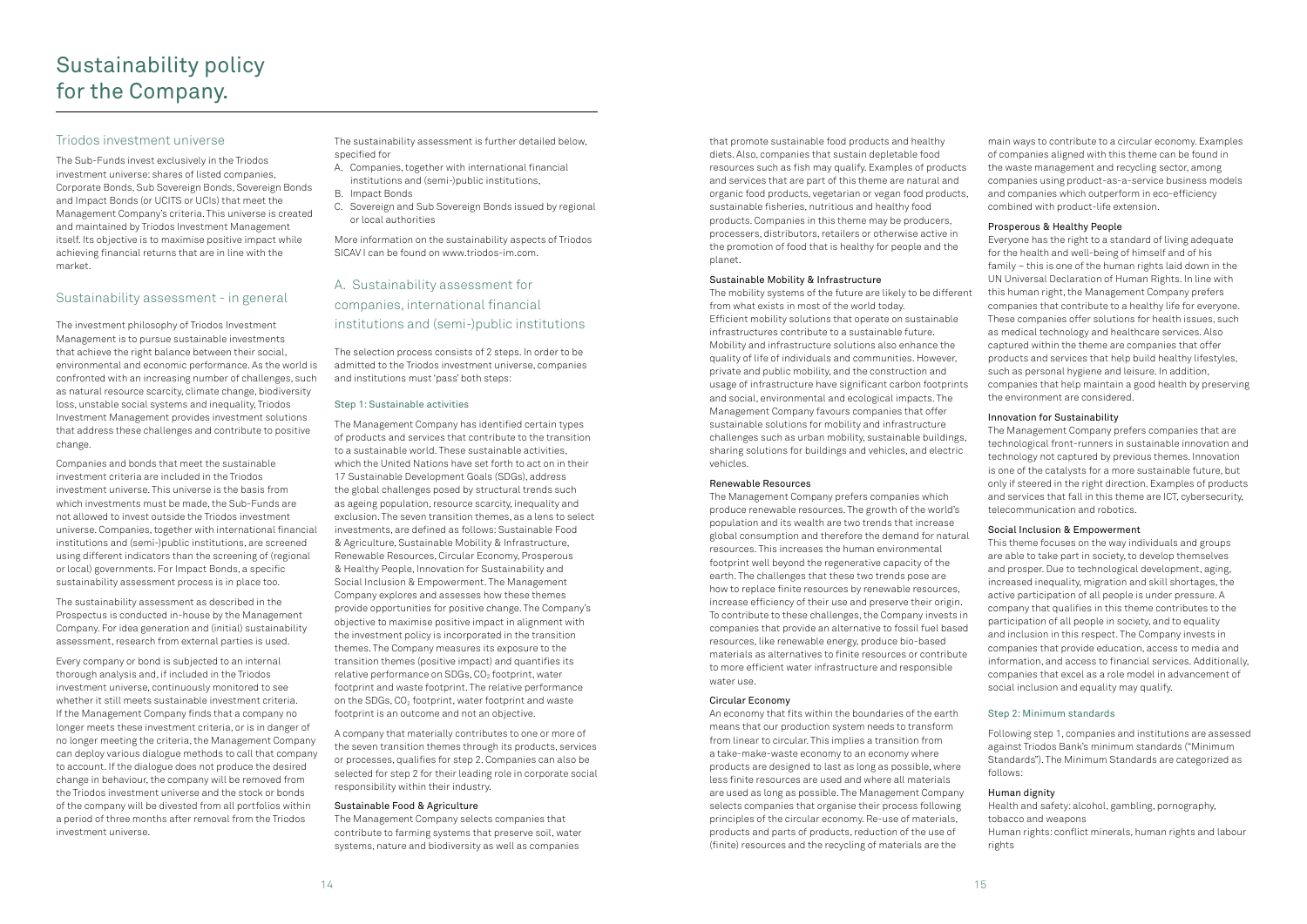that promote sustainable food products and healthy diets. Also, companies that sustain depletable food resources such as fish may qualify. Examples of products and services that are part of this theme are natural and organic food products, vegetarian or vegan food products, sustainable fisheries, nutritious and healthy food products. Companies in this theme may be producers, processers, distributors, retailers or otherwise active in the promotion of food that is healthy for people and the planet.

#### Sustainable Mobility & Infrastructure

The mobility systems of the future are likely to be different from what exists in most of the world today. Efficient mobility solutions that operate on sustainable infrastructures contribute to a sustainable future. Mobility and infrastructure solutions also enhance the quality of life of individuals and communities. However, private and public mobility, and the construction and usage of infrastructure have significant carbon footprints and social, environmental and ecological impacts. The Management Company favours companies that offer sustainable solutions for mobility and infrastructure challenges such as urban mobility, sustainable buildings, sharing solutions for buildings and vehicles, and electric vehicles.

#### Renewable Resources

The Management Company prefers companies which produce renewable resources. The growth of the world's population and its wealth are two trends that increase global consumption and therefore the demand for natural resources. This increases the human environmental footprint well beyond the regenerative capacity of the earth. The challenges that these two trends pose are how to replace finite resources by renewable resources, increase efficiency of their use and preserve their origin. To contribute to these challenges, the Company invests in companies that provide an alternative to fossil fuel based resources, like renewable energy, produce bio-based materials as alternatives to finite resources or contribute to more efficient water infrastructure and responsible water use.

### Circular Economy

An economy that fits within the boundaries of the earth means that our production system needs to transform from linear to circular. This implies a transition from a take-make-waste economy to an economy where products are designed to last as long as possible, where less finite resources are used and where all materials are used as long as possible. The Management Company selects companies that organise their process following principles of the circular economy. Re-use of materials, products and parts of products, reduction of the use of (finite) resources and the recycling of materials are the

main ways to contribute to a circular economy. Examples of companies aligned with this theme can be found in the waste management and recycling sector, among companies using product-as-a-service business models and companies which outperform in eco-efficiency combined with product-life extension.

### Prosperous & Healthy People

Everyone has the right to a standard of living adequate for the health and well-being of himself and of his family – this is one of the human rights laid down in the UN Universal Declaration of Human Rights. In line with this human right, the Management Company prefers companies that contribute to a healthy life for everyone. These companies offer solutions for health issues, such as medical technology and healthcare services. Also captured within the theme are companies that offer products and services that help build healthy lifestyles, such as personal hygiene and leisure. In addition, companies that help maintain a good health by preserving the environment are considered.

### Innovation for Sustainability

The Management Company prefers companies that are technological front-runners in sustainable innovation and technology not captured by previous themes. Innovation is one of the catalysts for a more sustainable future, but only if steered in the right direction. Examples of products and services that fall in this theme are ICT, cybersecurity, telecommunication and robotics.

### Social Inclusion & Empowerment

This theme focuses on the way individuals and groups are able to take part in society, to develop themselves and prosper. Due to technological development, aging, increased inequality, migration and skill shortages, the active participation of all people is under pressure. A company that qualifies in this theme contributes to the participation of all people in society, and to equality and inclusion in this respect. The Company invests in companies that provide education, access to media and information, and access to financial services. Additionally, companies that excel as a role model in advancement of social inclusion and equality may qualify.

### Step 2: Minimum standards

Following step 1, companies and institutions are assessed against Triodos Bank's minimum standards ("Minimum Standards"). The Minimum Standards are categorized as follows:

### Human dignity

Health and safety: alcohol, gambling, pornography, tobacco and weapons

Human rights: conflict minerals, human rights and labour rights

### Triodos investment universe

The Sub-Funds invest exclusively in the Triodos investment universe: shares of listed companies, Corporate Bonds, Sub Sovereign Bonds, Sovereign Bonds and Impact Bonds (or UCITS or UCIs) that meet the Management Company's criteria. This universe is created and maintained by Triodos Investment Management itself. Its objective is to maximise positive impact while achieving financial returns that are in line with the market.

### Sustainability assessment - in general

The investment philosophy of Triodos Investment Management is to pursue sustainable investments that achieve the right balance between their social, environmental and economic performance. As the world is confronted with an increasing number of challenges, such as natural resource scarcity, climate change, biodiversity loss, unstable social systems and inequality, Triodos Investment Management provides investment solutions that address these challenges and contribute to positive change.

Companies and bonds that meet the sustainable investment criteria are included in the Triodos investment universe. This universe is the basis from which investments must be made, the Sub-Funds are not allowed to invest outside the Triodos investment universe. Companies, together with international financial institutions and (semi-)public institutions, are screened using different indicators than the screening of (regional or local) governments. For Impact Bonds, a specific sustainability assessment process is in place too.

The sustainability assessment as described in the Prospectus is conducted in-house by the Management Company. For idea generation and (initial) sustainability assessment, research from external parties is used.

Every company or bond is subjected to an internal thorough analysis and, if included in the Triodos investment universe, continuously monitored to see whether it still meets sustainable investment criteria. If the Management Company finds that a company no longer meets these investment criteria, or is in danger of no longer meeting the criteria, the Management Company can deploy various dialogue methods to call that company to account. If the dialogue does not produce the desired change in behaviour, the company will be removed from the Triodos investment universe and the stock or bonds of the company will be divested from all portfolios within a period of three months after removal from the Triodos investment universe.

The sustainability assessment is further detailed below, specified for

- A. Companies, together with international financial institutions and (semi-)public institutions,
- B. Impact Bonds
- C. Sovereign and Sub Sovereign Bonds issued by regional or local authorities

More information on the sustainability aspects of Triodos SICAV I can be found on www.triodos-im.com.

## A. Sustainability assessment for companies, international financial institutions and (semi-)public institutions

The selection process consists of 2 steps. In order to be admitted to the Triodos investment universe, companies and institutions must 'pass' both steps:

### Step 1: Sustainable activities

The Management Company has identified certain types of products and services that contribute to the transition to a sustainable world. These sustainable activities, which the United Nations have set forth to act on in their 17 Sustainable Development Goals (SDGs), address the global challenges posed by structural trends such as ageing population, resource scarcity, inequality and exclusion. The seven transition themes, as a lens to select investments, are defined as follows: Sustainable Food & Agriculture, Sustainable Mobility & Infrastructure, Renewable Resources, Circular Economy, Prosperous & Healthy People, Innovation for Sustainability and Social Inclusion & Empowerment. The Management Company explores and assesses how these themes provide opportunities for positive change. The Company's objective to maximise positive impact in alignment with the investment policy is incorporated in the transition themes. The Company measures its exposure to the transition themes (positive impact) and quantifies its relative performance on SDGs,  $CO<sub>2</sub>$  footprint, water footprint and waste footprint. The relative performance on the SDGs,  $CO<sub>2</sub>$  footprint, water footprint and waste footprint is an outcome and not an objective.

A company that materially contributes to one or more of the seven transition themes through its products, services or processes, qualifies for step 2. Companies can also be selected for step 2 for their leading role in corporate social responsibility within their industry.

#### Sustainable Food & Agriculture

The Management Company selects companies that contribute to farming systems that preserve soil, water systems, nature and biodiversity as well as companies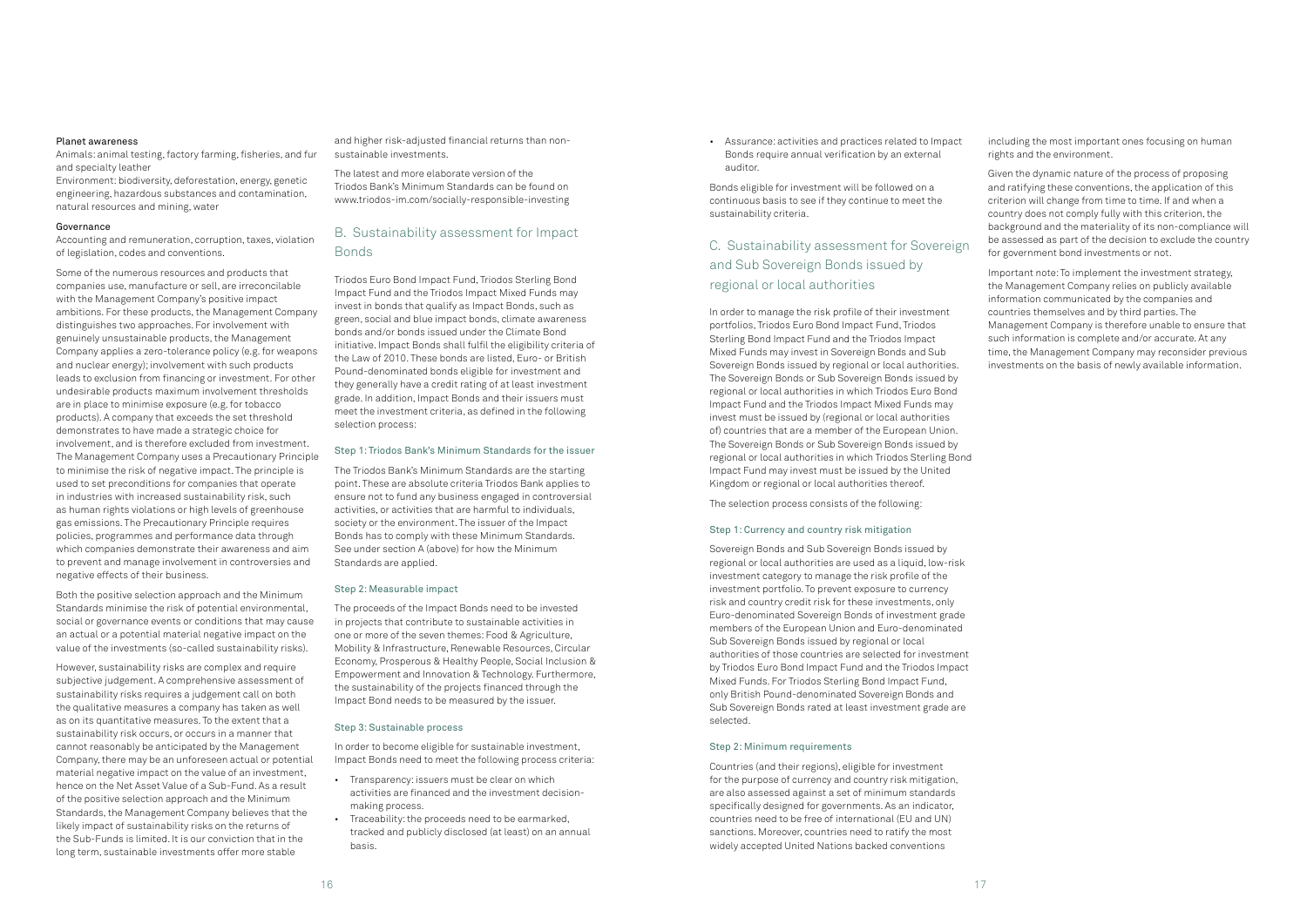• Assurance: activities and practices related to Impact Bonds require annual verification by an external auditor.

Bonds eligible for investment will be followed on a continuous basis to see if they continue to meet the sustainability criteria.

## C. Sustainability assessment for Sovereign and Sub Sovereign Bonds issued by regional or local authorities

In order to manage the risk profile of their investment portfolios, Triodos Euro Bond Impact Fund, Triodos Sterling Bond Impact Fund and the Triodos Impact Mixed Funds may invest in Sovereign Bonds and Sub Sovereign Bonds issued by regional or local authorities. The Sovereign Bonds or Sub Sovereign Bonds issued by regional or local authorities in which Triodos Euro Bond Impact Fund and the Triodos Impact Mixed Funds may invest must be issued by (regional or local authorities of) countries that are a member of the European Union. The Sovereign Bonds or Sub Sovereign Bonds issued by regional or local authorities in which Triodos Sterling Bond Impact Fund may invest must be issued by the United Kingdom or regional or local authorities thereof.

The selection process consists of the following:

#### Step 1: Currency and country risk mitigation

Sovereign Bonds and Sub Sovereign Bonds issued by regional or local authorities are used as a liquid, low-risk investment category to manage the risk profile of the investment portfolio. To prevent exposure to currency risk and country credit risk for these investments, only Euro-denominated Sovereign Bonds of investment grade members of the European Union and Euro-denominated Sub Sovereign Bonds issued by regional or local authorities of those countries are selected for investment by Triodos Euro Bond Impact Fund and the Triodos Impact Mixed Funds. For Triodos Sterling Bond Impact Fund, only British Pound-denominated Sovereign Bonds and Sub Sovereign Bonds rated at least investment grade are selected.

### Step 2: Minimum requirements

Countries (and their regions), eligible for investment for the purpose of currency and country risk mitigation, are also assessed against a set of minimum standards specifically designed for governments. As an indicator, countries need to be free of international (EU and UN) sanctions. Moreover, countries need to ratify the most widely accepted United Nations backed conventions

including the most important ones focusing on human rights and the environment.

Given the dynamic nature of the process of proposing and ratifying these conventions, the application of this criterion will change from time to time. If and when a country does not comply fully with this criterion, the background and the materiality of its non-compliance will be assessed as part of the decision to exclude the country for government bond investments or not.

Important note: To implement the investment strategy, the Management Company relies on publicly available information communicated by the companies and countries themselves and by third parties. The Management Company is therefore unable to ensure that such information is complete and/or accurate. At any time, the Management Company may reconsider previous investments on the basis of newly available information.

#### Planet awareness

Animals: animal testing, factory farming, fisheries, and fur and specialty leather

Environment: biodiversity, deforestation, energy, genetic engineering, hazardous substances and contamination, natural resources and mining, water

#### Governance

Accounting and remuneration, corruption, taxes, violation of legislation, codes and conventions.

Some of the numerous resources and products that companies use, manufacture or sell, are irreconcilable with the Management Company's positive impact ambitions. For these products, the Management Company distinguishes two approaches. For involvement with genuinely unsustainable products, the Management Company applies a zero-tolerance policy (e.g. for weapons and nuclear energy); involvement with such products leads to exclusion from financing or investment. For other undesirable products maximum involvement thresholds are in place to minimise exposure (e.g. for tobacco products). A company that exceeds the set threshold demonstrates to have made a strategic choice for involvement, and is therefore excluded from investment. The Management Company uses a Precautionary Principle to minimise the risk of negative impact. The principle is used to set preconditions for companies that operate in industries with increased sustainability risk, such as human rights violations or high levels of greenhouse gas emissions. The Precautionary Principle requires policies, programmes and performance data through which companies demonstrate their awareness and aim to prevent and manage involvement in controversies and negative effects of their business.

Both the positive selection approach and the Minimum Standards minimise the risk of potential environmental, social or governance events or conditions that may cause an actual or a potential material negative impact on the value of the investments (so-called sustainability risks).

However, sustainability risks are complex and require subjective judgement. A comprehensive assessment of sustainability risks requires a judgement call on both the qualitative measures a company has taken as well as on its quantitative measures. To the extent that a sustainability risk occurs, or occurs in a manner that cannot reasonably be anticipated by the Management Company, there may be an unforeseen actual or potential material negative impact on the value of an investment, hence on the Net Asset Value of a Sub-Fund. As a result of the positive selection approach and the Minimum Standards, the Management Company believes that the likely impact of sustainability risks on the returns of the Sub-Funds is limited. It is our conviction that in the long term, sustainable investments offer more stable

and higher risk-adjusted financial returns than nonsustainable investments.

The latest and more elaborate version of the Triodos Bank's Minimum Standards can be found on [www.triodos-im.com/socially-responsible-investing](http://www.triodos-im.com/socially-responsible-investing)

### B. Sustainability assessment for Impact Bonds

Triodos Euro Bond Impact Fund, Triodos Sterling Bond Impact Fund and the Triodos Impact Mixed Funds may invest in bonds that qualify as Impact Bonds, such as green, social and blue impact bonds, climate awareness bonds and/or bonds issued under the Climate Bond initiative. Impact Bonds shall fulfil the eligibility criteria of the Law of 2010. These bonds are listed, Euro- or British Pound-denominated bonds eligible for investment and they generally have a credit rating of at least investment grade. In addition, Impact Bonds and their issuers must meet the investment criteria, as defined in the following selection process:

### Step 1: Triodos Bank's Minimum Standards for the issuer

The Triodos Bank's Minimum Standards are the starting point. These are absolute criteria Triodos Bank applies to ensure not to fund any business engaged in controversial activities, or activities that are harmful to individuals, society or the environment. The issuer of the Impact Bonds has to comply with these Minimum Standards. See under section A (above) for how the Minimum Standards are applied.

#### Step 2: Measurable impact

The proceeds of the Impact Bonds need to be invested in projects that contribute to sustainable activities in one or more of the seven themes: Food & Agriculture, Mobility & Infrastructure, Renewable Resources, Circular Economy, Prosperous & Healthy People, Social Inclusion & Empowerment and Innovation & Technology. Furthermore, the sustainability of the projects financed through the Impact Bond needs to be measured by the issuer.

#### Step 3: Sustainable process

In order to become eligible for sustainable investment, Impact Bonds need to meet the following process criteria:

- Transparency: issuers must be clear on which activities are financed and the investment decisionmaking process.
- Traceability: the proceeds need to be earmarked, tracked and publicly disclosed (at least) on an annual basis.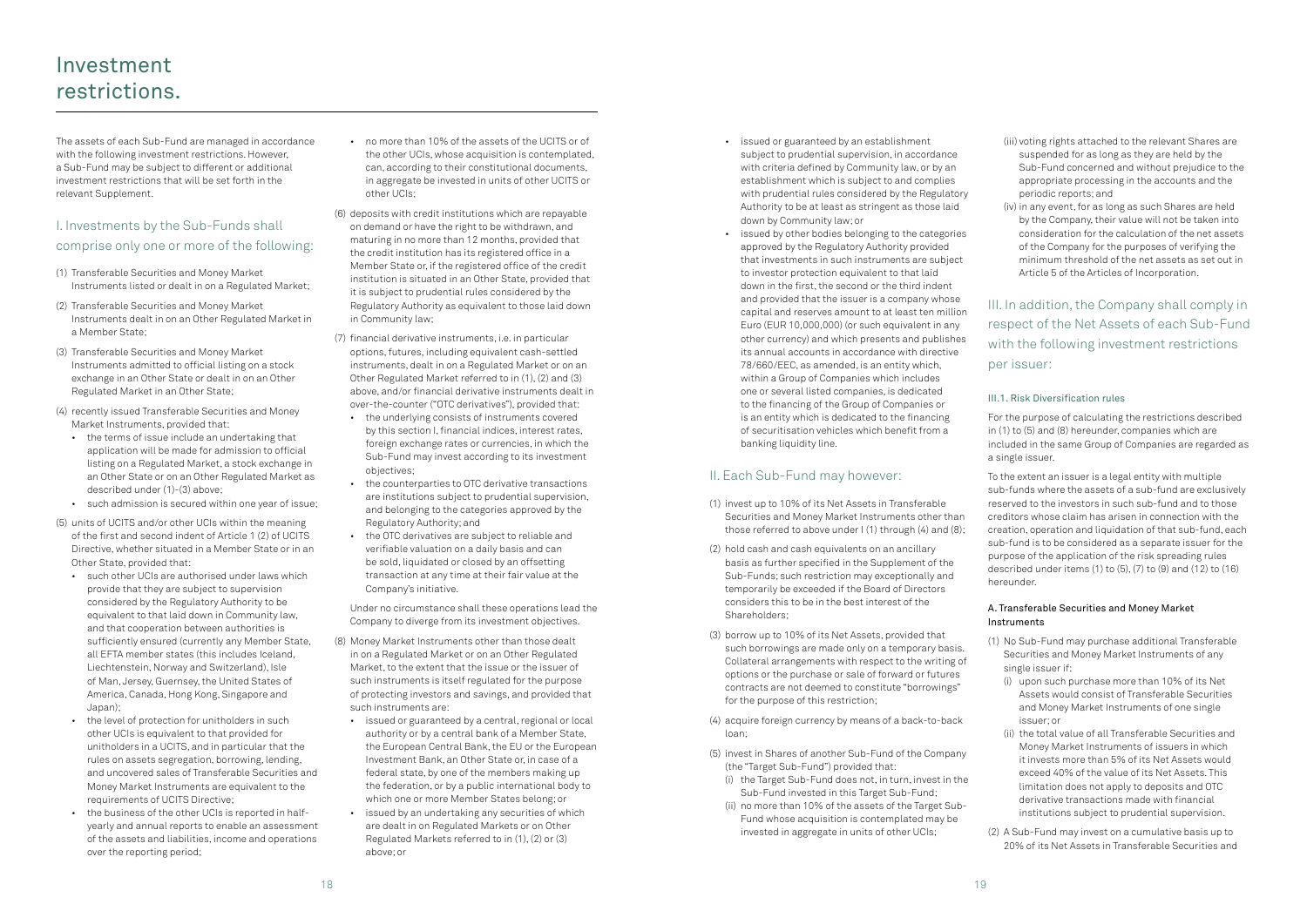- issued or guaranteed by an establishment subject to prudential supervision, in accordance with criteria defined by Community law, or by an establishment which is subject to and complies with prudential rules considered by the Regulatory Authority to be at least as stringent as those laid down by Community law; or
- issued by other bodies belonging to the categories approved by the Regulatory Authority provided that investments in such instruments are subject to investor protection equivalent to that laid down in the first, the second or the third indent and provided that the issuer is a company whose capital and reserves amount to at least ten million Euro (EUR 10,000,000) (or such equivalent in any other currency) and which presents and publishes its annual accounts in accordance with directive 78/660/EEC, as amended, is an entity which, within a Group of Companies which includes one or several listed companies, is dedicated to the financing of the Group of Companies or is an entity which is dedicated to the financing of securitisation vehicles which benefit from a banking liquidity line.

### II. Each Sub-Fund may however:

- (1) invest up to 10% of its Net Assets in Transferable Securities and Money Market Instruments other than those referred to above under I (1) through (4) and (8);
- (2) hold cash and cash equivalents on an ancillary basis as further specified in the Supplement of the Sub-Funds; such restriction may exceptionally and temporarily be exceeded if the Board of Directors considers this to be in the best interest of the Shareholders;
- (3) borrow up to 10% of its Net Assets, provided that such borrowings are made only on a temporary basis. Collateral arrangements with respect to the writing of options or the purchase or sale of forward or futures contracts are not deemed to constitute "borrowings" for the purpose of this restriction;
- (4) acquire foreign currency by means of a back-to-back loan;
- (5) invest in Shares of another Sub-Fund of the Company (the "Target Sub-Fund") provided that:
	- (i) the Target Sub-Fund does not, in turn, invest in the Sub-Fund invested in this Target Sub-Fund;
	- (ii) no more than 10% of the assets of the Target Sub-Fund whose acquisition is contemplated may be invested in aggregate in units of other UCIs;
- (iii) voting rights attached to the relevant Shares are suspended for as long as they are held by the Sub-Fund concerned and without prejudice to the appropriate processing in the accounts and the periodic reports; and
- (iv) in any event, for as long as such Shares are held by the Company, their value will not be taken into consideration for the calculation of the net assets of the Company for the purposes of verifying the minimum threshold of the net assets as set out in Article 5 of the Articles of Incorporation.

III. In addition, the Company shall comply in respect of the Net Assets of each Sub-Fund with the following investment restrictions per issuer:

### III.1. Risk Diversification rules

For the purpose of calculating the restrictions described in (1) to (5) and (8) hereunder, companies which are included in the same Group of Companies are regarded as a single issuer.

To the extent an issuer is a legal entity with multiple sub-funds where the assets of a sub-fund are exclusively reserved to the investors in such sub-fund and to those creditors whose claim has arisen in connection with the creation, operation and liquidation of that sub-fund, each sub-fund is to be considered as a separate issuer for the purpose of the application of the risk spreading rules described under items (1) to (5), (7) to (9) and (12) to (16) hereunder.

### A. Transferable Securities and Money Market Instruments

- (1) No Sub-Fund may purchase additional Transferable Securities and Money Market Instruments of any single issuer if:
	- (i) upon such purchase more than 10% of its Net Assets would consist of Transferable Securities and Money Market Instruments of one single issuer; or
	- (ii) the total value of all Transferable Securities and Money Market Instruments of issuers in which it invests more than 5% of its Net Assets would exceed 40% of the value of its Net Assets. This limitation does not apply to deposits and OTC derivative transactions made with financial institutions subject to prudential supervision.
- (2) A Sub-Fund may invest on a cumulative basis up to 20% of its Net Assets in Transferable Securities and

The assets of each Sub-Fund are managed in accordance with the following investment restrictions. However, a Sub-Fund may be subject to different or additional investment restrictions that will be set forth in the relevant Supplement.

### I. Investments by the Sub-Funds shall comprise only one or more of the following:

- (1) Transferable Securities and Money Market Instruments listed or dealt in on a Regulated Market;
- (2) Transferable Securities and Money Market Instruments dealt in on an Other Regulated Market in a Member State;
- (3) Transferable Securities and Money Market Instruments admitted to official listing on a stock exchange in an Other State or dealt in on an Other Regulated Market in an Other State;
- (4) recently issued Transferable Securities and Money Market Instruments, provided that:
	- the terms of issue include an undertaking that application will be made for admission to official listing on a Regulated Market, a stock exchange in an Other State or on an Other Regulated Market as described under (1)-(3) above;
	- such admission is secured within one year of issue;
- (5) units of UCITS and/or other UCIs within the meaning of the first and second indent of Article 1 (2) of UCITS Directive, whether situated in a Member State or in an Other State, provided that:
	- such other UCIs are authorised under laws which provide that they are subject to supervision considered by the Regulatory Authority to be equivalent to that laid down in Community law, and that cooperation between authorities is sufficiently ensured (currently any Member State, all EFTA member states (this includes Iceland, Liechtenstein, Norway and Switzerland), Isle of Man, Jersey, Guernsey, the United States of America, Canada, Hong Kong, Singapore and Japan);
	- the level of protection for unitholders in such other UCIs is equivalent to that provided for unitholders in a UCITS, and in particular that the rules on assets segregation, borrowing, lending, and uncovered sales of Transferable Securities and Money Market Instruments are equivalent to the requirements of UCITS Directive;
	- the business of the other UCIs is reported in halfyearly and annual reports to enable an assessment of the assets and liabilities, income and operations over the reporting period;
- no more than 10% of the assets of the UCITS or of the other UCIs, whose acquisition is contemplated, can, according to their constitutional documents, in aggregate be invested in units of other UCITS or other UCIs;
- (6) deposits with credit institutions which are repayable on demand or have the right to be withdrawn, and maturing in no more than 12 months, provided that the credit institution has its registered office in a Member State or, if the registered office of the credit institution is situated in an Other State, provided that it is subject to prudential rules considered by the Regulatory Authority as equivalent to those laid down in Community law;
- (7) financial derivative instruments, i.e. in particular options, futures, including equivalent cash-settled instruments, dealt in on a Regulated Market or on an Other Regulated Market referred to in (1), (2) and (3) above, and/or financial derivative instruments dealt in over-the-counter ("OTC derivatives"), provided that:
	- the underlying consists of instruments covered by this section I, financial indices, interest rates, foreign exchange rates or currencies, in which the Sub-Fund may invest according to its investment objectives;
	- the counterparties to OTC derivative transactions are institutions subject to prudential supervision, and belonging to the categories approved by the Regulatory Authority; and
	- the OTC derivatives are subject to reliable and verifiable valuation on a daily basis and can be sold, liquidated or closed by an offsetting transaction at any time at their fair value at the Company's initiative.

Under no circumstance shall these operations lead the Company to diverge from its investment objectives.

- (8) Money Market Instruments other than those dealt in on a Regulated Market or on an Other Regulated Market, to the extent that the issue or the issuer of such instruments is itself regulated for the purpose of protecting investors and savings, and provided that such instruments are:
	- issued or guaranteed by a central, regional or local authority or by a central bank of a Member State, the European Central Bank, the EU or the European Investment Bank, an Other State or, in case of a federal state, by one of the members making up the federation, or by a public international body to which one or more Member States belong; or
	- issued by an undertaking any securities of which are dealt in on Regulated Markets or on Other Regulated Markets referred to in (1), (2) or (3) above; or

## Investment restrictions.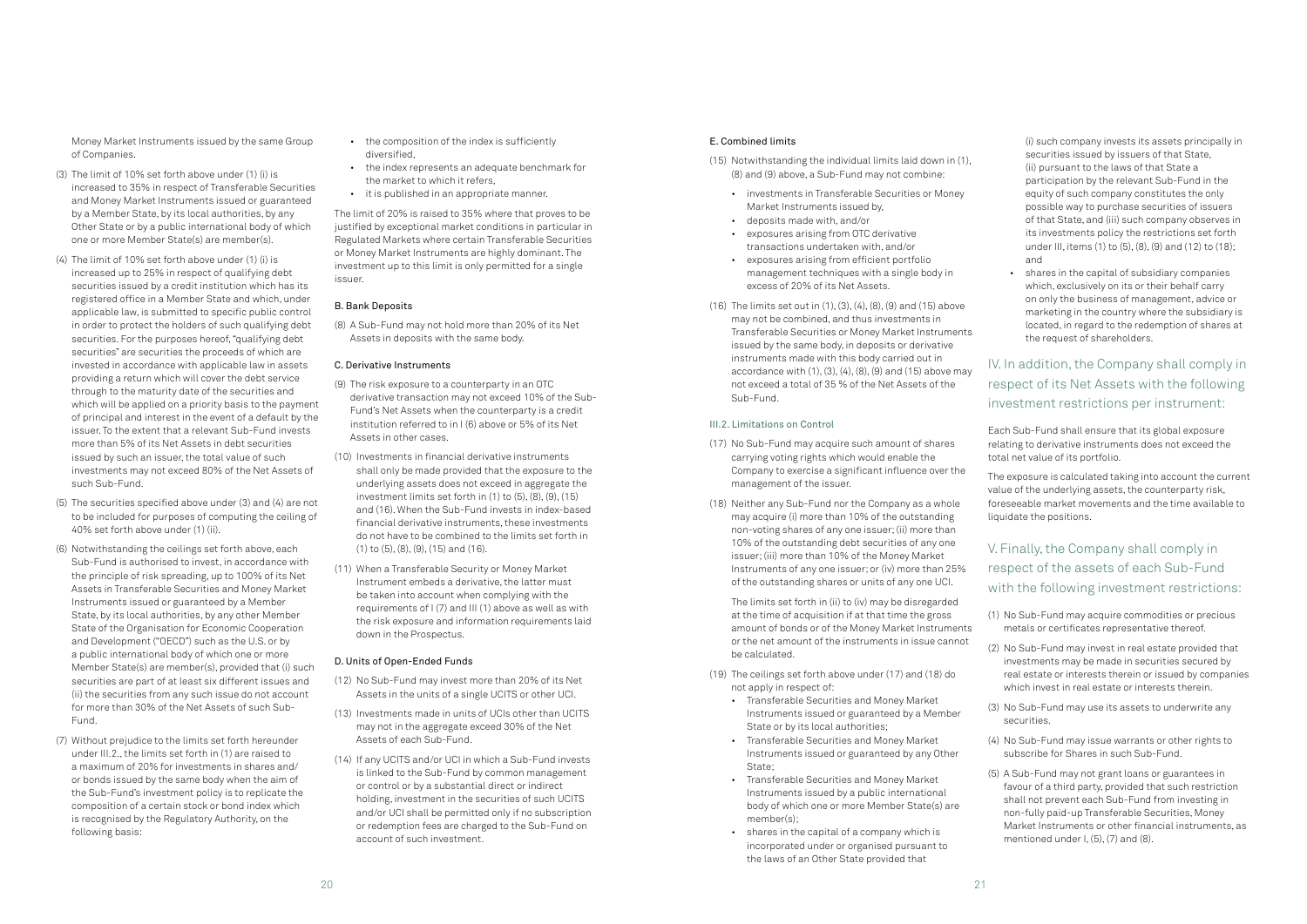### E. Combined limits

- (15) Notwithstanding the individual limits laid down in (1), (8) and (9) above, a Sub-Fund may not combine:
	- investments in Transferable Securities or Money Market Instruments issued by,
	- deposits made with, and/or
	- exposures arising from OTC derivative transactions undertaken with, and/or
	- exposures arising from efficient portfolio management techniques with a single body in excess of 20% of its Net Assets.
- (16) The limits set out in (1), (3), (4), (8), (9) and (15) above may not be combined, and thus investments in Transferable Securities or Money Market Instruments issued by the same body, in deposits or derivative instruments made with this body carried out in accordance with  $(1)$ ,  $(3)$ ,  $(4)$ ,  $(8)$ ,  $(9)$  and  $(15)$  above may not exceed a total of 35 % of the Net Assets of the Sub-Fund.

### III.2. Limitations on Control

- (17) No Sub-Fund may acquire such amount of shares carrying voting rights which would enable the Company to exercise a significant influence over the management of the issuer.
- (18) Neither any Sub-Fund nor the Company as a whole may acquire (i) more than 10% of the outstanding non-voting shares of any one issuer; (ii) more than 10% of the outstanding debt securities of any one issuer; (iii) more than 10% of the Money Market Instruments of any one issuer; or (iv) more than 25% of the outstanding shares or units of any one UCI.

The limits set forth in (ii) to (iv) may be disregarded at the time of acquisition if at that time the gross amount of bonds or of the Money Market Instruments or the net amount of the instruments in issue cannot be calculated.

- (19) The ceilings set forth above under (17) and (18) do not apply in respect of:
	- Transferable Securities and Money Market Instruments issued or guaranteed by a Member State or by its local authorities;
	- Transferable Securities and Money Market Instruments issued or guaranteed by any Other State:
	- Transferable Securities and Money Market Instruments issued by a public international body of which one or more Member State(s) are member(s);
	- shares in the capital of a company which is incorporated under or organised pursuant to the laws of an Other State provided that

(i) such company invests its assets principally in securities issued by issuers of that State, (ii) pursuant to the laws of that State a participation by the relevant Sub-Fund in the equity of such company constitutes the only possible way to purchase securities of issuers of that State, and (iii) such company observes in its investments policy the restrictions set forth under III, items (1) to (5), (8), (9) and (12) to (18); and

• shares in the capital of subsidiary companies which, exclusively on its or their behalf carry on only the business of management, advice or marketing in the country where the subsidiary is located, in regard to the redemption of shares at the request of shareholders.

IV. In addition, the Company shall comply in respect of its Net Assets with the following investment restrictions per instrument:

Each Sub-Fund shall ensure that its global exposure relating to derivative instruments does not exceed the total net value of its portfolio.

The exposure is calculated taking into account the current value of the underlying assets, the counterparty risk, foreseeable market movements and the time available to liquidate the positions.

## V. Finally, the Company shall comply in respect of the assets of each Sub-Fund with the following investment restrictions:

- (1) No Sub-Fund may acquire commodities or precious metals or certificates representative thereof.
- (2) No Sub-Fund may invest in real estate provided that investments may be made in securities secured by real estate or interests therein or issued by companies which invest in real estate or interests therein.
- (3) No Sub-Fund may use its assets to underwrite any securities.
- (4) No Sub-Fund may issue warrants or other rights to subscribe for Shares in such Sub-Fund.
- (5) A Sub-Fund may not grant loans or guarantees in favour of a third party, provided that such restriction shall not prevent each Sub-Fund from investing in non-fully paid-up Transferable Securities, Money Market Instruments or other financial instruments, as mentioned under I, (5), (7) and (8).

Money Market Instruments issued by the same Group of Companies.

- (3) The limit of 10% set forth above under (1) (i) is increased to 35% in respect of Transferable Securities and Money Market Instruments issued or guaranteed by a Member State, by its local authorities, by any Other State or by a public international body of which one or more Member State(s) are member(s).
- (4) The limit of 10% set forth above under (1) (i) is increased up to 25% in respect of qualifying debt securities issued by a credit institution which has its registered office in a Member State and which, under applicable law, is submitted to specific public control in order to protect the holders of such qualifying debt securities. For the purposes hereof, "qualifying debt securities" are securities the proceeds of which are invested in accordance with applicable law in assets providing a return which will cover the debt service through to the maturity date of the securities and which will be applied on a priority basis to the payment of principal and interest in the event of a default by the issuer. To the extent that a relevant Sub-Fund invests more than 5% of its Net Assets in debt securities issued by such an issuer, the total value of such investments may not exceed 80% of the Net Assets of such Sub-Fund.
- (5) The securities specified above under (3) and (4) are not to be included for purposes of computing the ceiling of 40% set forth above under (1) (ii).
- (6) Notwithstanding the ceilings set forth above, each Sub-Fund is authorised to invest, in accordance with the principle of risk spreading, up to 100% of its Net Assets in Transferable Securities and Money Market Instruments issued or guaranteed by a Member State, by its local authorities, by any other Member State of the Organisation for Economic Cooperation and Development ("OECD") such as the U.S. or by a public international body of which one or more Member State(s) are member(s), provided that (i) such securities are part of at least six different issues and (ii) the securities from any such issue do not account for more than 30% of the Net Assets of such Sub-Fund.
- (7) Without prejudice to the limits set forth hereunder under III.2., the limits set forth in (1) are raised to a maximum of 20% for investments in shares and/ or bonds issued by the same body when the aim of the Sub-Fund's investment policy is to replicate the composition of a certain stock or bond index which is recognised by the Regulatory Authority, on the following basis:
- the composition of the index is sufficiently diversified,
- the index represents an adequate benchmark for the market to which it refers,
- it is published in an appropriate manner.

The limit of 20% is raised to 35% where that proves to be iustified by exceptional market conditions in particular in Regulated Markets where certain Transferable Securities or Money Market Instruments are highly dominant. The investment up to this limit is only permitted for a single issuer.

### B. Bank Deposits

(8) A Sub-Fund may not hold more than 20% of its Net Assets in deposits with the same body.

### C. Derivative Instruments

- (9) The risk exposure to a counterparty in an OTC derivative transaction may not exceed 10% of the Sub-Fund's Net Assets when the counterparty is a credit institution referred to in I (6) above or 5% of its Net Assets in other cases.
- (10) Investments in financial derivative instruments shall only be made provided that the exposure to the underlying assets does not exceed in aggregate the investment limits set forth in  $(1)$  to  $(5)$ ,  $(8)$ ,  $(9)$ ,  $(15)$ and (16). When the Sub-Fund invests in index-based financial derivative instruments, these investments do not have to be combined to the limits set forth in (1) to (5), (8), (9), (15) and (16).
- (11) When a Transferable Security or Money Market Instrument embeds a derivative, the latter must be taken into account when complying with the requirements of I (7) and III (1) above as well as with the risk exposure and information requirements laid down in the Prospectus.

### D. Units of Open-Ended Funds

- (12) No Sub-Fund may invest more than 20% of its Net Assets in the units of a single UCITS or other UCI.
- (13) Investments made in units of UCIs other than UCITS may not in the aggregate exceed 30% of the Net Assets of each Sub-Fund.
- (14) If any UCITS and/or UCI in which a Sub-Fund invests is linked to the Sub-Fund by common management or control or by a substantial direct or indirect holding, investment in the securities of such UCITS and/or UCI shall be permitted only if no subscription or redemption fees are charged to the Sub-Fund on account of such investment.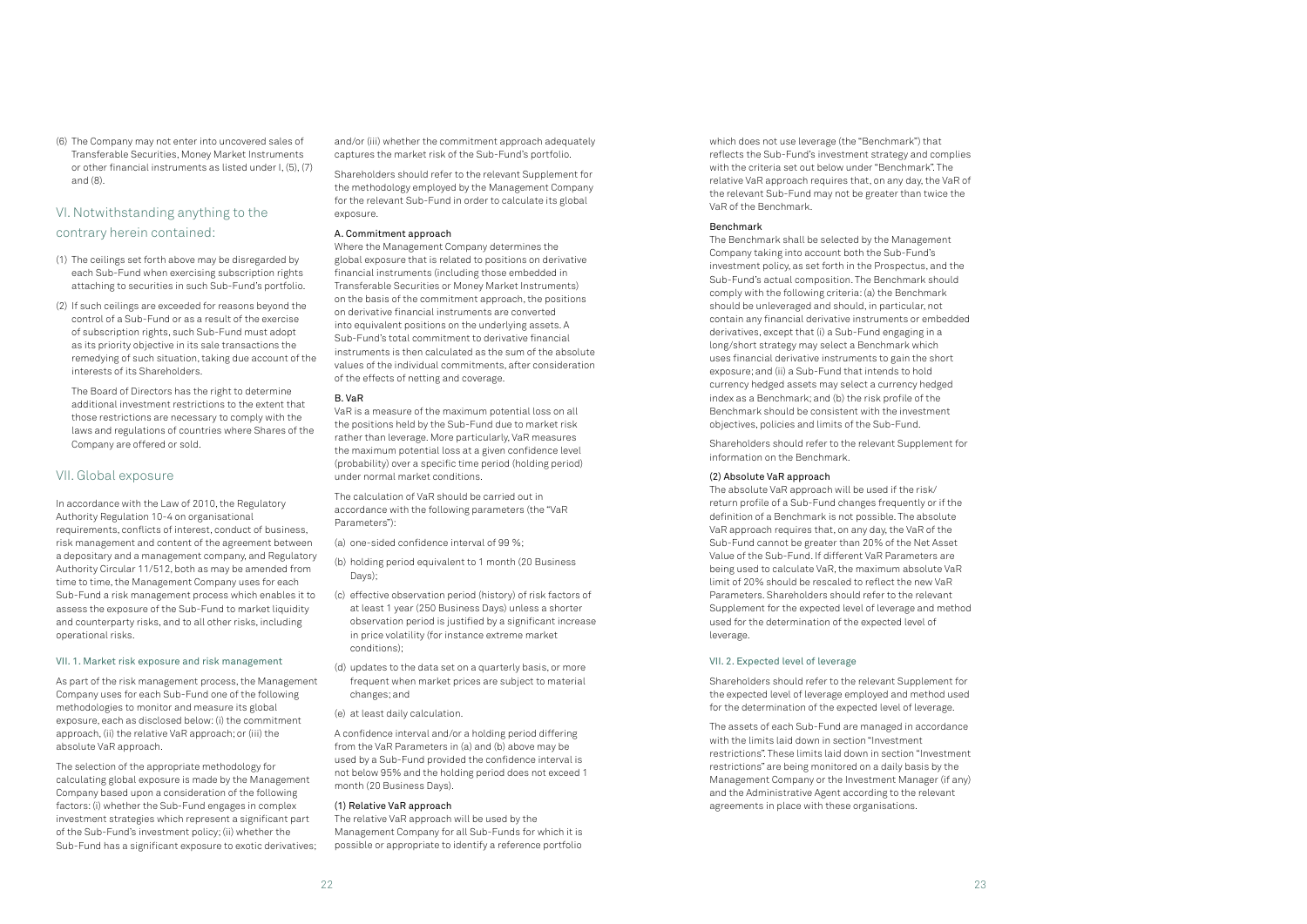which does not use leverage (the "Benchmark") that reflects the Sub-Fund's investment strategy and complies with the criteria set out below under "Benchmark". The relative VaR approach requires that, on any day, the VaR of the relevant Sub-Fund may not be greater than twice the VaR of the Benchmark.

### Benchmark

The Benchmark shall be selected by the Management Company taking into account both the Sub-Fund's investment policy, as set forth in the Prospectus, and the Sub-Fund's actual composition. The Benchmark should comply with the following criteria: (a) the Benchmark should be unleveraged and should, in particular, not contain any financial derivative instruments or embedded derivatives, except that (i) a Sub-Fund engaging in a long/short strategy may select a Benchmark which uses financial derivative instruments to gain the short exposure; and (ii) a Sub-Fund that intends to hold currency hedged assets may select a currency hedged index as a Benchmark; and (b) the risk profile of the Benchmark should be consistent with the investment objectives, policies and limits of the Sub-Fund.

Shareholders should refer to the relevant Supplement for information on the Benchmark.

### (2) Absolute VaR approach

The absolute VaR approach will be used if the risk/ return profile of a Sub-Fund changes frequently or if the definition of a Benchmark is not possible. The absolute VaR approach requires that, on any day, the VaR of the Sub-Fund cannot be greater than 20% of the Net Asset Value of the Sub-Fund. If different VaR Parameters are being used to calculate VaR, the maximum absolute VaR limit of 20% should be rescaled to reflect the new VaR Parameters. Shareholders should refer to the relevant Supplement for the expected level of leverage and method used for the determination of the expected level of leverage.

### VII. 2. Expected level of leverage

Shareholders should refer to the relevant Supplement for the expected level of leverage employed and method used for the determination of the expected level of leverage.

The assets of each Sub-Fund are managed in accordance with the limits laid down in section "Investment restrictions". These limits laid down in section "Investment restrictions" are being monitored on a daily basis by the Management Company or the Investment Manager (if any) and the Administrative Agent according to the relevant agreements in place with these organisations.

(6) The Company may not enter into uncovered sales of Transferable Securities, Money Market Instruments or other financial instruments as listed under I, (5), (7) and (8).

### VI. Notwithstanding anything to the contrary herein contained:

- (1) The ceilings set forth above may be disregarded by each Sub-Fund when exercising subscription rights attaching to securities in such Sub-Fund's portfolio.
- (2) If such ceilings are exceeded for reasons beyond the control of a Sub-Fund or as a result of the exercise of subscription rights, such Sub-Fund must adopt as its priority objective in its sale transactions the remedying of such situation, taking due account of the interests of its Shareholders.
- The Board of Directors has the right to determine additional investment restrictions to the extent that those restrictions are necessary to comply with the laws and regulations of countries where Shares of the Company are offered or sold.

### VII. Global exposure

In accordance with the Law of 2010, the Regulatory Authority Regulation 10-4 on organisational requirements, conflicts of interest, conduct of business, risk management and content of the agreement between a depositary and a management company, and Regulatory Authority Circular 11/512, both as may be amended from time to time, the Management Company uses for each Sub-Fund a risk management process which enables it to assess the exposure of the Sub-Fund to market liquidity and counterparty risks, and to all other risks, including operational risks.

### VII. 1. Market risk exposure and risk management

As part of the risk management process, the Management Company uses for each Sub-Fund one of the following methodologies to monitor and measure its global exposure, each as disclosed below: (i) the commitment approach, (ii) the relative VaR approach; or (iii) the absolute VaR approach.

The selection of the appropriate methodology for calculating global exposure is made by the Management Company based upon a consideration of the following factors: (i) whether the Sub-Fund engages in complex investment strategies which represent a significant part of the Sub-Fund's investment policy; (ii) whether the Sub-Fund has a significant exposure to exotic derivatives;

and/or (iii) whether the commitment approach adequately captures the market risk of the Sub-Fund's portfolio.

Shareholders should refer to the relevant Supplement for the methodology employed by the Management Company for the relevant Sub-Fund in order to calculate its global exposure.

### A. Commitment approach

Where the Management Company determines the global exposure that is related to positions on derivative financial instruments (including those embedded in Transferable Securities or Money Market Instruments) on the basis of the commitment approach, the positions on derivative financial instruments are converted into equivalent positions on the underlying assets. A Sub-Fund's total commitment to derivative financial instruments is then calculated as the sum of the absolute values of the individual commitments, after consideration of the effects of netting and coverage.

### B. VaR

VaR is a measure of the maximum potential loss on all the positions held by the Sub-Fund due to market risk rather than leverage. More particularly, VaR measures the maximum potential loss at a given confidence level (probability) over a specific time period (holding period) under normal market conditions.

The calculation of VaR should be carried out in accordance with the following parameters (the "VaR Parameters"):

(a) one-sided confidence interval of 99 %;

- (b) holding period equivalent to 1 month (20 Business Days);
- (c) effective observation period (history) of risk factors of at least 1 year (250 Business Days) unless a shorter observation period is justified by a significant increase in price volatility (for instance extreme market conditions);
- (d) updates to the data set on a quarterly basis, or more frequent when market prices are subject to material changes; and
- (e) at least daily calculation.

A confidence interval and/or a holding period differing from the VaR Parameters in (a) and (b) above may be used by a Sub-Fund provided the confidence interval is not below 95% and the holding period does not exceed 1 month (20 Business Days).

### (1) Relative VaR approach

The relative VaR approach will be used by the Management Company for all Sub-Funds for which it is possible or appropriate to identify a reference portfolio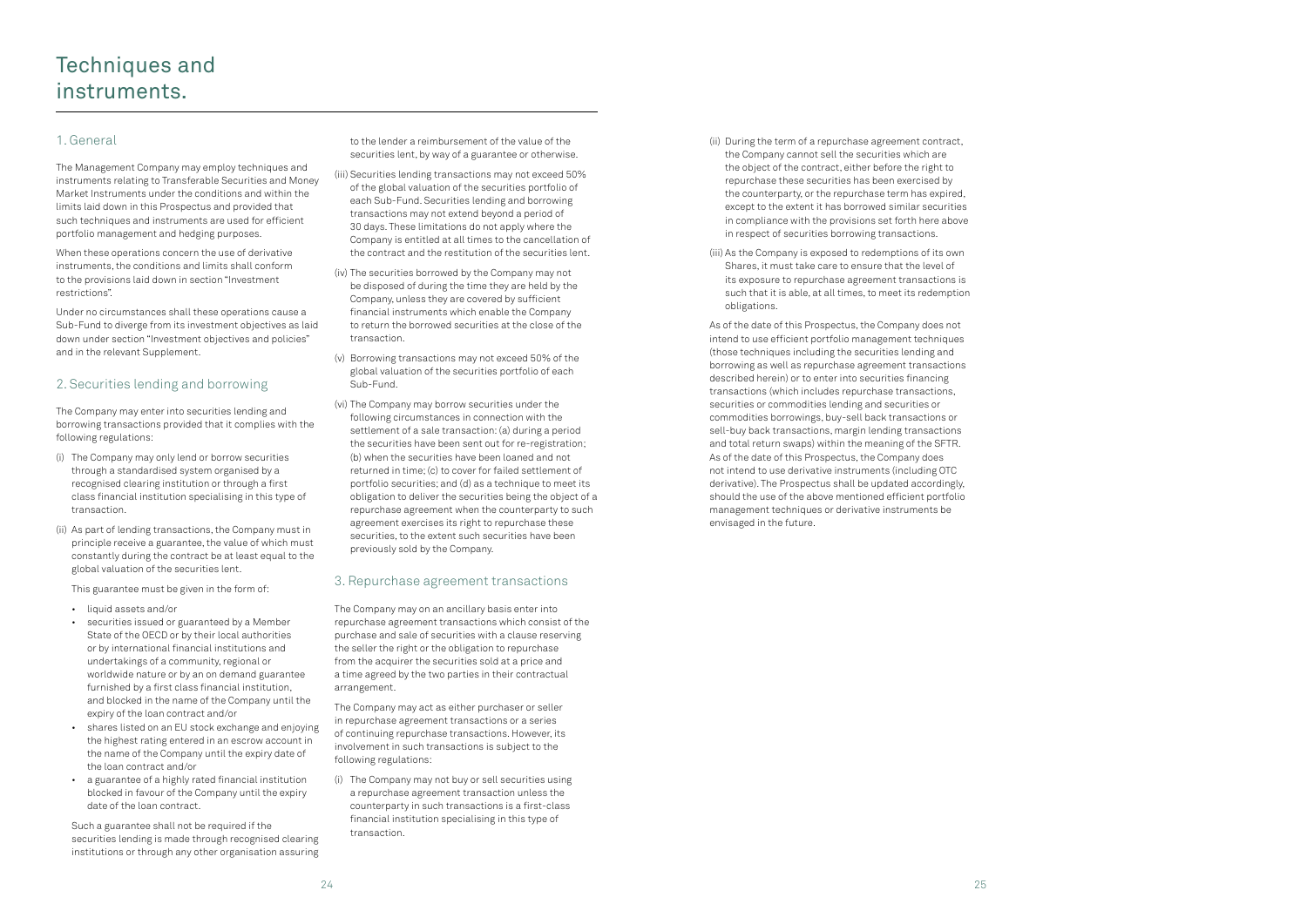- (ii) During the term of a repurchase agreement contract, the Company cannot sell the securities which are the object of the contract, either before the right to repurchase these securities has been exercised by the counterparty, or the repurchase term has expired, except to the extent it has borrowed similar securities in compliance with the provisions set forth here above in respect of securities borrowing transactions.
- (iii) As the Company is exposed to redemptions of its own Shares, it must take care to ensure that the level of its exposure to repurchase agreement transactions is such that it is able, at all times, to meet its redemption obligations.

As of the date of this Prospectus, the Company does not intend to use efficient portfolio management techniques (those techniques including the securities lending and borrowing as well as repurchase agreement transactions described herein) or to enter into securities financing transactions (which includes repurchase transactions, securities or commodities lending and securities or commodities borrowings, buy-sell back transactions or sell-buy back transactions, margin lending transactions and total return swaps) within the meaning of the SFTR. As of the date of this Prospectus, the Company does not intend to use derivative instruments (including OTC derivative). The Prospectus shall be updated accordingly, should the use of the above mentioned efficient portfolio management techniques or derivative instruments be envisaged in the future.

### 1. General

The Management Company may employ techniques and instruments relating to Transferable Securities and Money Market Instruments under the conditions and within the limits laid down in this Prospectus and provided that such techniques and instruments are used for efficient portfolio management and hedging purposes.

When these operations concern the use of derivative instruments, the conditions and limits shall conform to the provisions laid down in section "Investment restrictions".

Under no circumstances shall these operations cause a Sub-Fund to diverge from its investment objectives as laid down under section "Investment objectives and policies" and in the relevant Supplement.

### 2. Securities lending and borrowing

The Company may enter into securities lending and borrowing transactions provided that it complies with the following regulations:

- (i) The Company may only lend or borrow securities through a standardised system organised by a recognised clearing institution or through a first class financial institution specialising in this type of transaction.
- (ii) As part of lending transactions, the Company must in principle receive a guarantee, the value of which must constantly during the contract be at least equal to the global valuation of the securities lent.

This guarantee must be given in the form of:

- liquid assets and/or
- securities issued or guaranteed by a Member State of the OECD or by their local authorities or by international financial institutions and undertakings of a community, regional or worldwide nature or by an on demand guarantee furnished by a first class financial institution, and blocked in the name of the Company until the expiry of the loan contract and/or
- shares listed on an EU stock exchange and enjoying the highest rating entered in an escrow account in the name of the Company until the expiry date of the loan contract and/or
- a guarantee of a highly rated financial institution blocked in favour of the Company until the expiry date of the loan contract.

Such a guarantee shall not be required if the securities lending is made through recognised clearing institutions or through any other organisation assuring to the lender a reimbursement of the value of the securities lent, by way of a guarantee or otherwise.

- (iii) Securities lending transactions may not exceed 50% of the global valuation of the securities portfolio of each Sub-Fund. Securities lending and borrowing transactions may not extend beyond a period of 30 days. These limitations do not apply where the Company is entitled at all times to the cancellation of the contract and the restitution of the securities lent.
- (iv) The securities borrowed by the Company may not be disposed of during the time they are held by the Company, unless they are covered by sufficient financial instruments which enable the Company to return the borrowed securities at the close of the transaction.
- (v) Borrowing transactions may not exceed 50% of the global valuation of the securities portfolio of each Sub-Fund.
- (vi) The Company may borrow securities under the following circumstances in connection with the settlement of a sale transaction: (a) during a period the securities have been sent out for re-registration; (b) when the securities have been loaned and not returned in time; (c) to cover for failed settlement of portfolio securities; and (d) as a technique to meet its obligation to deliver the securities being the object of a repurchase agreement when the counterparty to such agreement exercises its right to repurchase these securities, to the extent such securities have been previously sold by the Company.

### 3. Repurchase agreement transactions

The Company may on an ancillary basis enter into repurchase agreement transactions which consist of the purchase and sale of securities with a clause reserving the seller the right or the obligation to repurchase from the acquirer the securities sold at a price and a time agreed by the two parties in their contractual arrangement.

The Company may act as either purchaser or seller in repurchase agreement transactions or a series of continuing repurchase transactions. However, its involvement in such transactions is subject to the following regulations:

(i) The Company may not buy or sell securities using a repurchase agreement transaction unless the counterparty in such transactions is a first-class financial institution specialising in this type of transaction.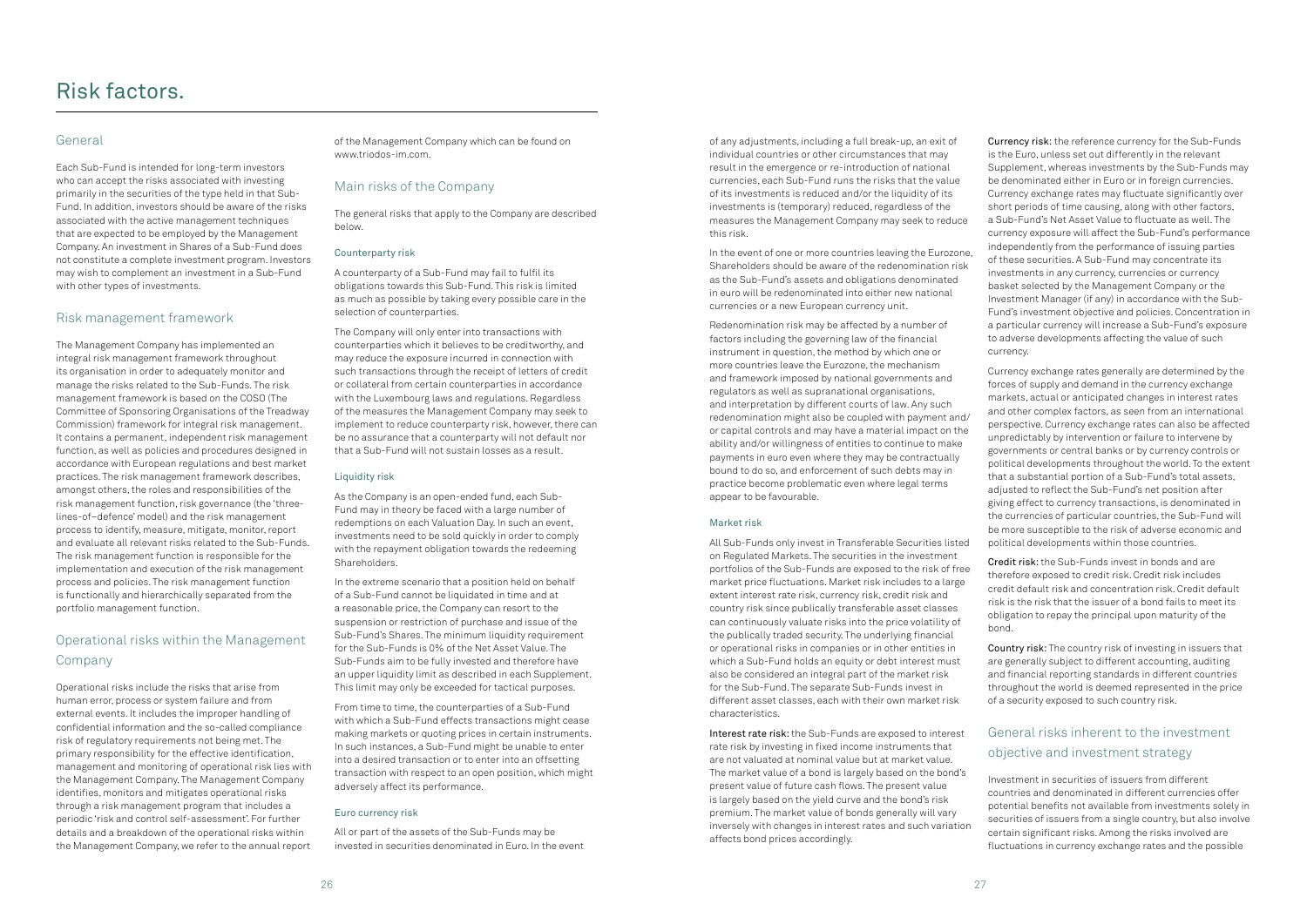of any adjustments, including a full break-up, an exit of individual countries or other circumstances that may result in the emergence or re-introduction of national currencies, each Sub-Fund runs the risks that the value of its investments is reduced and/or the liquidity of its investments is (temporary) reduced, regardless of the measures the Management Company may seek to reduce this risk.

In the event of one or more countries leaving the Eurozone, Shareholders should be aware of the redenomination risk as the Sub-Fund's assets and obligations denominated in euro will be redenominated into either new national currencies or a new European currency unit.

Redenomination risk may be affected by a number of factors including the governing law of the financial instrument in question, the method by which one or more countries leave the Eurozone, the mechanism and framework imposed by national governments and regulators as well as supranational organisations, and interpretation by different courts of law. Any such redenomination might also be coupled with payment and/ or capital controls and may have a material impact on the ability and/or willingness of entities to continue to make payments in euro even where they may be contractually bound to do so, and enforcement of such debts may in practice become problematic even where legal terms appear to be favourable.

### Market risk

All Sub-Funds only invest in Transferable Securities listed on Regulated Markets. The securities in the investment portfolios of the Sub-Funds are exposed to the risk of free market price fluctuations. Market risk includes to a large extent interest rate risk, currency risk, credit risk and country risk since publically transferable asset classes can continuously valuate risks into the price volatility of the publically traded security. The underlying financial or operational risks in companies or in other entities in which a Sub-Fund holds an equity or debt interest must also be considered an integral part of the market risk for the Sub-Fund. The separate Sub-Funds invest in different asset classes, each with their own market risk characteristics.

Interest rate risk: the Sub-Funds are exposed to interest rate risk by investing in fixed income instruments that are not valuated at nominal value but at market value. The market value of a bond is largely based on the bond's present value of future cash flows. The present value is largely based on the yield curve and the bond's risk premium. The market value of bonds generally will vary inversely with changes in interest rates and such variation affects bond prices accordingly.

Currency risk: the reference currency for the Sub-Funds is the Euro, unless set out differently in the relevant Supplement, whereas investments by the Sub-Funds may be denominated either in Euro or in foreign currencies. Currency exchange rates may fluctuate significantly over short periods of time causing, along with other factors, a Sub-Fund's Net Asset Value to fluctuate as well. The currency exposure will affect the Sub-Fund's performance independently from the performance of issuing parties of these securities. A Sub-Fund may concentrate its investments in any currency, currencies or currency basket selected by the Management Company or the Investment Manager (if any) in accordance with the Sub-Fund's investment objective and policies. Concentration in a particular currency will increase a Sub-Fund's exposure to adverse developments affecting the value of such currency.

Currency exchange rates generally are determined by the forces of supply and demand in the currency exchange markets, actual or anticipated changes in interest rates and other complex factors, as seen from an international perspective. Currency exchange rates can also be affected unpredictably by intervention or failure to intervene by governments or central banks or by currency controls or political developments throughout the world. To the extent that a substantial portion of a Sub-Fund's total assets, adjusted to reflect the Sub-Fund's net position after giving effect to currency transactions, is denominated in the currencies of particular countries, the Sub-Fund will be more susceptible to the risk of adverse economic and political developments within those countries.

Credit risk: the Sub-Funds invest in bonds and are therefore exposed to credit risk. Credit risk includes credit default risk and concentration risk. Credit default risk is the risk that the issuer of a bond fails to meet its obligation to repay the principal upon maturity of the bond.

Country risk: The country risk of investing in issuers that are generally subject to different accounting, auditing and financial reporting standards in different countries throughout the world is deemed represented in the price of a security exposed to such country risk.

### General risks inherent to the investment objective and investment strategy

Investment in securities of issuers from different countries and denominated in different currencies offer potential benefits not available from investments solely in securities of issuers from a single country, but also involve certain significant risks. Among the risks involved are fluctuations in currency exchange rates and the possible

### General

Each Sub-Fund is intended for long-term investors who can accept the risks associated with investing primarily in the securities of the type held in that Sub-Fund. In addition, investors should be aware of the risks associated with the active management techniques that are expected to be employed by the Management Company. An investment in Shares of a Sub-Fund does not constitute a complete investment program. Investors may wish to complement an investment in a Sub-Fund with other types of investments.

### Risk management framework

The Management Company has implemented an integral risk management framework throughout its organisation in order to adequately monitor and manage the risks related to the Sub-Funds. The risk management framework is based on the COSO (The Committee of Sponsoring Organisations of the Treadway Commission) framework for integral risk management. It contains a permanent, independent risk management function, as well as policies and procedures designed in accordance with European regulations and best market practices. The risk management framework describes, amongst others, the roles and responsibilities of the risk management function, risk governance (the 'threelines-of–defence' model) and the risk management process to identify, measure, mitigate, monitor, report and evaluate all relevant risks related to the Sub-Funds. The risk management function is responsible for the implementation and execution of the risk management process and policies. The risk management function is functionally and hierarchically separated from the portfolio management function.

## Operational risks within the Management Company

Operational risks include the risks that arise from human error, process or system failure and from external events. It includes the improper handling of confidential information and the so-called compliance risk of regulatory requirements not being met. The primary responsibility for the effective identification, management and monitoring of operational risk lies with the Management Company. The Management Company identifies, monitors and mitigates operational risks through a risk management program that includes a periodic 'risk and control self-assessment'. For further details and a breakdown of the operational risks within the Management Company, we refer to the annual report

of the Management Company which can be found on [www.triodos-im.com.](http://www.triodos-im.com/)

### Main risks of the Company

The general risks that apply to the Company are described below.

### Counterparty risk

A counterparty of a Sub-Fund may fail to fulfil its obligations towards this Sub-Fund. This risk is limited as much as possible by taking every possible care in the selection of counterparties.

The Company will only enter into transactions with counterparties which it believes to be creditworthy, and may reduce the exposure incurred in connection with such transactions through the receipt of letters of credit or collateral from certain counterparties in accordance with the Luxembourg laws and regulations. Regardless of the measures the Management Company may seek to implement to reduce counterparty risk, however, there can be no assurance that a counterparty will not default nor that a Sub-Fund will not sustain losses as a result.

### Liquidity risk

As the Company is an open-ended fund, each Sub-Fund may in theory be faced with a large number of redemptions on each Valuation Day. In such an event, investments need to be sold quickly in order to comply with the repayment obligation towards the redeeming Shareholders.

In the extreme scenario that a position held on behalf of a Sub-Fund cannot be liquidated in time and at a reasonable price, the Company can resort to the suspension or restriction of purchase and issue of the Sub-Fund's Shares. The minimum liquidity requirement for the Sub-Funds is 0% of the Net Asset Value. The Sub-Funds aim to be fully invested and therefore have an upper liquidity limit as described in each Supplement. This limit may only be exceeded for tactical purposes.

From time to time, the counterparties of a Sub-Fund with which a Sub-Fund effects transactions might cease making markets or quoting prices in certain instruments. In such instances, a Sub-Fund might be unable to enter into a desired transaction or to enter into an offsetting transaction with respect to an open position, which might adversely affect its performance.

### Euro currency risk

All or part of the assets of the Sub-Funds may be invested in securities denominated in Euro. In the event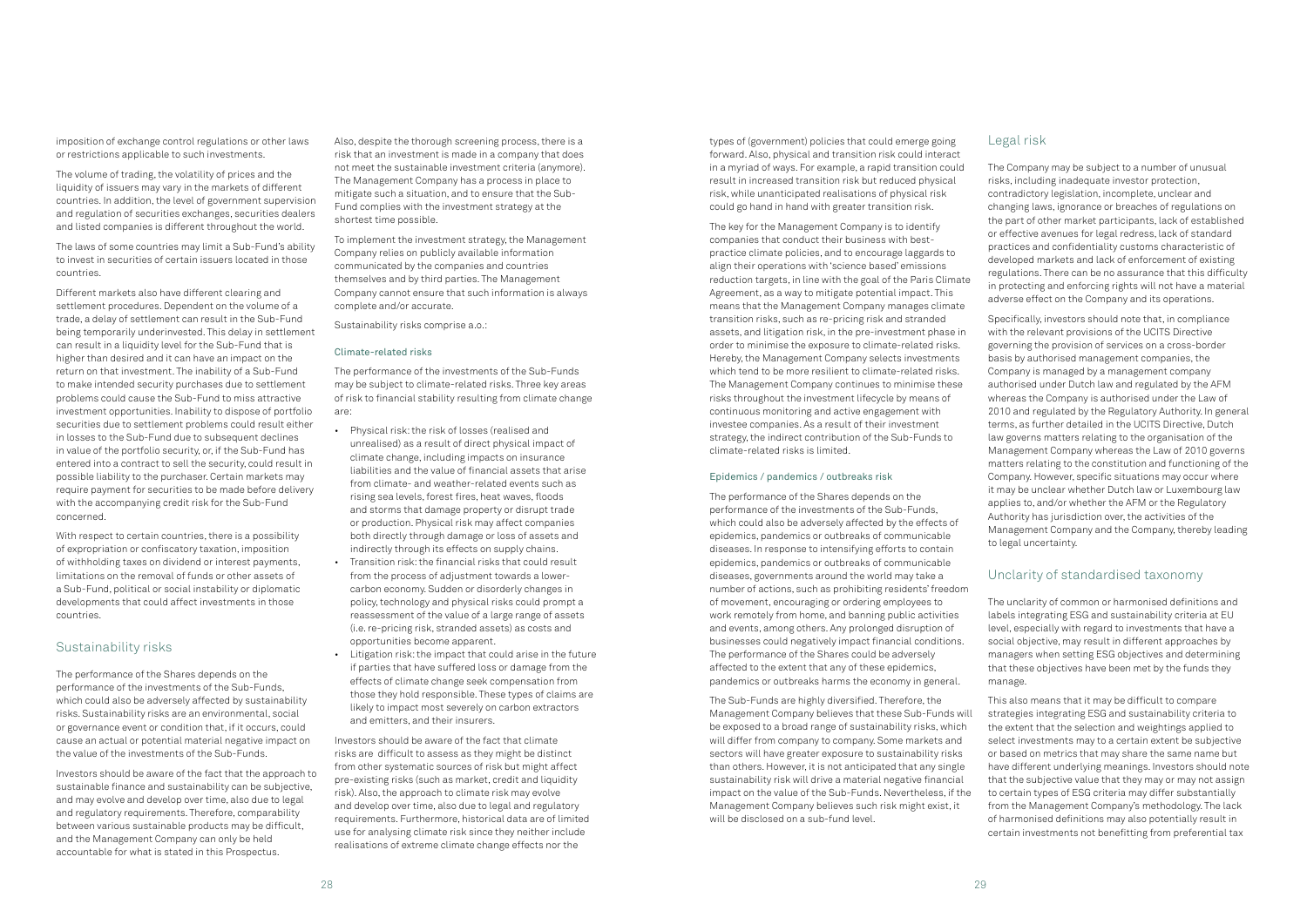types of (government) policies that could emerge going forward. Also, physical and transition risk could interact in a myriad of ways. For example, a rapid transition could result in increased transition risk but reduced physical risk, while unanticipated realisations of physical risk could go hand in hand with greater transition risk.

The key for the Management Company is to identify companies that conduct their business with bestpractice climate policies, and to encourage laggards to align their operations with 'science based' emissions reduction targets, in line with the goal of the Paris Climate Agreement, as a way to mitigate potential impact. This means that the Management Company manages climate transition risks, such as re-pricing risk and stranded assets, and litigation risk, in the pre-investment phase in order to minimise the exposure to climate-related risks. Hereby, the Management Company selects investments which tend to be more resilient to climate-related risks. The Management Company continues to minimise these risks throughout the investment lifecycle by means of continuous monitoring and active engagement with investee companies. As a result of their investment strategy, the indirect contribution of the Sub-Funds to climate-related risks is limited.

### Epidemics / pandemics / outbreaks risk

The performance of the Shares depends on the performance of the investments of the Sub-Funds, which could also be adversely affected by the effects of epidemics, pandemics or outbreaks of communicable diseases. In response to intensifying efforts to contain epidemics, pandemics or outbreaks of communicable diseases, governments around the world may take a number of actions, such as prohibiting residents' freedom of movement, encouraging or ordering employees to work remotely from home, and banning public activities and events, among others. Any prolonged disruption of businesses could negatively impact financial conditions. The performance of the Shares could be adversely affected to the extent that any of these epidemics, pandemics or outbreaks harms the economy in general.

The Sub-Funds are highly diversified. Therefore, the Management Company believes that these Sub-Funds will be exposed to a broad range of sustainability risks, which will differ from company to company. Some markets and sectors will have greater exposure to sustainability risks than others. However, it is not anticipated that any single sustainability risk will drive a material negative financial impact on the value of the Sub-Funds. Nevertheless, if the Management Company believes such risk might exist, it will be disclosed on a sub-fund level.

### Legal risk

The Company may be subject to a number of unusual risks, including inadequate investor protection, contradictory legislation, incomplete, unclear and changing laws, ignorance or breaches of regulations on the part of other market participants, lack of established or effective avenues for legal redress, lack of standard practices and confidentiality customs characteristic of developed markets and lack of enforcement of existing regulations. There can be no assurance that this difficulty in protecting and enforcing rights will not have a material adverse effect on the Company and its operations.

Specifically, investors should note that, in compliance with the relevant provisions of the UCITS Directive governing the provision of services on a cross-border basis by authorised management companies, the Company is managed by a management company authorised under Dutch law and regulated by the AFM whereas the Company is authorised under the Law of 2010 and regulated by the Regulatory Authority. In general terms, as further detailed in the UCITS Directive, Dutch law governs matters relating to the organisation of the Management Company whereas the Law of 2010 governs matters relating to the constitution and functioning of the Company. However, specific situations may occur where it may be unclear whether Dutch law or Luxembourg law applies to, and/or whether the AFM or the Regulatory Authority has jurisdiction over, the activities of the Management Company and the Company, thereby leading to legal uncertainty.

### Unclarity of standardised taxonomy

The unclarity of common or harmonised definitions and labels integrating ESG and sustainability criteria at EU level, especially with regard to investments that have a social objective, may result in different approaches by managers when setting ESG objectives and determining that these objectives have been met by the funds they manage.

This also means that it may be difficult to compare strategies integrating ESG and sustainability criteria to the extent that the selection and weightings applied to select investments may to a certain extent be subjective or based on metrics that may share the same name but have different underlying meanings. Investors should note that the subjective value that they may or may not assign to certain types of ESG criteria may differ substantially from the Management Company's methodology. The lack of harmonised definitions may also potentially result in certain investments not benefitting from preferential tax

imposition of exchange control regulations or other laws or restrictions applicable to such investments.

The volume of trading, the volatility of prices and the liquidity of issuers may vary in the markets of different countries. In addition, the level of government supervision and regulation of securities exchanges, securities dealers and listed companies is different throughout the world.

The laws of some countries may limit a Sub-Fund's ability to invest in securities of certain issuers located in those countries.

Different markets also have different clearing and settlement procedures. Dependent on the volume of a trade, a delay of settlement can result in the Sub-Fund being temporarily underinvested. This delay in settlement can result in a liquidity level for the Sub-Fund that is higher than desired and it can have an impact on the return on that investment. The inability of a Sub-Fund to make intended security purchases due to settlement problems could cause the Sub-Fund to miss attractive investment opportunities. Inability to dispose of portfolio securities due to settlement problems could result either in losses to the Sub-Fund due to subsequent declines in value of the portfolio security, or, if the Sub-Fund has entered into a contract to sell the security, could result in possible liability to the purchaser. Certain markets may require payment for securities to be made before delivery with the accompanying credit risk for the Sub-Fund concerned.

With respect to certain countries, there is a possibility of expropriation or confiscatory taxation, imposition of withholding taxes on dividend or interest payments, limitations on the removal of funds or other assets of a Sub-Fund, political or social instability or diplomatic developments that could affect investments in those countries.

### Sustainability risks

The performance of the Shares depends on the performance of the investments of the Sub-Funds, which could also be adversely affected by sustainability risks. Sustainability risks are an environmental, social or governance event or condition that, if it occurs, could cause an actual or potential material negative impact on the value of the investments of the Sub-Funds.

Investors should be aware of the fact that the approach to sustainable finance and sustainability can be subjective, and may evolve and develop over time, also due to legal and regulatory requirements. Therefore, comparability between various sustainable products may be difficult, and the Management Company can only be held accountable for what is stated in this Prospectus.

Also, despite the thorough screening process, there is a risk that an investment is made in a company that does not meet the sustainable investment criteria (anymore). The Management Company has a process in place to mitigate such a situation, and to ensure that the Sub-Fund complies with the investment strategy at the shortest time possible.

To implement the investment strategy, the Management Company relies on publicly available information communicated by the companies and countries themselves and by third parties. The Management Company cannot ensure that such information is always complete and/or accurate.

Sustainability risks comprise a.o.:

### Climate-related risks

The performance of the investments of the Sub-Funds may be subject to climate-related risks. Three key areas of risk to financial stability resulting from climate change are:

- Physical risk: the risk of losses (realised and unrealised) as a result of direct physical impact of climate change, including impacts on insurance liabilities and the value of financial assets that arise from climate- and weather-related events such as rising sea levels, forest fires, heat waves, floods and storms that damage property or disrupt trade or production. Physical risk may affect companies both directly through damage or loss of assets and indirectly through its effects on supply chains.
- Transition risk: the financial risks that could result from the process of adjustment towards a lowercarbon economy. Sudden or disorderly changes in policy, technology and physical risks could prompt a reassessment of the value of a large range of assets (i.e. re-pricing risk, stranded assets) as costs and opportunities become apparent.
- Litigation risk: the impact that could arise in the future if parties that have suffered loss or damage from the effects of climate change seek compensation from those they hold responsible. These types of claims are likely to impact most severely on carbon extractors and emitters, and their insurers.

Investors should be aware of the fact that climate risks are difficult to assess as they might be distinct from other systematic sources of risk but might affect pre-existing risks (such as market, credit and liquidity risk). Also, the approach to climate risk may evolve and develop over time, also due to legal and regulatory requirements. Furthermore, historical data are of limited use for analysing climate risk since they neither include realisations of extreme climate change effects nor the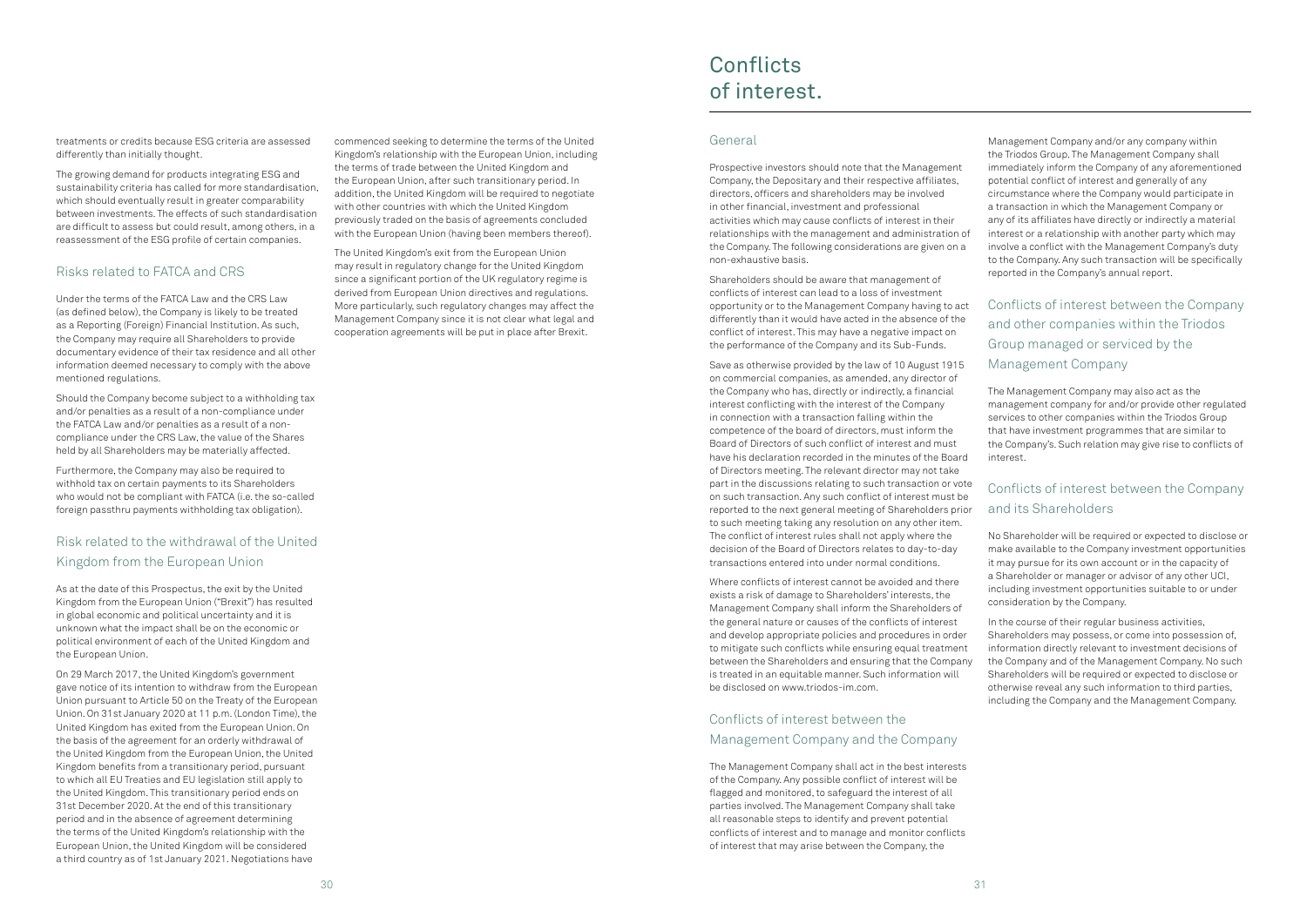treatments or credits because ESG criteria are assessed differently than initially thought.

The growing demand for products integrating ESG and sustainability criteria has called for more standardisation, which should eventually result in greater comparability between investments. The effects of such standardisation are difficult to assess but could result, among others, in a reassessment of the ESG profile of certain companies.

### Risks related to FATCA and CRS

Under the terms of the FATCA Law and the CRS Law (as defined below), the Company is likely to be treated as a Reporting (Foreign) Financial Institution. As such, the Company may require all Shareholders to provide documentary evidence of their tax residence and all other information deemed necessary to comply with the above mentioned regulations.

Should the Company become subject to a withholding tax and/or penalties as a result of a non-compliance under the FATCA Law and/or penalties as a result of a noncompliance under the CRS Law, the value of the Shares held by all Shareholders may be materially affected.

Furthermore, the Company may also be required to withhold tax on certain payments to its Shareholders who would not be compliant with FATCA (i.e. the so-called foreign passthru payments withholding tax obligation).

### Risk related to the withdrawal of the United Kingdom from the European Union

As at the date of this Prospectus, the exit by the United Kingdom from the European Union ("Brexit") has resulted in global economic and political uncertainty and it is unknown what the impact shall be on the economic or political environment of each of the United Kingdom and the European Union.

On 29 March 2017, the United Kingdom's government gave notice of its intention to withdraw from the European Union pursuant to Article 50 on the Treaty of the European Union. On 31st January 2020 at 11 p.m. (London Time), the United Kingdom has exited from the European Union. On the basis of the agreement for an orderly withdrawal of the United Kingdom from the European Union, the United Kingdom benefits from a transitionary period, pursuant to which all EU Treaties and EU legislation still apply to the United Kingdom. This transitionary period ends on 31st December 2020. At the end of this transitionary period and in the absence of agreement determining the terms of the United Kingdom's relationship with the European Union, the United Kingdom will be considered a third country as of 1st January 2021. Negotiations have

commenced seeking to determine the terms of the United Kingdom's relationship with the European Union, including the terms of trade between the United Kingdom and the European Union, after such transitionary period. In addition, the United Kingdom will be required to negotiate with other countries with which the United Kingdom previously traded on the basis of agreements concluded with the European Union (having been members thereof).

The United Kingdom's exit from the European Union may result in regulatory change for the United Kingdom since a significant portion of the UK regulatory regime is derived from European Union directives and regulations. More particularly, such regulatory changes may affect the Management Company since it is not clear what legal and cooperation agreements will be put in place after Brexit.

### General

Prospective investors should note that the Management Company, the Depositary and their respective affiliates, directors, officers and shareholders may be involved in other financial, investment and professional activities which may cause conflicts of interest in their relationships with the management and administration of the Company. The following considerations are given on a non-exhaustive basis.

## **Conflicts** of interest.

Shareholders should be aware that management of conflicts of interest can lead to a loss of investment opportunity or to the Management Company having to act differently than it would have acted in the absence of the conflict of interest. This may have a negative impact on the performance of the Company and its Sub-Funds.

Save as otherwise provided by the law of 10 August 1915 on commercial companies, as amended, any director of the Company who has, directly or indirectly, a financial interest conflicting with the interest of the Company in connection with a transaction falling within the competence of the board of directors, must inform the Board of Directors of such conflict of interest and must have his declaration recorded in the minutes of the Board of Directors meeting. The relevant director may not take part in the discussions relating to such transaction or vote on such transaction. Any such conflict of interest must be reported to the next general meeting of Shareholders prior to such meeting taking any resolution on any other item. The conflict of interest rules shall not apply where the decision of the Board of Directors relates to day-to-day transactions entered into under normal conditions.

Where conflicts of interest cannot be avoided and there exists a risk of damage to Shareholders' interests, the Management Company shall inform the Shareholders of the general nature or causes of the conflicts of interest and develop appropriate policies and procedures in order to mitigate such conflicts while ensuring equal treatment between the Shareholders and ensuring that the Company is treated in an equitable manner. Such information will be disclosed on [www.triodos-im.com.](http://www.triodos-im.com/)

### Conflicts of interest between the Management Company and the Company

The Management Company shall act in the best interests of the Company. Any possible conflict of interest will be flagged and monitored, to safeguard the interest of all parties involved. The Management Company shall take all reasonable steps to identify and prevent potential conflicts of interest and to manage and monitor conflicts of interest that may arise between the Company, the

Management Company and/or any company within the Triodos Group. The Management Company shall immediately inform the Company of any aforementioned potential conflict of interest and generally of any circumstance where the Company would participate in a transaction in which the Management Company or any of its affiliates have directly or indirectly a material interest or a relationship with another party which may involve a conflict with the Management Company's duty to the Company. Any such transaction will be specifically reported in the Company's annual report.

Conflicts of interest between the Company and other companies within the Triodos Group managed or serviced by the Management Company

The Management Company may also act as the management company for and/or provide other regulated services to other companies within the Triodos Group that have investment programmes that are similar to the Company's. Such relation may give rise to conflicts of interest.

### Conflicts of interest between the Company and its Shareholders

No Shareholder will be required or expected to disclose or make available to the Company investment opportunities it may pursue for its own account or in the capacity of a Shareholder or manager or advisor of any other UCI, including investment opportunities suitable to or under consideration by the Company.

In the course of their regular business activities, Shareholders may possess, or come into possession of, information directly relevant to investment decisions of the Company and of the Management Company. No such Shareholders will be required or expected to disclose or otherwise reveal any such information to third parties, including the Company and the Management Company.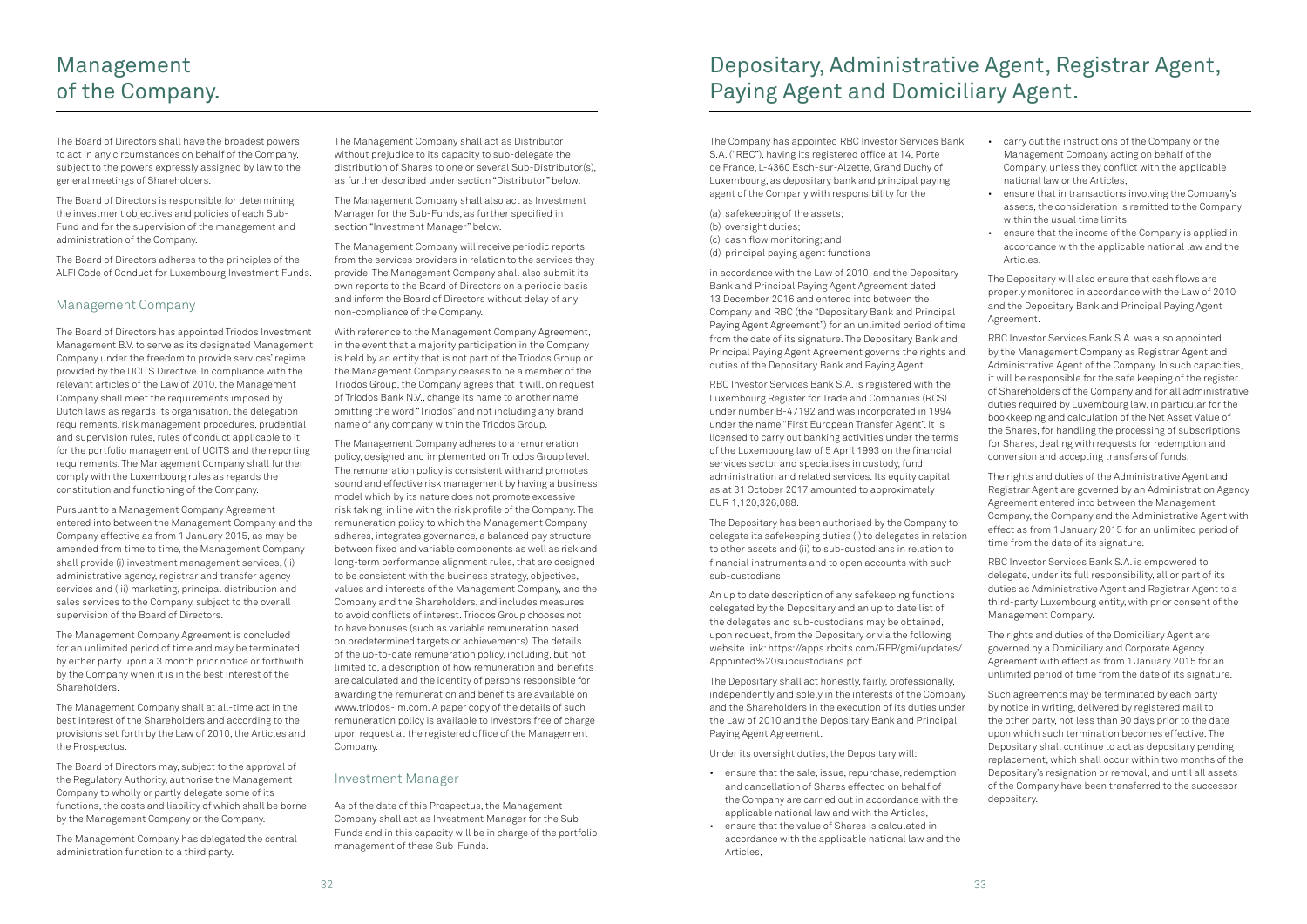The Board of Directors shall have the broadest powers to act in any circumstances on behalf of the Company, subject to the powers expressly assigned by law to the general meetings of Shareholders.

The Board of Directors is responsible for determining the investment objectives and policies of each Sub-Fund and for the supervision of the management and administration of the Company.

The Board of Directors adheres to the principles of the ALFI Code of Conduct for Luxembourg Investment Funds.

### Management Company

The Board of Directors has appointed Triodos Investment Management B.V. to serve as its designated Management Company under the freedom to provide services' regime provided by the UCITS Directive. In compliance with the relevant articles of the Law of 2010, the Management Company shall meet the requirements imposed by Dutch laws as regards its organisation, the delegation requirements, risk management procedures, prudential and supervision rules, rules of conduct applicable to it for the portfolio management of UCITS and the reporting requirements. The Management Company shall further comply with the Luxembourg rules as regards the constitution and functioning of the Company.

Pursuant to a Management Company Agreement entered into between the Management Company and the Company effective as from 1 January 2015, as may be amended from time to time, the Management Company shall provide (i) investment management services, (ii) administrative agency, registrar and transfer agency services and (iii) marketing, principal distribution and sales services to the Company, subject to the overall supervision of the Board of Directors.

The Management Company Agreement is concluded for an unlimited period of time and may be terminated by either party upon a 3 month prior notice or forthwith by the Company when it is in the best interest of the Shareholders.

The Management Company shall at all-time act in the best interest of the Shareholders and according to the provisions set forth by the Law of 2010, the Articles and the Prospectus.

The Board of Directors may, subject to the approval of the Regulatory Authority, authorise the Management Company to wholly or partly delegate some of its functions, the costs and liability of which shall be borne by the Management Company or the Company.

The Management Company has delegated the central administration function to a third party.

The Management Company shall act as Distributor without prejudice to its capacity to sub-delegate the distribution of Shares to one or several Sub-Distributor(s), as further described under section "Distributor" below.

The Management Company shall also act as Investment Manager for the Sub-Funds, as further specified in section "Investment Manager" below.

The Management Company will receive periodic reports from the services providers in relation to the services they provide. The Management Company shall also submit its own reports to the Board of Directors on a periodic basis and inform the Board of Directors without delay of any non-compliance of the Company.

With reference to the Management Company Agreement, in the event that a majority participation in the Company is held by an entity that is not part of the Triodos Group or the Management Company ceases to be a member of the Triodos Group, the Company agrees that it will, on request of Triodos Bank N.V., change its name to another name omitting the word "Triodos" and not including any brand name of any company within the Triodos Group.

The Management Company adheres to a remuneration policy, designed and implemented on Triodos Group level. The remuneration policy is consistent with and promotes sound and effective risk management by having a business model which by its nature does not promote excessive risk taking, in line with the risk profile of the Company. The remuneration policy to which the Management Company adheres, integrates governance, a balanced pay structure between fixed and variable components as well as risk and long-term performance alignment rules, that are designed to be consistent with the business strategy, objectives, values and interests of the Management Company, and the Company and the Shareholders, and includes measures to avoid conflicts of interest. Triodos Group chooses not to have bonuses (such as variable remuneration based on predetermined targets or achievements). The details of the up-to-date remuneration policy, including, but not limited to, a description of how remuneration and benefits are calculated and the identity of persons responsible for awarding the remuneration and benefits are available on [www.triodos-im.com. A](http://www.triodos-im.com/) paper copy of the details of such remuneration policy is available to investors free of charge upon request at the registered office of the Management Company.

### Investment Manager

As of the date of this Prospectus, the Management Company shall act as Investment Manager for the Sub-Funds and in this capacity will be in charge of the portfolio management of these Sub-Funds.

## Management of the Company.

The Company has appointed RBC Investor Services Bank S.A. ("RBC"), having its registered office at 14, Porte de France, L-4360 Esch-sur-Alzette, Grand Duchy of Luxembourg, as depositary bank and principal paying agent of the Company with responsibility for the

(a) safekeeping of the assets; (b) oversight duties; (c) cash flow monitoring; and (d) principal paying agent functions

in accordance with the Law of 2010, and the Depositary Bank and Principal Paying Agent Agreement dated 13 December 2016 and entered into between the Company and RBC (the "Depositary Bank and Principal Paying Agent Agreement") for an unlimited period of time from the date of its signature. The Depositary Bank and Principal Paying Agent Agreement governs the rights and duties of the Depositary Bank and Paying Agent.

RBC Investor Services Bank S.A. is registered with the Luxembourg Register for Trade and Companies (RCS) under number B-47192 and was incorporated in 1994 under the name "First European Transfer Agent". It is licensed to carry out banking activities under the terms of the Luxembourg law of 5 April 1993 on the financial services sector and specialises in custody, fund administration and related services. Its equity capital as at 31 October 2017 amounted to approximately EUR 1,120,326,088.

The Depositary has been authorised by the Company to delegate its safekeeping duties (i) to delegates in relation to other assets and (ii) to sub-custodians in relation to financial instruments and to open accounts with such sub-custodians.

An up to date description of any safekeeping functions delegated by the Depositary and an up to date list of the delegates and sub-custodians may be obtained, upon request, from the Depositary or via the following website link: https://apps.rbcits.com/RFP/gmi/updates/ Appointed%20subcustodians.pdf.

The Depositary shall act honestly, fairly, professionally, independently and solely in the interests of the Company and the Shareholders in the execution of its duties under the Law of 2010 and the Depositary Bank and Principal Paying Agent Agreement.

Under its oversight duties, the Depositary will:

- ensure that the sale, issue, repurchase, redemption and cancellation of Shares effected on behalf of the Company are carried out in accordance with the applicable national law and with the Articles,
- ensure that the value of Shares is calculated in accordance with the applicable national law and the Articles,
- carry out the instructions of the Company or the Management Company acting on behalf of the Company, unless they conflict with the applicable national law or the Articles,
- ensure that in transactions involving the Company's assets, the consideration is remitted to the Company within the usual time limits,
- ensure that the income of the Company is applied in accordance with the applicable national law and the Articles.

The Depositary will also ensure that cash flows are properly monitored in accordance with the Law of 2010 and the Depositary Bank and Principal Paying Agent Agreement.

RBC Investor Services Bank S.A. was also appointed by the Management Company as Registrar Agent and Administrative Agent of the Company. In such capacities, it will be responsible for the safe keeping of the register of Shareholders of the Company and for all administrative duties required by Luxembourg law, in particular for the bookkeeping and calculation of the Net Asset Value of the Shares, for handling the processing of subscriptions for Shares, dealing with requests for redemption and conversion and accepting transfers of funds.

The rights and duties of the Administrative Agent and Registrar Agent are governed by an Administration Agency Agreement entered into between the Management Company, the Company and the Administrative Agent with effect as from 1 January 2015 for an unlimited period of time from the date of its signature.

RBC Investor Services Bank S.A. is empowered to delegate, under its full responsibility, all or part of its duties as Administrative Agent and Registrar Agent to a third-party Luxembourg entity, with prior consent of the Management Company.

The rights and duties of the Domiciliary Agent are governed by a Domiciliary and Corporate Agency Agreement with effect as from 1 January 2015 for an unlimited period of time from the date of its signature.

Such agreements may be terminated by each party by notice in writing, delivered by registered mail to the other party, not less than 90 days prior to the date upon which such termination becomes effective. The Depositary shall continue to act as depositary pending replacement, which shall occur within two months of the Depositary's resignation or removal, and until all assets of the Company have been transferred to the successor depositary.

# Depositary, Administrative Agent, Registrar Agent, Paying Agent and Domiciliary Agent.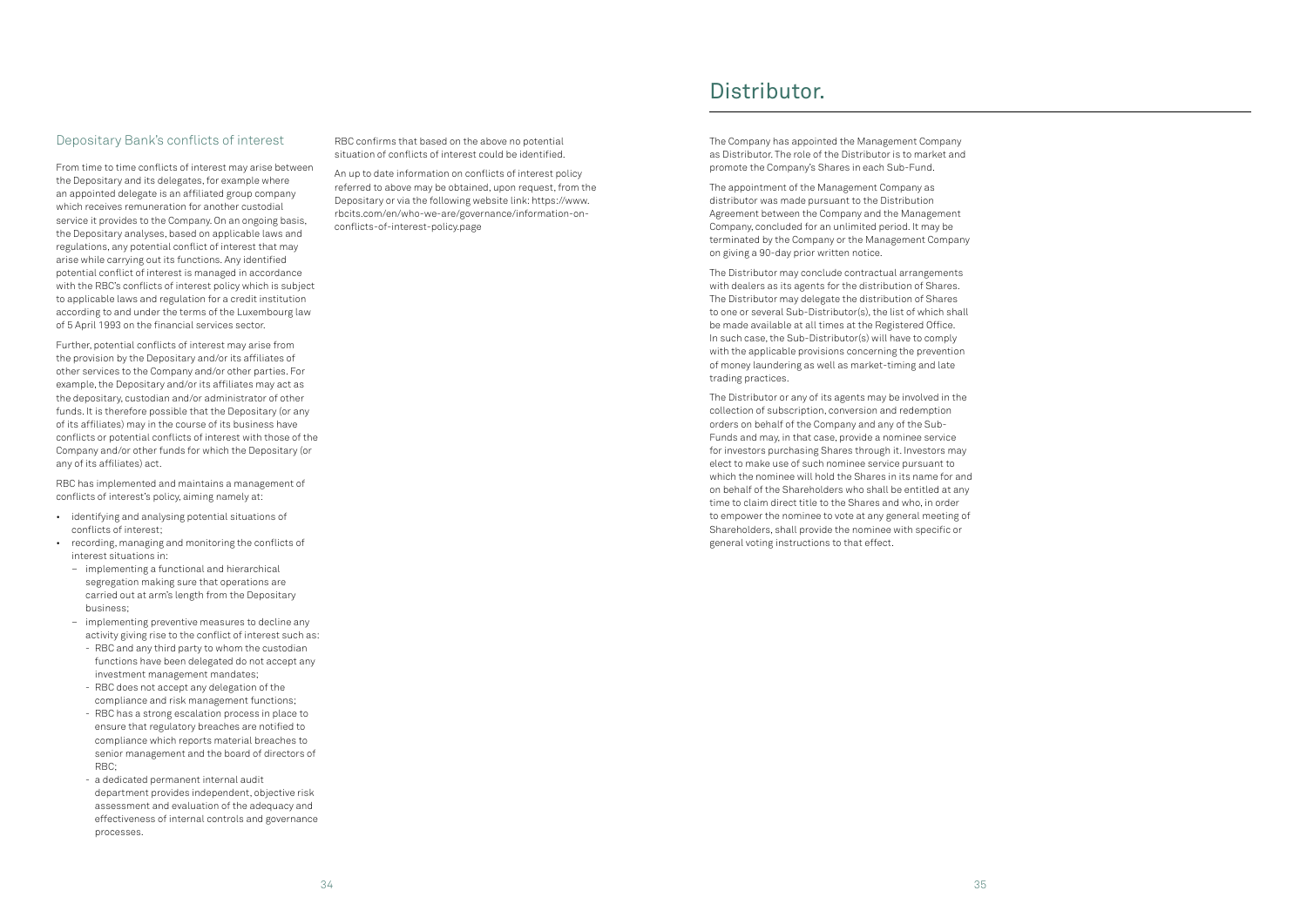### Depositary Bank's conflicts of interest

From time to time conflicts of interest may arise between the Depositary and its delegates, for example where an appointed delegate is an affiliated group company which receives remuneration for another custodial service it provides to the Company. On an ongoing basis, the Depositary analyses, based on applicable laws and regulations, any potential conflict of interest that may arise while carrying out its functions. Any identified potential conflict of interest is managed in accordance with the RBC's conflicts of interest policy which is subject to applicable laws and regulation for a credit institution according to and under the terms of the Luxembourg law of 5 April 1993 on the financial services sector.

Further, potential conflicts of interest may arise from the provision by the Depositary and/or its affiliates of other services to the Company and/or other parties. For example, the Depositary and/or its affiliates may act as the depositary, custodian and/or administrator of other funds. It is therefore possible that the Depositary (or any of its affiliates) may in the course of its business have conflicts or potential conflicts of interest with those of the Company and/or other funds for which the Depositary (or any of its affiliates) act.

RBC has implemented and maintains a management of conflicts of interest's policy, aiming namely at:

- identifying and analysing potential situations of conflicts of interest;
- recording, managing and monitoring the conflicts of interest situations in:
	- implementing a functional and hierarchical segregation making sure that operations are carried out at arm's length from the Depositary business;
	- implementing preventive measures to decline any activity giving rise to the conflict of interest such as:
		- RBC and any third party to whom the custodian functions have been delegated do not accept any investment management mandates;
		- RBC does not accept any delegation of the compliance and risk management functions;
		- RBC has a strong escalation process in place to ensure that regulatory breaches are notified to compliance which reports material breaches to senior management and the board of directors of RBC;
		- a dedicated permanent internal audit department provides independent, objective risk assessment and evaluation of the adequacy and effectiveness of internal controls and governance processes.

RBC confirms that based on the above no potential situation of conflicts of interest could be identified.

An up to date information on conflicts of interest policy referred to above may be obtained, upon request, from the Depositary or via the following website link: https://www. rbcits.com/en/who-we-are/governance/information-onconflicts-of-interest-policy.page

The Company has appointed the Management Company as Distributor. The role of the Distributor is to market and promote the Company's Shares in each Sub-Fund.

The appointment of the Management Company as distributor was made pursuant to the Distribution Agreement between the Company and the Management Company, concluded for an unlimited period. It may be terminated by the Company or the Management Company on giving a 90-day prior written notice.

The Distributor may conclude contractual arrangements with dealers as its agents for the distribution of Shares. The Distributor may delegate the distribution of Shares to one or several Sub-Distributor(s), the list of which shall be made available at all times at the Registered Office. In such case, the Sub-Distributor(s) will have to comply with the applicable provisions concerning the prevention of money laundering as well as market-timing and late trading practices.

The Distributor or any of its agents may be involved in the collection of subscription, conversion and redemption orders on behalf of the Company and any of the Sub-Funds and may, in that case, provide a nominee service for investors purchasing Shares through it. Investors may elect to make use of such nominee service pursuant to which the nominee will hold the Shares in its name for and on behalf of the Shareholders who shall be entitled at any time to claim direct title to the Shares and who, in order to empower the nominee to vote at any general meeting of Shareholders, shall provide the nominee with specific or general voting instructions to that effect.

## Distributor.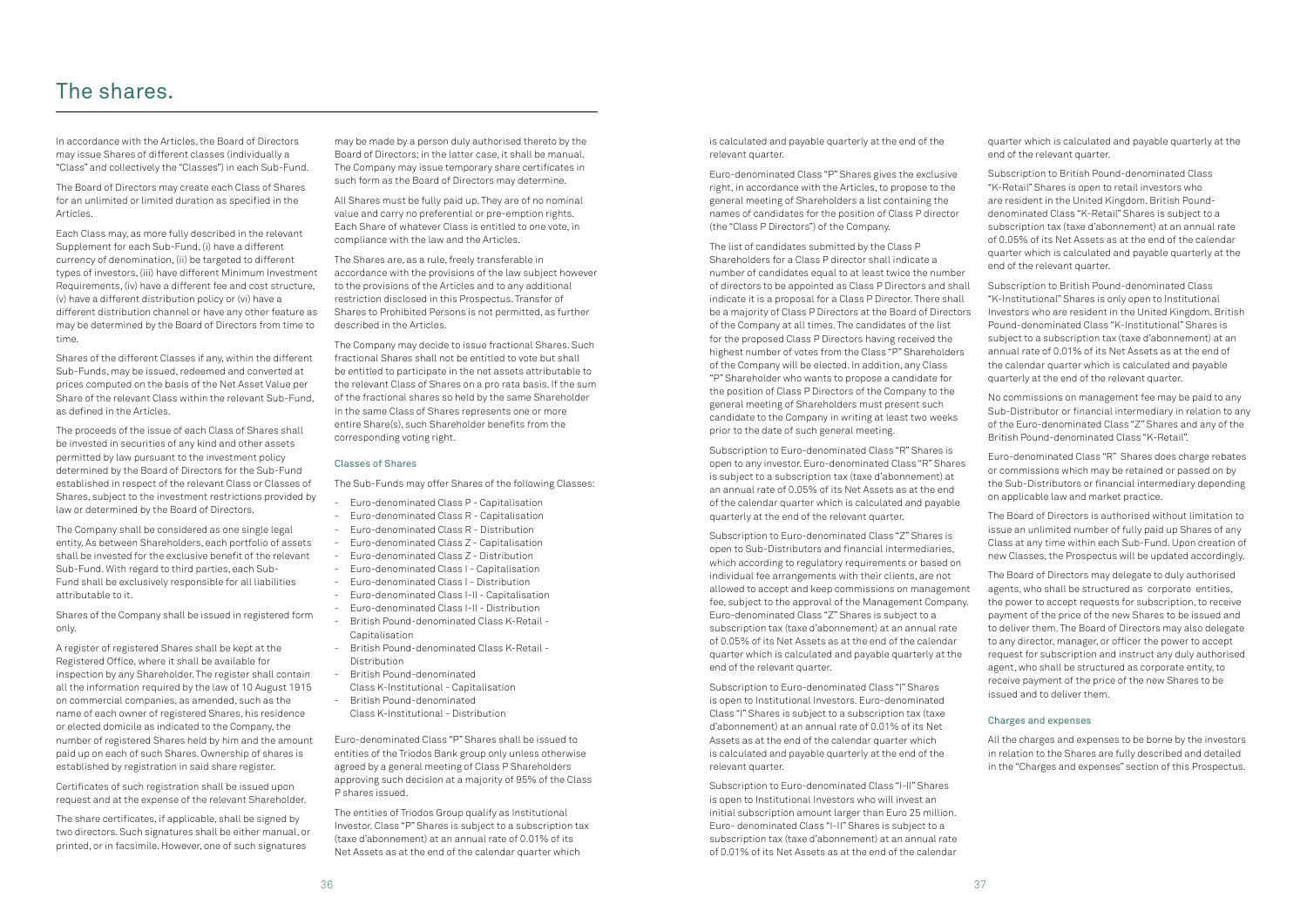In accordance with the Articles, the Board of Directors may issue Shares of different classes (individually a "Class" and collectively the "Classes") in each Sub-Fund.

The Board of Directors may create each Class of Shares for an unlimited or limited duration as specified in the Articles.

Each Class may, as more fully described in the relevant Supplement for each Sub-Fund, (i) have a different currency of denomination, (ii) be targeted to different types of investors, (iii) have different Minimum Investment Requirements, (iv) have a different fee and cost structure, (v) have a different distribution policy or (vi) have a different distribution channel or have any other feature as may be determined by the Board of Directors from time to time.

Shares of the different Classes if any, within the different Sub-Funds, may be issued, redeemed and converted at prices computed on the basis of the Net Asset Value per Share of the relevant Class within the relevant Sub-Fund, as defined in the Articles.

The proceeds of the issue of each Class of Shares shall be invested in securities of any kind and other assets permitted by law pursuant to the investment policy determined by the Board of Directors for the Sub-Fund established in respect of the relevant Class or Classes of Shares, subject to the investment restrictions provided by law or determined by the Board of Directors.

The Company shall be considered as one single legal entity. As between Shareholders, each portfolio of assets shall be invested for the exclusive benefit of the relevant Sub-Fund. With regard to third parties, each Sub-Fund shall be exclusively responsible for all liabilities attributable to it.

Shares of the Company shall be issued in registered form only.

A register of registered Shares shall be kept at the Registered Office, where it shall be available for inspection by any Shareholder. The register shall contain all the information required by the law of 10 August 1915 on commercial companies, as amended, such as the name of each owner of registered Shares, his residence or elected domicile as indicated to the Company, the number of registered Shares held by him and the amount paid up on each of such Shares. Ownership of shares is established by registration in said share register.

Certificates of such registration shall be issued upon request and at the expense of the relevant Shareholder.

The share certificates, if applicable, shall be signed by two directors. Such signatures shall be either manual, or printed, or in facsimile. However, one of such signatures

may be made by a person duly authorised thereto by the Board of Directors; in the latter case, it shall be manual. The Company may issue temporary share certificates in such form as the Board of Directors may determine.

All Shares must be fully paid up. They are of no nominal value and carry no preferential or pre-emption rights. Each Share of whatever Class is entitled to one vote, in compliance with the law and the Articles.

The Shares are, as a rule, freely transferable in accordance with the provisions of the law subject however to the provisions of the Articles and to any additional restriction disclosed in this Prospectus. Transfer of Shares to Prohibited Persons is not permitted, as further described in the Articles.

The Company may decide to issue fractional Shares. Such fractional Shares shall not be entitled to vote but shall be entitled to participate in the net assets attributable to the relevant Class of Shares on a pro rata basis. If the sum of the fractional shares so held by the same Shareholder in the same Class of Shares represents one or more entire Share(s), such Shareholder benefits from the corresponding voting right.

### Classes of Shares

The Sub-Funds may offer Shares of the following Classes:

- Euro-denominated Class P Capitalisation
- Euro-denominated Class R Capitalisation
- Euro-denominated Class R Distribution
- Euro-denominated Class Z Capitalisation
- Euro-denominated Class Z Distribution
- Euro-denominated Class I Capitalisation
- Euro-denominated Class I Distribution
- Euro-denominated Class I-II Capitalisation
- Euro-denominated Class I-II Distribution
- British Pound-denominated Class K-Retail Capitalisation
- British Pound-denominated Class K-Retail Distribution
- British Pound-denominated
- Class K-Institutional Capitalisation - British Pound-denominated
- Class K-Institutional Distribution

Euro-denominated Class "P" Shares shall be issued to entities of the Triodos Bank group only unless otherwise agreed by a general meeting of Class P Shareholders approving such decision at a majority of 95% of the Class P shares issued.

The entities of Triodos Group qualify as Institutional Investor. Class "P" Shares is subject to a subscription tax (taxe d'abonnement) at an annual rate of 0.01% of its Net Assets as at the end of the calendar quarter which

## The shares.

is calculated and payable quarterly at the end of the relevant quarter.

Euro-denominated Class "P" Shares gives the exclusive right, in accordance with the Articles, to propose to the general meeting of Shareholders a list containing the names of candidates for the position of Class P director (the "Class P Directors") of the Company.

The list of candidates submitted by the Class P Shareholders for a Class P director shall indicate a number of candidates equal to at least twice the number of directors to be appointed as Class P Directors and shall indicate it is a proposal for a Class P Director. There shall be a majority of Class P Directors at the Board of Directors of the Company at all times. The candidates of the list for the proposed Class P Directors having received the highest number of votes from the Class "P" Shareholders of the Company will be elected. In addition, any Class "P" Shareholder who wants to propose a candidate for the position of Class P Directors of the Company to the general meeting of Shareholders must present such candidate to the Company in writing at least two weeks prior to the date of such general meeting.

Subscription to Euro-denominated Class "R" Shares is open to any investor. Euro-denominated Class "R" Shares is subject to a subscription tax (taxe d'abonnement) at an annual rate of 0.05% of its Net Assets as at the end of the calendar quarter which is calculated and payable quarterly at the end of the relevant quarter.

Subscription to Euro-denominated Class "Z" Shares is open to Sub-Distributors and financial intermediaries, which according to regulatory requirements or based on individual fee arrangements with their clients, are not allowed to accept and keep commissions on management fee, subject to the approval of the Management Company. Euro-denominated Class "Z" Shares is subject to a subscription tax (taxe d'abonnement) at an annual rate of 0.05% of its Net Assets as at the end of the calendar quarter which is calculated and payable quarterly at the end of the relevant quarter.

Subscription to Euro-denominated Class "I" Shares is open to Institutional Investors. Euro-denominated Class "I" Shares is subject to a subscription tax (taxe d'abonnement) at an annual rate of 0.01% of its Net Assets as at the end of the calendar quarter which is calculated and payable quarterly at the end of the relevant quarter.

Subscription to Euro-denominated Class "I-II" Shares is open to Institutional Investors who will invest an initial subscription amount larger than Euro 25 million. Euro- denominated Class "I-II" Shares is subject to a subscription tax (taxe d'abonnement) at an annual rate of 0.01% of its Net Assets as at the end of the calendar

quarter which is calculated and payable quarterly at the end of the relevant quarter.

Subscription to British Pound-denominated Class "K-Retail" Shares is open to retail investors who are resident in the United Kingdom. British Pounddenominated Class "K-Retail" Shares is subject to a subscription tax (taxe d'abonnement) at an annual rate of 0.05% of its Net Assets as at the end of the calendar quarter which is calculated and payable quarterly at the end of the relevant quarter.

Subscription to British Pound-denominated Class "K-Institutional" Shares is only open to Institutional Investors who are resident in the United Kingdom. British Pound-denominated Class "K-Institutional" Shares is subject to a subscription tax (taxe d'abonnement) at an annual rate of 0.01% of its Net Assets as at the end of the calendar quarter which is calculated and payable quarterly at the end of the relevant quarter.

No commissions on management fee may be paid to any Sub-Distributor or financial intermediary in relation to any of the Euro-denominated Class "Z" Shares and any of the British Pound-denominated Class "K-Retail".

Euro-denominated Class "R" Shares does charge rebates or commissions which may be retained or passed on by the Sub-Distributors or financial intermediary depending on applicable law and market practice.

The Board of Directors is authorised without limitation to issue an unlimited number of fully paid up Shares of any Class at any time within each Sub-Fund. Upon creation of new Classes, the Prospectus will be updated accordingly.

The Board of Directors may delegate to duly authorised agents, who shall be structured as corporate entities, the power to accept requests for subscription, to receive payment of the price of the new Shares to be issued and to deliver them. The Board of Directors may also delegate to any director, manager, or officer the power to accept request for subscription and instruct any duly authorised agent, who shall be structured as corporate entity, to receive payment of the price of the new Shares to be issued and to deliver them.

### Charges and expenses

All the charges and expenses to be borne by the investors in relation to the Shares are fully described and detailed in the "Charges and expenses" section of this Prospectus.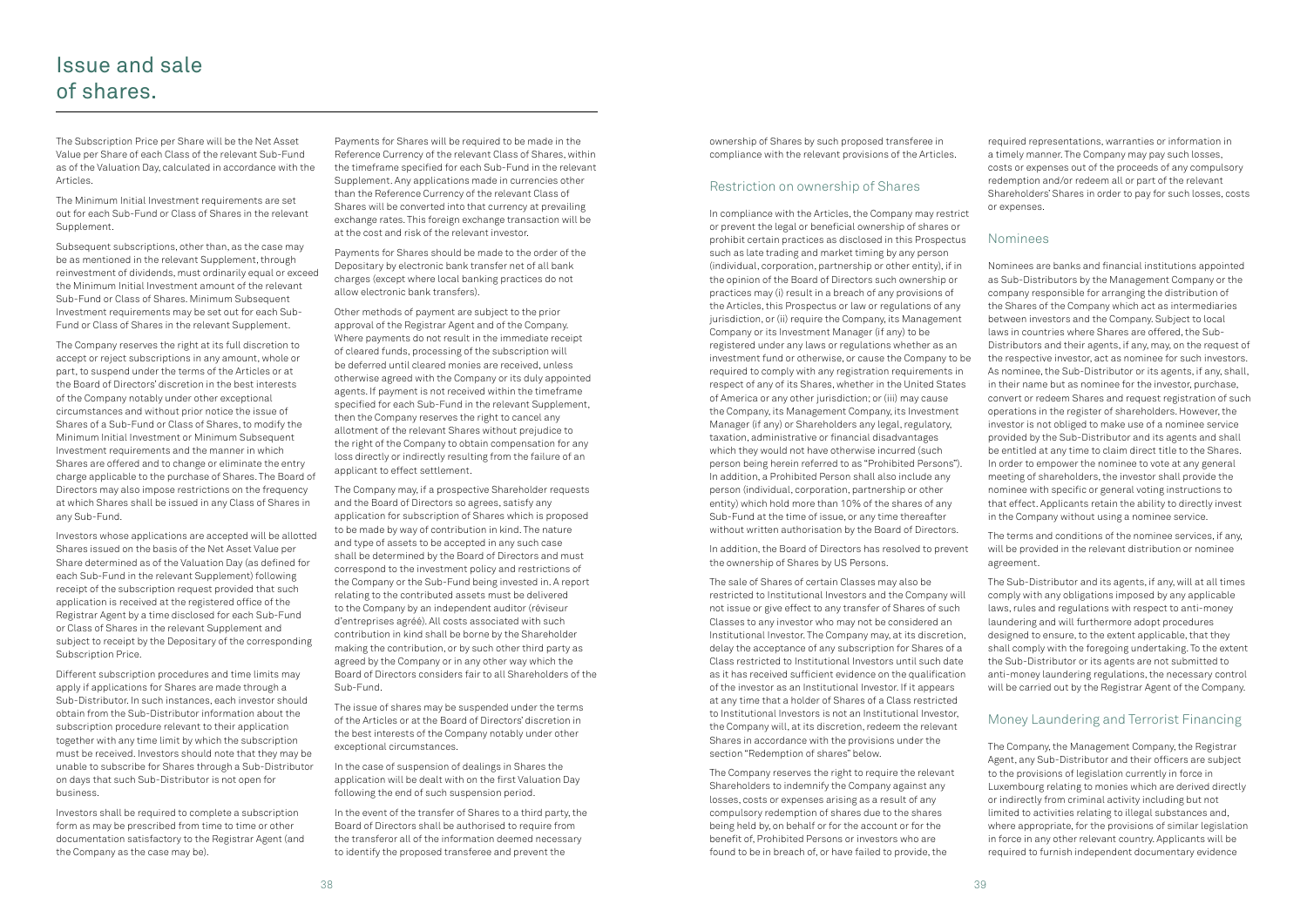The Subscription Price per Share will be the Net Asset Value per Share of each Class of the relevant Sub-Fund as of the Valuation Day, calculated in accordance with the Articles.

The Minimum Initial Investment requirements are set out for each Sub-Fund or Class of Shares in the relevant Supplement.

Subsequent subscriptions, other than, as the case may be as mentioned in the relevant Supplement, through reinvestment of dividends, must ordinarily equal or exceed the Minimum Initial Investment amount of the relevant Sub-Fund or Class of Shares. Minimum Subsequent Investment requirements may be set out for each Sub-Fund or Class of Shares in the relevant Supplement.

The Company reserves the right at its full discretion to accept or reject subscriptions in any amount, whole or part, to suspend under the terms of the Articles or at the Board of Directors' discretion in the best interests of the Company notably under other exceptional circumstances and without prior notice the issue of Shares of a Sub-Fund or Class of Shares, to modify the Minimum Initial Investment or Minimum Subsequent Investment requirements and the manner in which Shares are offered and to change or eliminate the entry charge applicable to the purchase of Shares. The Board of Directors may also impose restrictions on the frequency at which Shares shall be issued in any Class of Shares in any Sub-Fund.

Investors whose applications are accepted will be allotted Shares issued on the basis of the Net Asset Value per Share determined as of the Valuation Day (as defined for each Sub-Fund in the relevant Supplement) following receipt of the subscription request provided that such application is received at the registered office of the Registrar Agent by a time disclosed for each Sub-Fund or Class of Shares in the relevant Supplement and subject to receipt by the Depositary of the corresponding Subscription Price.

Different subscription procedures and time limits may apply if applications for Shares are made through a Sub-Distributor. In such instances, each investor should obtain from the Sub-Distributor information about the subscription procedure relevant to their application together with any time limit by which the subscription must be received. Investors should note that they may be unable to subscribe for Shares through a Sub-Distributor on days that such Sub-Distributor is not open for business.

Investors shall be required to complete a subscription form as may be prescribed from time to time or other documentation satisfactory to the Registrar Agent (and the Company as the case may be).

Payments for Shares will be required to be made in the Reference Currency of the relevant Class of Shares, within the timeframe specified for each Sub-Fund in the relevant Supplement. Any applications made in currencies other than the Reference Currency of the relevant Class of Shares will be converted into that currency at prevailing exchange rates. This foreign exchange transaction will be at the cost and risk of the relevant investor.

Payments for Shares should be made to the order of the Depositary by electronic bank transfer net of all bank charges (except where local banking practices do not allow electronic bank transfers).

Other methods of payment are subject to the prior approval of the Registrar Agent and of the Company. Where payments do not result in the immediate receipt of cleared funds, processing of the subscription will be deferred until cleared monies are received, unless otherwise agreed with the Company or its duly appointed agents. If payment is not received within the timeframe specified for each Sub-Fund in the relevant Supplement, then the Company reserves the right to cancel any allotment of the relevant Shares without prejudice to the right of the Company to obtain compensation for any loss directly or indirectly resulting from the failure of an applicant to effect settlement.

The Company may, if a prospective Shareholder requests and the Board of Directors so agrees, satisfy any application for subscription of Shares which is proposed to be made by way of contribution in kind. The nature and type of assets to be accepted in any such case shall be determined by the Board of Directors and must correspond to the investment policy and restrictions of the Company or the Sub-Fund being invested in. A report relating to the contributed assets must be delivered to the Company by an independent auditor (réviseur d'entreprises agréé). All costs associated with such contribution in kind shall be borne by the Shareholder making the contribution, or by such other third party as agreed by the Company or in any other way which the Board of Directors considers fair to all Shareholders of the Sub-Fund.

The issue of shares may be suspended under the terms of the Articles or at the Board of Directors' discretion in the best interests of the Company notably under other exceptional circumstances.

In the case of suspension of dealings in Shares the application will be dealt with on the first Valuation Day following the end of such suspension period.

In the event of the transfer of Shares to a third party, the Board of Directors shall be authorised to require from the transferor all of the information deemed necessary to identify the proposed transferee and prevent the

ownership of Shares by such proposed transferee in compliance with the relevant provisions of the Articles.

### Restriction on ownership of Shares

In compliance with the Articles, the Company may restrict or prevent the legal or beneficial ownership of shares or prohibit certain practices as disclosed in this Prospectus such as late trading and market timing by any person (individual, corporation, partnership or other entity), if in the opinion of the Board of Directors such ownership or practices may (i) result in a breach of any provisions of the Articles, this Prospectus or law or regulations of any jurisdiction, or (ii) require the Company, its Management Company or its Investment Manager (if any) to be registered under any laws or regulations whether as an investment fund or otherwise, or cause the Company to be required to comply with any registration requirements in respect of any of its Shares, whether in the United States of America or any other jurisdiction; or (iii) may cause the Company, its Management Company, its Investment Manager (if any) or Shareholders any legal, regulatory, taxation, administrative or financial disadvantages which they would not have otherwise incurred (such person being herein referred to as "Prohibited Persons"). In addition, a Prohibited Person shall also include any person (individual, corporation, partnership or other entity) which hold more than 10% of the shares of any Sub-Fund at the time of issue, or any time thereafter without written authorisation by the Board of Directors.

In addition, the Board of Directors has resolved to prevent the ownership of Shares by US Persons.

The sale of Shares of certain Classes may also be restricted to Institutional Investors and the Company will not issue or give effect to any transfer of Shares of such Classes to any investor who may not be considered an Institutional Investor. The Company may, at its discretion, delay the acceptance of any subscription for Shares of a Class restricted to Institutional Investors until such date as it has received sufficient evidence on the qualification of the investor as an Institutional Investor. If it appears at any time that a holder of Shares of a Class restricted to Institutional Investors is not an Institutional Investor, the Company will, at its discretion, redeem the relevant Shares in accordance with the provisions under the section "Redemption of shares" below.

The Company reserves the right to require the relevant Shareholders to indemnify the Company against any losses, costs or expenses arising as a result of any compulsory redemption of shares due to the shares being held by, on behalf or for the account or for the benefit of, Prohibited Persons or investors who are found to be in breach of, or have failed to provide, the

required representations, warranties or information in a timely manner. The Company may pay such losses, costs or expenses out of the proceeds of any compulsory redemption and/or redeem all or part of the relevant Shareholders' Shares in order to pay for such losses, costs or expenses.

### Nominees

Nominees are banks and financial institutions appointed as Sub-Distributors by the Management Company or the company responsible for arranging the distribution of the Shares of the Company which act as intermediaries between investors and the Company. Subject to local laws in countries where Shares are offered, the Sub-Distributors and their agents, if any, may, on the request of the respective investor, act as nominee for such investors. As nominee, the Sub-Distributor or its agents, if any, shall, in their name but as nominee for the investor, purchase, convert or redeem Shares and request registration of such operations in the register of shareholders. However, the investor is not obliged to make use of a nominee service provided by the Sub-Distributor and its agents and shall be entitled at any time to claim direct title to the Shares. In order to empower the nominee to vote at any general meeting of shareholders, the investor shall provide the nominee with specific or general voting instructions to that effect. Applicants retain the ability to directly invest in the Company without using a nominee service.

The terms and conditions of the nominee services, if any, will be provided in the relevant distribution or nominee agreement.

The Sub-Distributor and its agents, if any, will at all times comply with any obligations imposed by any applicable laws, rules and regulations with respect to anti-money laundering and will furthermore adopt procedures designed to ensure, to the extent applicable, that they shall comply with the foregoing undertaking. To the extent the Sub-Distributor or its agents are not submitted to anti-money laundering regulations, the necessary control will be carried out by the Registrar Agent of the Company.

### Money Laundering and Terrorist Financing

The Company, the Management Company, the Registrar Agent, any Sub-Distributor and their officers are subject to the provisions of legislation currently in force in Luxembourg relating to monies which are derived directly or indirectly from criminal activity including but not limited to activities relating to illegal substances and, where appropriate, for the provisions of similar legislation in force in any other relevant country. Applicants will be required to furnish independent documentary evidence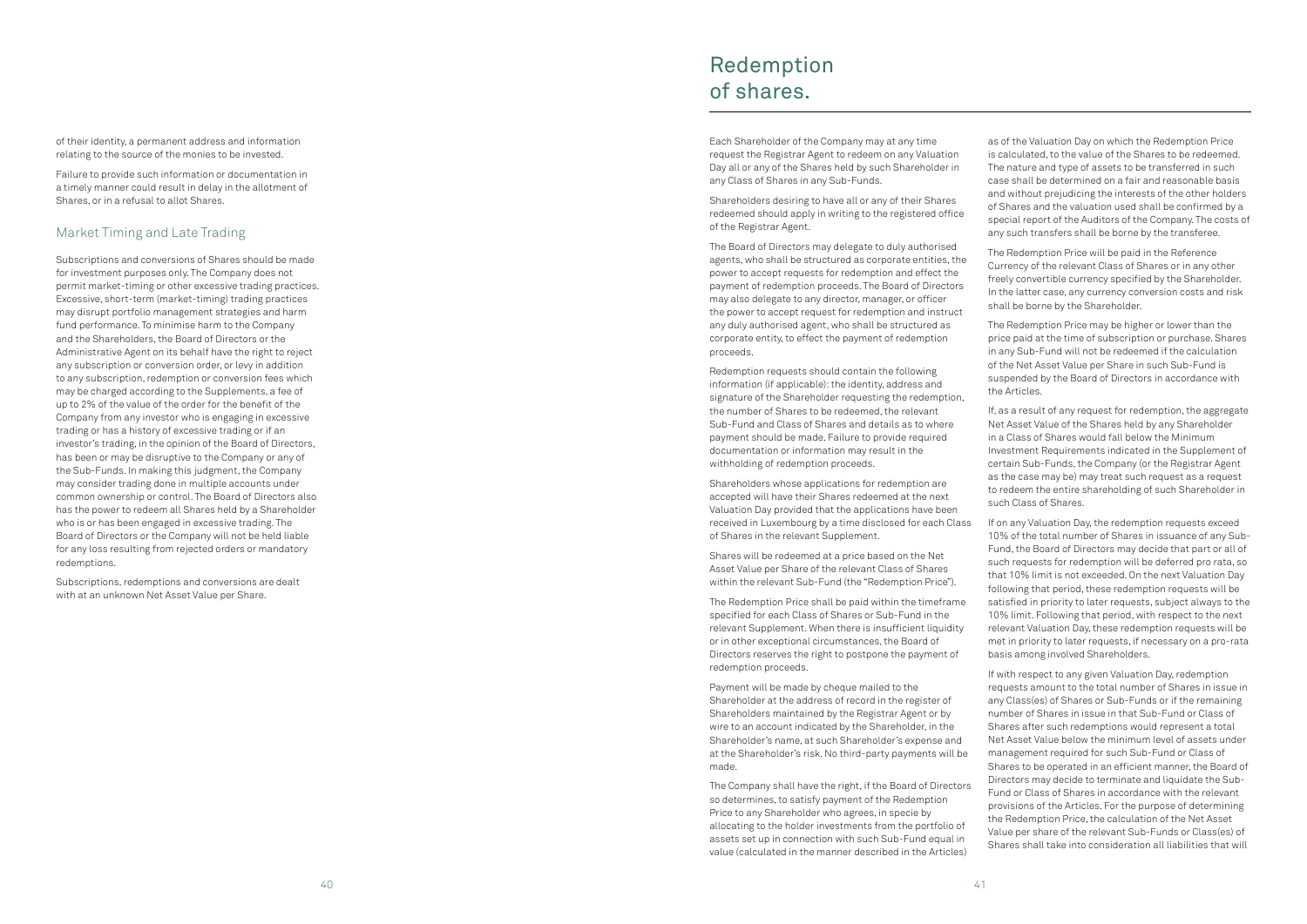of their identity, a permanent address and information relating to the source of the monies to be invested.

Failure to provide such information or documentation in a timely manner could result in delay in the allotment of Shares, or in a refusal to allot Shares.

### Market Timing and Late Trading

Subscriptions and conversions of Shares should be made for investment purposes only. The Company does not permit market-timing or other excessive trading practices. Excessive, short-term (market-timing) trading practices may disrupt portfolio management strategies and harm fund performance. To minimise harm to the Company and the Shareholders, the Board of Directors or the Administrative Agent on its behalf have the right to reject any subscription or conversion order, or levy in addition to any subscription, redemption or conversion fees which may be charged according to the Supplements, a fee of up to 2% of the value of the order for the benefit of the Company from any investor who is engaging in excessive trading or has a history of excessive trading or if an investor's trading, in the opinion of the Board of Directors, has been or may be disruptive to the Company or any of the Sub-Funds. In making this judgment, the Company may consider trading done in multiple accounts under common ownership or control. The Board of Directors also has the power to redeem all Shares held by a Shareholder who is or has been engaged in excessive trading. The Board of Directors or the Company will not be held liable for any loss resulting from rejected orders or mandatory redemptions.

Subscriptions, redemptions and conversions are dealt with at an unknown Net Asset Value per Share.

Each Shareholder of the Company may at any time request the Registrar Agent to redeem on any Valuation Day all or any of the Shares held by such Shareholder in any Class of Shares in any Sub-Funds.

Shareholders desiring to have all or any of their Shares redeemed should apply in writing to the registered office of the Registrar Agent.

The Board of Directors may delegate to duly authorised agents, who shall be structured as corporate entities, the power to accept requests for redemption and effect the payment of redemption proceeds. The Board of Directors may also delegate to any director, manager, or officer the power to accept request for redemption and instruct any duly authorised agent, who shall be structured as corporate entity, to effect the payment of redemption proceeds.

Redemption requests should contain the following information (if applicable): the identity, address and signature of the Shareholder requesting the redemption, the number of Shares to be redeemed, the relevant Sub-Fund and Class of Shares and details as to where payment should be made. Failure to provide required documentation or information may result in the withholding of redemption proceeds.

Shareholders whose applications for redemption are accepted will have their Shares redeemed at the next Valuation Day provided that the applications have been received in Luxembourg by a time disclosed for each Class of Shares in the relevant Supplement.

Shares will be redeemed at a price based on the Net Asset Value per Share of the relevant Class of Shares within the relevant Sub-Fund (the "Redemption Price").

The Redemption Price shall be paid within the timeframe specified for each Class of Shares or Sub-Fund in the relevant Supplement. When there is insufficient liquidity or in other exceptional circumstances, the Board of Directors reserves the right to postpone the payment of redemption proceeds.

Payment will be made by cheque mailed to the Shareholder at the address of record in the register of Shareholders maintained by the Registrar Agent or by wire to an account indicated by the Shareholder, in the Shareholder's name, at such Shareholder's expense and at the Shareholder's risk. No third-party payments will be made.

The Company shall have the right, if the Board of Directors so determines, to satisfy payment of the Redemption Price to any Shareholder who agrees, in specie by allocating to the holder investments from the portfolio of assets set up in connection with such Sub-Fund equal in value (calculated in the manner described in the Articles)

as of the Valuation Day on which the Redemption Price is calculated, to the value of the Shares to be redeemed. The nature and type of assets to be transferred in such case shall be determined on a fair and reasonable basis and without prejudicing the interests of the other holders of Shares and the valuation used shall be confirmed by a special report of the Auditors of the Company. The costs of any such transfers shall be borne by the transferee.

The Redemption Price will be paid in the Reference Currency of the relevant Class of Shares or in any other freely convertible currency specified by the Shareholder. In the latter case, any currency conversion costs and risk shall be borne by the Shareholder.

The Redemption Price may be higher or lower than the price paid at the time of subscription or purchase. Shares in any Sub-Fund will not be redeemed if the calculation of the Net Asset Value per Share in such Sub-Fund is suspended by the Board of Directors in accordance with the Articles.

If, as a result of any request for redemption, the aggregate Net Asset Value of the Shares held by any Shareholder in a Class of Shares would fall below the Minimum Investment Requirements indicated in the Supplement of certain Sub-Funds, the Company (or the Registrar Agent as the case may be) may treat such request as a request to redeem the entire shareholding of such Shareholder in such Class of Shares.

If on any Valuation Day, the redemption requests exceed 10% of the total number of Shares in issuance of any Sub-Fund, the Board of Directors may decide that part or all of such requests for redemption will be deferred pro rata, so that 10% limit is not exceeded. On the next Valuation Day following that period, these redemption requests will be satisfied in priority to later requests, subject always to the 10% limit. Following that period, with respect to the next relevant Valuation Day, these redemption requests will be met in priority to later requests, if necessary on a pro-rata basis among involved Shareholders.

If with respect to any given Valuation Day, redemption requests amount to the total number of Shares in issue in any Class(es) of Shares or Sub-Funds or if the remaining number of Shares in issue in that Sub-Fund or Class of Shares after such redemptions would represent a total Net Asset Value below the minimum level of assets under management required for such Sub-Fund or Class of Shares to be operated in an efficient manner, the Board of Directors may decide to terminate and liquidate the Sub-Fund or Class of Shares in accordance with the relevant provisions of the Articles. For the purpose of determining the Redemption Price, the calculation of the Net Asset Value per share of the relevant Sub-Funds or Class(es) of Shares shall take into consideration all liabilities that will

## Redemption of shares.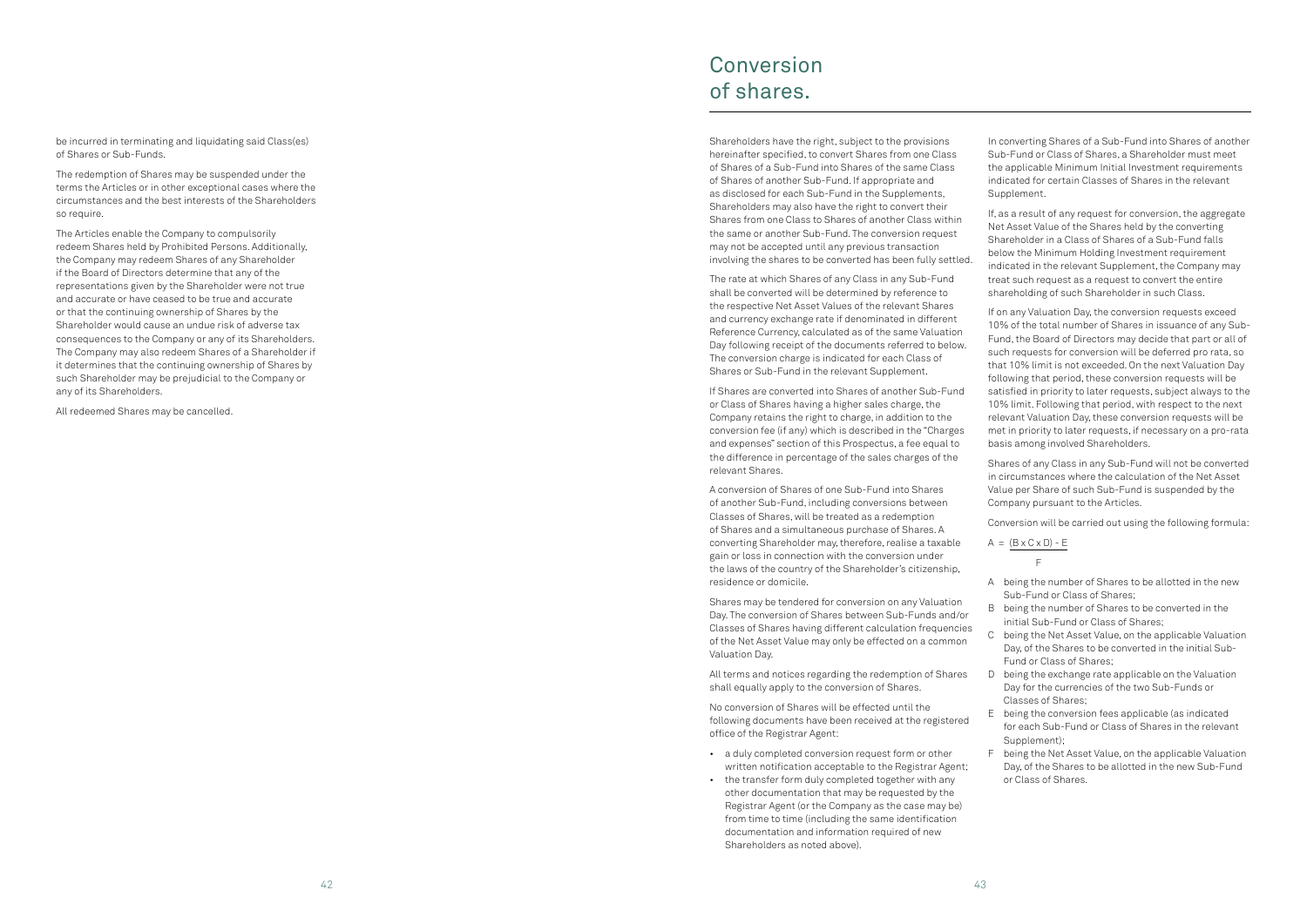The redemption of Shares may be suspended under the terms the Articles or in other exceptional cases where the circumstances and the best interests of the Shareholders so require.

be incurred in terminating and liquidating said Class(es) of Shares or Sub-Funds.

The Articles enable the Company to compulsorily redeem Shares held by Prohibited Persons. Additionally, the Company may redeem Shares of any Shareholder if the Board of Directors determine that any of the representations given by the Shareholder were not true and accurate or have ceased to be true and accurate or that the continuing ownership of Shares by the Shareholder would cause an undue risk of adverse tax consequences to the Company or any of its Shareholders. The Company may also redeem Shares of a Shareholder if it determines that the continuing ownership of Shares by such Shareholder may be prejudicial to the Company or any of its Shareholders.

All redeemed Shares may be cancelled.

Shareholders have the right, subject to the provisions hereinafter specified, to convert Shares from one Class of Shares of a Sub-Fund into Shares of the same Class of Shares of another Sub-Fund. If appropriate and as disclosed for each Sub-Fund in the Supplements, Shareholders may also have the right to convert their Shares from one Class to Shares of another Class within the same or another Sub-Fund. The conversion request may not be accepted until any previous transaction involving the shares to be converted has been fully settled.

The rate at which Shares of any Class in any Sub-Fund shall be converted will be determined by reference to the respective Net Asset Values of the relevant Shares and currency exchange rate if denominated in different Reference Currency, calculated as of the same Valuation Day following receipt of the documents referred to below. The conversion charge is indicated for each Class of Shares or Sub-Fund in the relevant Supplement.

If Shares are converted into Shares of another Sub-Fund or Class of Shares having a higher sales charge, the Company retains the right to charge, in addition to the conversion fee (if any) which is described in the "Charges and expenses" section of this Prospectus, a fee equal to the difference in percentage of the sales charges of the relevant Shares.

A conversion of Shares of one Sub-Fund into Shares of another Sub-Fund, including conversions between Classes of Shares, will be treated as a redemption of Shares and a simultaneous purchase of Shares. A converting Shareholder may, therefore, realise a taxable gain or loss in connection with the conversion under the laws of the country of the Shareholder's citizenship, residence or domicile.

Shares may be tendered for conversion on any Valuation Day. The conversion of Shares between Sub-Funds and/or Classes of Shares having different calculation frequencies of the Net Asset Value may only be effected on a common Valuation Day.

All terms and notices regarding the redemption of Shares shall equally apply to the conversion of Shares.

No conversion of Shares will be effected until the following documents have been received at the registered office of the Registrar Agent:

- a duly completed conversion request form or other written notification acceptable to the Registrar Agent;
- the transfer form duly completed together with any other documentation that may be requested by the Registrar Agent (or the Company as the case may be) from time to time (including the same identification documentation and information required of new Shareholders as noted above).

In converting Shares of a Sub-Fund into Shares of another Sub-Fund or Class of Shares, a Shareholder must meet the applicable Minimum Initial Investment requirements indicated for certain Classes of Shares in the relevant Supplement.

If, as a result of any request for conversion, the aggregate Net Asset Value of the Shares held by the converting Shareholder in a Class of Shares of a Sub-Fund falls below the Minimum Holding Investment requirement indicated in the relevant Supplement, the Company may treat such request as a request to convert the entire shareholding of such Shareholder in such Class.

If on any Valuation Day, the conversion requests exceed 10% of the total number of Shares in issuance of any Sub-Fund, the Board of Directors may decide that part or all of such requests for conversion will be deferred pro rata, so that 10% limit is not exceeded. On the next Valuation Day following that period, these conversion requests will be satisfied in priority to later requests, subject always to the 10% limit. Following that period, with respect to the next relevant Valuation Day, these conversion requests will be met in priority to later requests, if necessary on a pro-rata basis among involved Shareholders.

Shares of any Class in any Sub-Fund will not be converted in circumstances where the calculation of the Net Asset Value per Share of such Sub-Fund is suspended by the Company pursuant to the Articles.

Conversion will be carried out using the following formula:

$$
A = \frac{(B \times C \times D) - E}{F}
$$

- A being the number of Shares to be allotted in the new Sub-Fund or Class of Shares;
- B being the number of Shares to be converted in the initial Sub-Fund or Class of Shares;
- C being the Net Asset Value, on the applicable Valuation Day, of the Shares to be converted in the initial Sub-Fund or Class of Shares;
- D being the exchange rate applicable on the Valuation Day for the currencies of the two Sub-Funds or Classes of Shares;
- E being the conversion fees applicable (as indicated for each Sub-Fund or Class of Shares in the relevant Supplement):
- F being the Net Asset Value, on the applicable Valuation Day, of the Shares to be allotted in the new Sub-Fund or Class of Shares.

## Conversion of shares.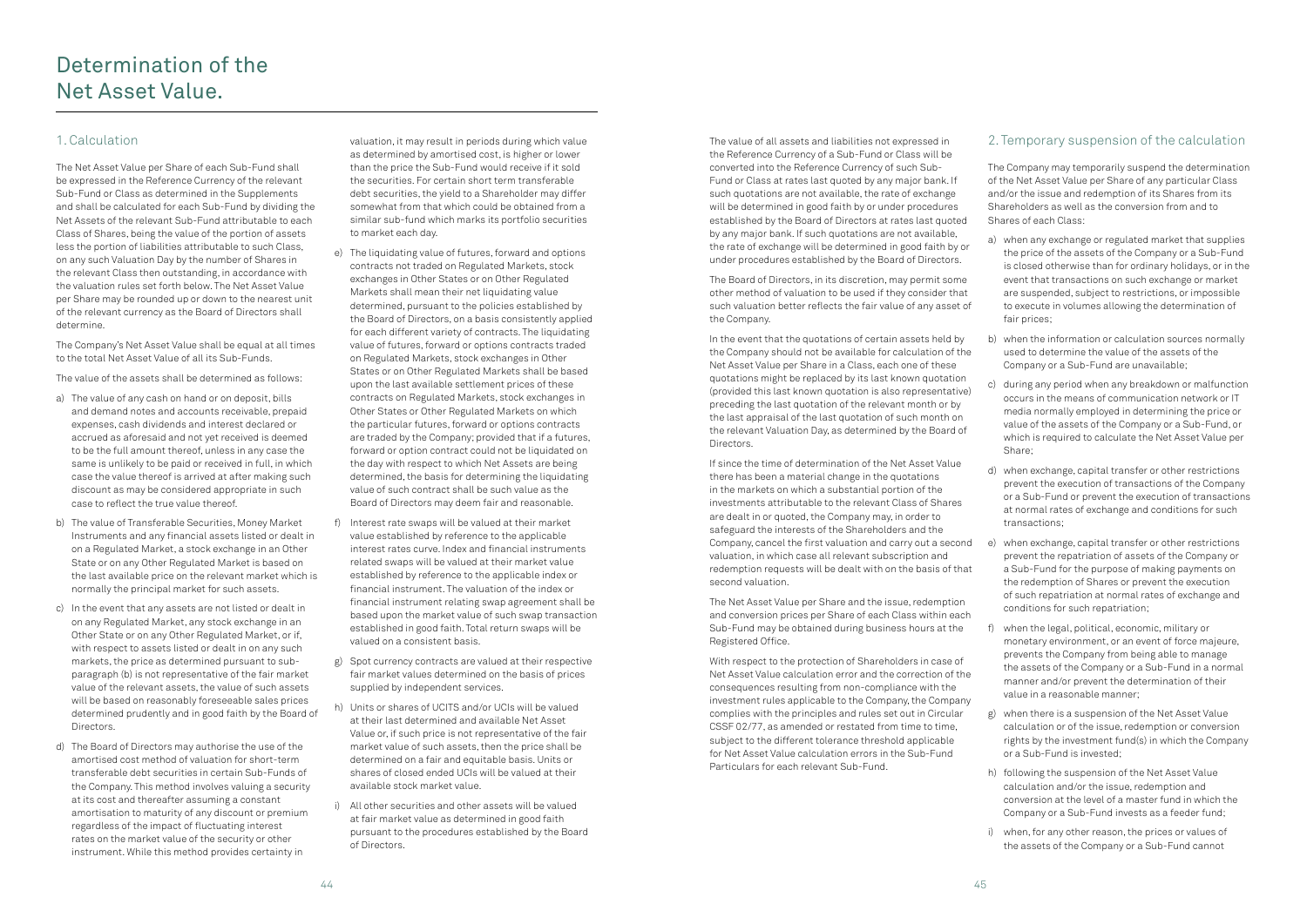### 1. Calculation

The Net Asset Value per Share of each Sub-Fund shall be expressed in the Reference Currency of the relevant Sub-Fund or Class as determined in the Supplements and shall be calculated for each Sub-Fund by dividing the Net Assets of the relevant Sub-Fund attributable to each Class of Shares, being the value of the portion of assets less the portion of liabilities attributable to such Class, on any such Valuation Day by the number of Shares in the relevant Class then outstanding, in accordance with the valuation rules set forth below. The Net Asset Value per Share may be rounded up or down to the nearest unit of the relevant currency as the Board of Directors shall determine.

The Company's Net Asset Value shall be equal at all times to the total Net Asset Value of all its Sub-Funds.

The value of the assets shall be determined as follows:

- a) The value of any cash on hand or on deposit, bills and demand notes and accounts receivable, prepaid expenses, cash dividends and interest declared or accrued as aforesaid and not yet received is deemed to be the full amount thereof, unless in any case the same is unlikely to be paid or received in full, in which case the value thereof is arrived at after making such discount as may be considered appropriate in such case to reflect the true value thereof.
- b) The value of Transferable Securities, Money Market Instruments and any financial assets listed or dealt in on a Regulated Market, a stock exchange in an Other State or on any Other Regulated Market is based on the last available price on the relevant market which is normally the principal market for such assets.
- c) In the event that any assets are not listed or dealt in on any Regulated Market, any stock exchange in an Other State or on any Other Regulated Market, or if, with respect to assets listed or dealt in on any such markets, the price as determined pursuant to subparagraph (b) is not representative of the fair market value of the relevant assets, the value of such assets will be based on reasonably foreseeable sales prices determined prudently and in good faith by the Board of Directors.
- d) The Board of Directors may authorise the use of the amortised cost method of valuation for short-term transferable debt securities in certain Sub-Funds of the Company. This method involves valuing a security at its cost and thereafter assuming a constant amortisation to maturity of any discount or premium regardless of the impact of fluctuating interest rates on the market value of the security or other instrument. While this method provides certainty in

valuation, it may result in periods during which value as determined by amortised cost, is higher or lower than the price the Sub-Fund would receive if it sold the securities. For certain short term transferable debt securities, the yield to a Shareholder may differ somewhat from that which could be obtained from a similar sub-fund which marks its portfolio securities to market each day.

- e) The liquidating value of futures, forward and options contracts not traded on Regulated Markets, stock exchanges in Other States or on Other Regulated Markets shall mean their net liquidating value determined, pursuant to the policies established by the Board of Directors, on a basis consistently applied for each different variety of contracts. The liquidating value of futures, forward or options contracts traded on Regulated Markets, stock exchanges in Other States or on Other Regulated Markets shall be based upon the last available settlement prices of these contracts on Regulated Markets, stock exchanges in Other States or Other Regulated Markets on which the particular futures, forward or options contracts are traded by the Company; provided that if a futures, forward or option contract could not be liquidated on the day with respect to which Net Assets are being determined, the basis for determining the liquidating value of such contract shall be such value as the Board of Directors may deem fair and reasonable.
- f) Interest rate swaps will be valued at their market value established by reference to the applicable interest rates curve. Index and financial instruments related swaps will be valued at their market value established by reference to the applicable index or financial instrument. The valuation of the index or financial instrument relating swap agreement shall be based upon the market value of such swap transaction established in good faith. Total return swaps will be valued on a consistent basis.
- g) Spot currency contracts are valued at their respective fair market values determined on the basis of prices supplied by independent services.
- h) Units or shares of UCITS and/or UCIs will be valued at their last determined and available Net Asset Value or, if such price is not representative of the fair market value of such assets, then the price shall be determined on a fair and equitable basis. Units or shares of closed ended UCIs will be valued at their available stock market value.
- i) All other securities and other assets will be valued at fair market value as determined in good faith pursuant to the procedures established by the Board of Directors.

The value of all assets and liabilities not expressed in the Reference Currency of a Sub-Fund or Class will be converted into the Reference Currency of such Sub-Fund or Class at rates last quoted by any major bank. If such quotations are not available, the rate of exchange will be determined in good faith by or under procedures established by the Board of Directors at rates last quoted by any major bank. If such quotations are not available, the rate of exchange will be determined in good faith by or under procedures established by the Board of Directors.

The Board of Directors, in its discretion, may permit some other method of valuation to be used if they consider that such valuation better reflects the fair value of any asset of the Company.

In the event that the quotations of certain assets held by the Company should not be available for calculation of the Net Asset Value per Share in a Class, each one of these quotations might be replaced by its last known quotation (provided this last known quotation is also representative) preceding the last quotation of the relevant month or by the last appraisal of the last quotation of such month on the relevant Valuation Day, as determined by the Board of Directors.

If since the time of determination of the Net Asset Value there has been a material change in the quotations in the markets on which a substantial portion of the investments attributable to the relevant Class of Shares are dealt in or quoted, the Company may, in order to safeguard the interests of the Shareholders and the Company, cancel the first valuation and carry out a second valuation, in which case all relevant subscription and redemption requests will be dealt with on the basis of that second valuation.

The Net Asset Value per Share and the issue, redemption and conversion prices per Share of each Class within each Sub-Fund may be obtained during business hours at the Registered Office.

With respect to the protection of Shareholders in case of Net Asset Value calculation error and the correction of the consequences resulting from non-compliance with the investment rules applicable to the Company, the Company complies with the principles and rules set out in Circular CSSF 02/77, as amended or restated from time to time, subject to the different tolerance threshold applicable for Net Asset Value calculation errors in the Sub-Fund Particulars for each relevant Sub-Fund.

### 2. Temporary suspension of the calculation

The Company may temporarily suspend the determination of the Net Asset Value per Share of any particular Class and/or the issue and redemption of its Shares from its Shareholders as well as the conversion from and to Shares of each Class:

- a) when any exchange or regulated market that supplies the price of the assets of the Company or a Sub-Fund is closed otherwise than for ordinary holidays, or in the event that transactions on such exchange or market are suspended, subject to restrictions, or impossible to execute in volumes allowing the determination of fair prices;
- b) when the information or calculation sources normally used to determine the value of the assets of the Company or a Sub-Fund are unavailable;
- c) during any period when any breakdown or malfunction occurs in the means of communication network or IT media normally employed in determining the price or value of the assets of the Company or a Sub-Fund, or which is required to calculate the Net Asset Value per Share;
- d) when exchange, capital transfer or other restrictions prevent the execution of transactions of the Company or a Sub-Fund or prevent the execution of transactions at normal rates of exchange and conditions for such transactions;
- e) when exchange, capital transfer or other restrictions prevent the repatriation of assets of the Company or a Sub-Fund for the purpose of making payments on the redemption of Shares or prevent the execution of such repatriation at normal rates of exchange and conditions for such repatriation;
- f) when the legal, political, economic, military or monetary environment, or an event of force majeure, prevents the Company from being able to manage the assets of the Company or a Sub-Fund in a normal manner and/or prevent the determination of their value in a reasonable manner;
- g) when there is a suspension of the Net Asset Value calculation or of the issue, redemption or conversion rights by the investment fund(s) in which the Company or a Sub-Fund is invested;
- h) following the suspension of the Net Asset Value calculation and/or the issue, redemption and conversion at the level of a master fund in which the Company or a Sub-Fund invests as a feeder fund;
- i) when, for any other reason, the prices or values of the assets of the Company or a Sub-Fund cannot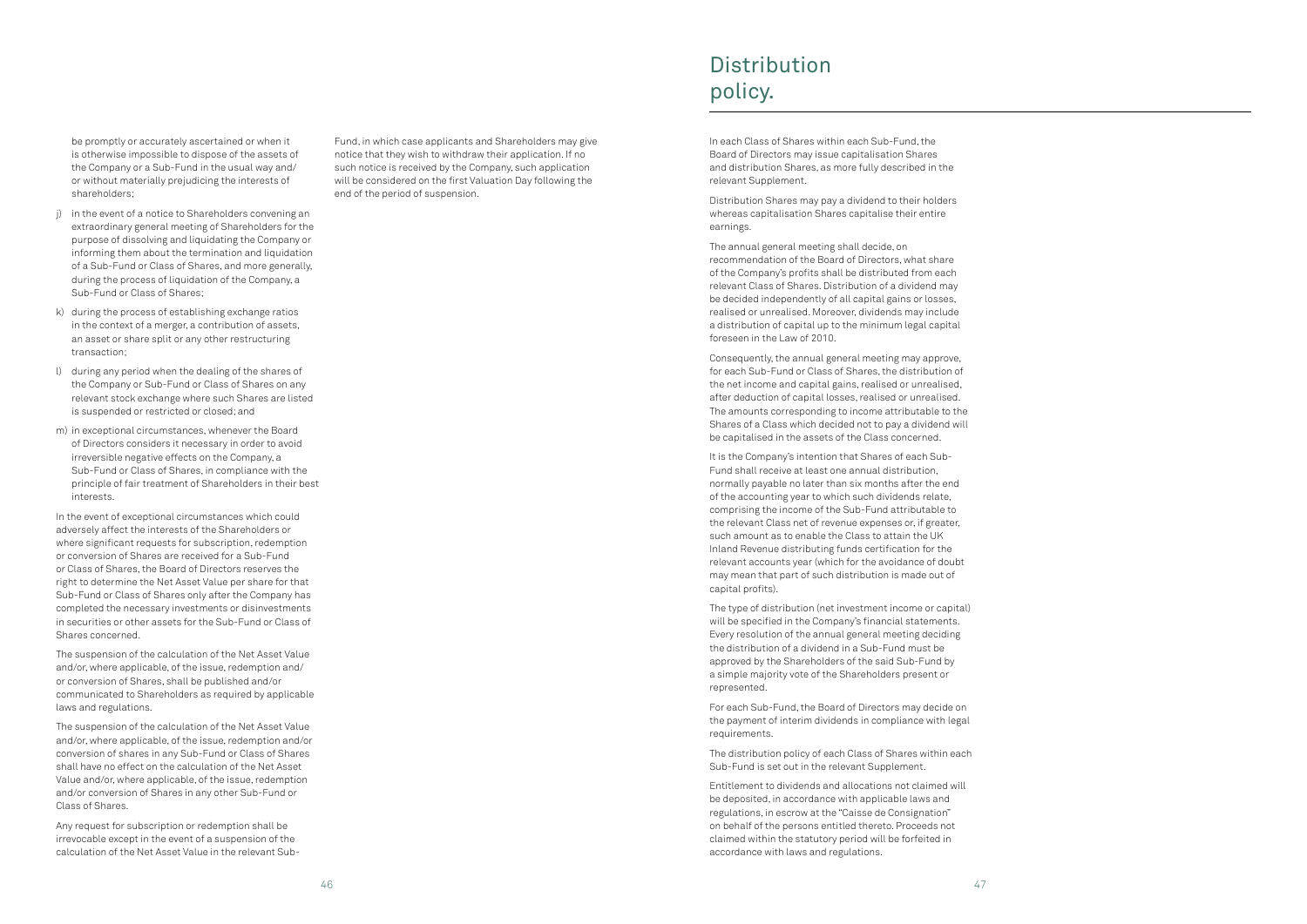be promptly or accurately ascertained or when it is otherwise impossible to dispose of the assets of the Company or a Sub-Fund in the usual way and/ or without materially prejudicing the interests of shareholders;

- j) in the event of a notice to Shareholders convening an extraordinary general meeting of Shareholders for the purpose of dissolving and liquidating the Company or informing them about the termination and liquidation of a Sub-Fund or Class of Shares, and more generally, during the process of liquidation of the Company, a Sub-Fund or Class of Shares;
- k) during the process of establishing exchange ratios in the context of a merger, a contribution of assets, an asset or share split or any other restructuring transaction;
- l) during any period when the dealing of the shares of the Company or Sub-Fund or Class of Shares on any relevant stock exchange where such Shares are listed is suspended or restricted or closed; and
- m) in exceptional circumstances, whenever the Board of Directors considers it necessary in order to avoid irreversible negative effects on the Company, a Sub-Fund or Class of Shares, in compliance with the principle of fair treatment of Shareholders in their best interests.

In the event of exceptional circumstances which could adversely affect the interests of the Shareholders or where significant requests for subscription, redemption or conversion of Shares are received for a Sub-Fund or Class of Shares, the Board of Directors reserves the right to determine the Net Asset Value per share for that Sub-Fund or Class of Shares only after the Company has completed the necessary investments or disinvestments in securities or other assets for the Sub-Fund or Class of Shares concerned.

The suspension of the calculation of the Net Asset Value and/or, where applicable, of the issue, redemption and/ or conversion of Shares, shall be published and/or communicated to Shareholders as required by applicable laws and regulations.

The suspension of the calculation of the Net Asset Value and/or, where applicable, of the issue, redemption and/or conversion of shares in any Sub-Fund or Class of Shares shall have no effect on the calculation of the Net Asset Value and/or, where applicable, of the issue, redemption and/or conversion of Shares in any other Sub-Fund or Class of Shares.

Any request for subscription or redemption shall be irrevocable except in the event of a suspension of the calculation of the Net Asset Value in the relevant SubFund, in which case applicants and Shareholders may give notice that they wish to withdraw their application. If no such notice is received by the Company, such application will be considered on the first Valuation Day following the end of the period of suspension.

## **Distribution** policy.

In each Class of Shares within each Sub-Fund, the Board of Directors may issue capitalisation Shares and distribution Shares, as more fully described in the relevant Supplement.

Distribution Shares may pay a dividend to their holders whereas capitalisation Shares capitalise their entire earnings.

The annual general meeting shall decide, on recommendation of the Board of Directors, what share of the Company's profits shall be distributed from each relevant Class of Shares. Distribution of a dividend may be decided independently of all capital gains or losses, realised or unrealised. Moreover, dividends may include a distribution of capital up to the minimum legal capital foreseen in the Law of 2010.

Consequently, the annual general meeting may approve, for each Sub-Fund or Class of Shares, the distribution of the net income and capital gains, realised or unrealised, after deduction of capital losses, realised or unrealised. The amounts corresponding to income attributable to the Shares of a Class which decided not to pay a dividend will be capitalised in the assets of the Class concerned.

It is the Company's intention that Shares of each Sub-Fund shall receive at least one annual distribution, normally payable no later than six months after the end of the accounting year to which such dividends relate, comprising the income of the Sub-Fund attributable to the relevant Class net of revenue expenses or, if greater, such amount as to enable the Class to attain the UK Inland Revenue distributing funds certification for the relevant accounts year (which for the avoidance of doubt may mean that part of such distribution is made out of capital profits).

The type of distribution (net investment income or capital) will be specified in the Company's financial statements. Every resolution of the annual general meeting deciding the distribution of a dividend in a Sub-Fund must be approved by the Shareholders of the said Sub-Fund by a simple majority vote of the Shareholders present or represented.

For each Sub-Fund, the Board of Directors may decide on the payment of interim dividends in compliance with legal requirements.

The distribution policy of each Class of Shares within each Sub-Fund is set out in the relevant Supplement.

Entitlement to dividends and allocations not claimed will be deposited, in accordance with applicable laws and regulations, in escrow at the "Caisse de Consignation" on behalf of the persons entitled thereto. Proceeds not claimed within the statutory period will be forfeited in accordance with laws and regulations.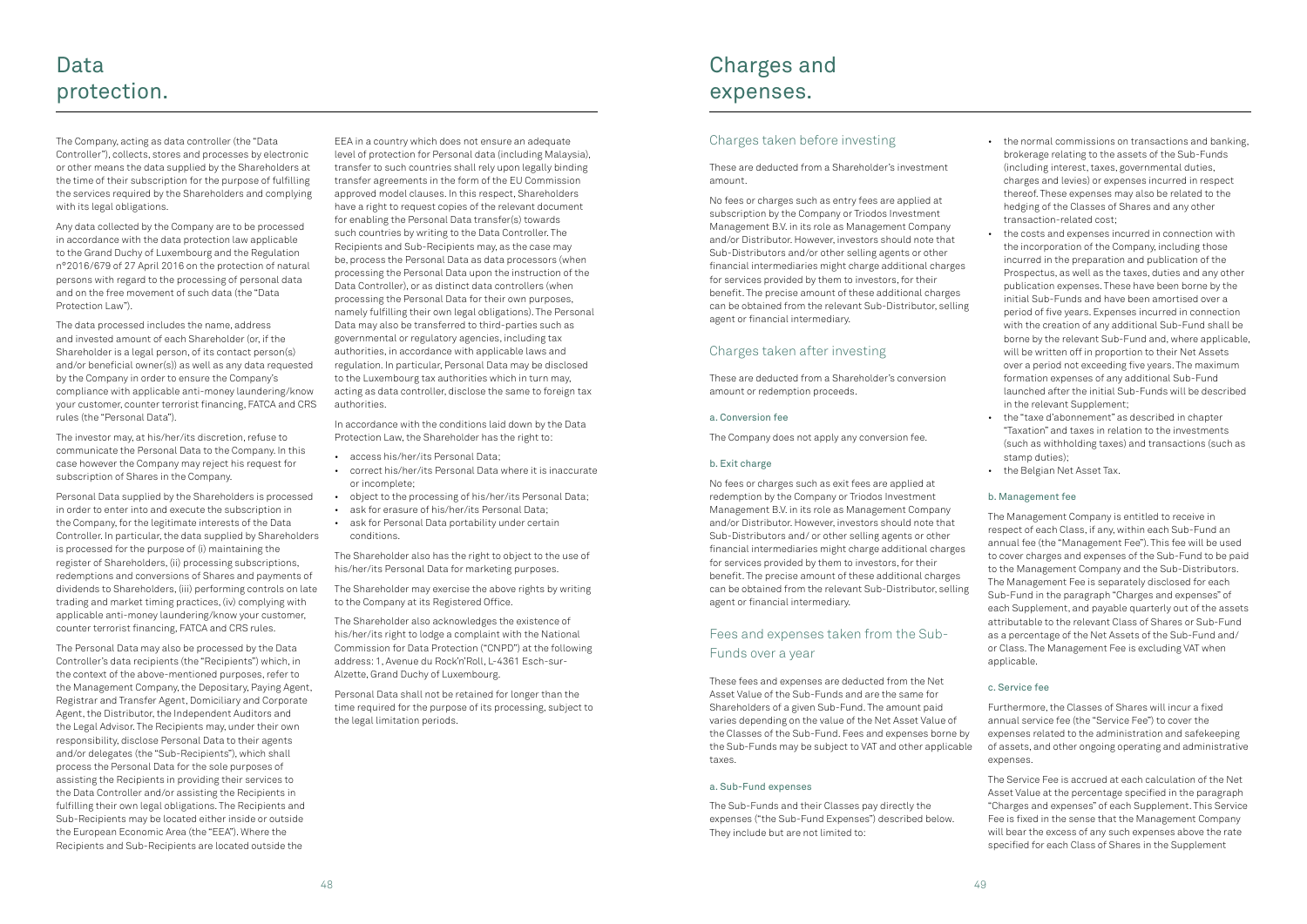The Company, acting as data controller (the "Data Controller"), collects, stores and processes by electronic or other means the data supplied by the Shareholders at the time of their subscription for the purpose of fulfilling the services required by the Shareholders and complying with its legal obligations.

Any data collected by the Company are to be processed in accordance with the data protection law applicable to the Grand Duchy of Luxembourg and the Regulation n°2016/679 of 27 April 2016 on the protection of natural persons with regard to the processing of personal data and on the free movement of such data (the "Data Protection Law").

The data processed includes the name, address and invested amount of each Shareholder (or, if the Shareholder is a legal person, of its contact person(s) and/or beneficial owner(s)) as well as any data requested by the Company in order to ensure the Company's compliance with applicable anti-money laundering/know your customer, counter terrorist financing, FATCA and CRS rules (the "Personal Data").

The investor may, at his/her/its discretion, refuse to communicate the Personal Data to the Company. In this case however the Company may reject his request for subscription of Shares in the Company.

Personal Data supplied by the Shareholders is processed in order to enter into and execute the subscription in the Company, for the legitimate interests of the Data Controller. In particular, the data supplied by Shareholders is processed for the purpose of (i) maintaining the register of Shareholders, (ii) processing subscriptions, redemptions and conversions of Shares and payments of dividends to Shareholders, (iii) performing controls on late trading and market timing practices, (iv) complying with applicable anti-money laundering/know your customer, counter terrorist financing, FATCA and CRS rules.

The Personal Data may also be processed by the Data Controller's data recipients (the "Recipients") which, in the context of the above-mentioned purposes, refer to the Management Company, the Depositary, Paying Agent, Registrar and Transfer Agent, Domiciliary and Corporate Agent, the Distributor, the Independent Auditors and the Legal Advisor. The Recipients may, under their own responsibility, disclose Personal Data to their agents and/or delegates (the "Sub-Recipients"), which shall process the Personal Data for the sole purposes of assisting the Recipients in providing their services to the Data Controller and/or assisting the Recipients in fulfilling their own legal obligations. The Recipients and Sub-Recipients may be located either inside or outside the European Economic Area (the "EEA"). Where the Recipients and Sub-Recipients are located outside the

EEA in a country which does not ensure an adequate level of protection for Personal data (including Malaysia), transfer to such countries shall rely upon legally binding transfer agreements in the form of the EU Commission approved model clauses. In this respect, Shareholders have a right to request copies of the relevant document for enabling the Personal Data transfer(s) towards such countries by writing to the Data Controller. The Recipients and Sub-Recipients may, as the case may be, process the Personal Data as data processors (when processing the Personal Data upon the instruction of the Data Controller), or as distinct data controllers (when processing the Personal Data for their own purposes, namely fulfilling their own legal obligations). The Personal Data may also be transferred to third-parties such as governmental or regulatory agencies, including tax authorities, in accordance with applicable laws and regulation. In particular, Personal Data may be disclosed to the Luxembourg tax authorities which in turn may, acting as data controller, disclose the same to foreign tax authorities.

In accordance with the conditions laid down by the Data Protection Law, the Shareholder has the right to:

- access his/her/its Personal Data;
- correct his/her/its Personal Data where it is inaccurate or incomplete;
- object to the processing of his/her/its Personal Data;
- ask for erasure of his/her/its Personal Data;
- ask for Personal Data portability under certain conditions.

The Shareholder also has the right to object to the use of his/her/its Personal Data for marketing purposes.

The Shareholder may exercise the above rights by writing to the Company at its Registered Office.

The Shareholder also acknowledges the existence of his/her/its right to lodge a complaint with the National Commission for Data Protection ("CNPD") at the following address: 1, Avenue du Rock'n'Roll, L-4361 Esch-sur-Alzette, Grand Duchy of Luxembourg.

Personal Data shall not be retained for longer than the time required for the purpose of its processing, subject to the legal limitation periods.

### Charges taken before investing

### These are deducted from a Shareholder's investment amount.

No fees or charges such as entry fees are applied at subscription by the Company or Triodos Investment Management B.V. in its role as Management Company and/or Distributor. However, investors should note that Sub-Distributors and/or other selling agents or other financial intermediaries might charge additional charges for services provided by them to investors, for their benefit. The precise amount of these additional charges can be obtained from the relevant Sub-Distributor, selling agent or financial intermediary.

### Charges taken after investing

These are deducted from a Shareholder's conversion amount or redemption proceeds.

### a. Conversion fee

The Company does not apply any conversion fee.

### b. Exit charge

No fees or charges such as exit fees are applied at redemption by the Company or Triodos Investment Management B.V. in its role as Management Company and/or Distributor. However, investors should note that Sub-Distributors and/ or other selling agents or other financial intermediaries might charge additional charges for services provided by them to investors, for their benefit. The precise amount of these additional charges can be obtained from the relevant Sub-Distributor, selling agent or financial intermediary.

### Fees and expenses taken from the Sub-Funds over a year

These fees and expenses are deducted from the Net Asset Value of the Sub-Funds and are the same for Shareholders of a given Sub-Fund. The amount paid varies depending on the value of the Net Asset Value of the Classes of the Sub-Fund. Fees and expenses borne by the Sub-Funds may be subject to VAT and other applicable taxes.

### a. Sub-Fund expenses

The Sub-Funds and their Classes pay directly the expenses ("the Sub-Fund Expenses") described below. They include but are not limited to:

- the normal commissions on transactions and banking, brokerage relating to the assets of the Sub-Funds (including interest, taxes, governmental duties, charges and levies) or expenses incurred in respect thereof. These expenses may also be related to the hedging of the Classes of Shares and any other transaction-related cost;
- the costs and expenses incurred in connection with the incorporation of the Company, including those incurred in the preparation and publication of the Prospectus, as well as the taxes, duties and any other publication expenses. These have been borne by the initial Sub-Funds and have been amortised over a period of five years. Expenses incurred in connection with the creation of any additional Sub-Fund shall be borne by the relevant Sub-Fund and, where applicable, will be written off in proportion to their Net Assets over a period not exceeding five years. The maximum formation expenses of any additional Sub-Fund launched after the initial Sub-Funds will be described in the relevant Supplement;
- the "taxe d'abonnement" as described in chapter "Taxation" and taxes in relation to the investments (such as withholding taxes) and transactions (such as stamp duties);
- the Belgian Net Asset Tax.

### b. Management fee

The Management Company is entitled to receive in respect of each Class, if any, within each Sub-Fund an annual fee (the "Management Fee"). This fee will be used to cover charges and expenses of the Sub-Fund to be paid to the Management Company and the Sub-Distributors. The Management Fee is separately disclosed for each Sub-Fund in the paragraph "Charges and expenses" of each Supplement, and payable quarterly out of the assets attributable to the relevant Class of Shares or Sub-Fund as a percentage of the Net Assets of the Sub-Fund and/ or Class. The Management Fee is excluding VAT when applicable.

### c. Service fee

Furthermore, the Classes of Shares will incur a fixed annual service fee (the "Service Fee") to cover the expenses related to the administration and safekeeping of assets, and other ongoing operating and administrative expenses.

The Service Fee is accrued at each calculation of the Net Asset Value at the percentage specified in the paragraph "Charges and expenses" of each Supplement. This Service Fee is fixed in the sense that the Management Company will bear the excess of any such expenses above the rate specified for each Class of Shares in the Supplement

## Charges and expenses.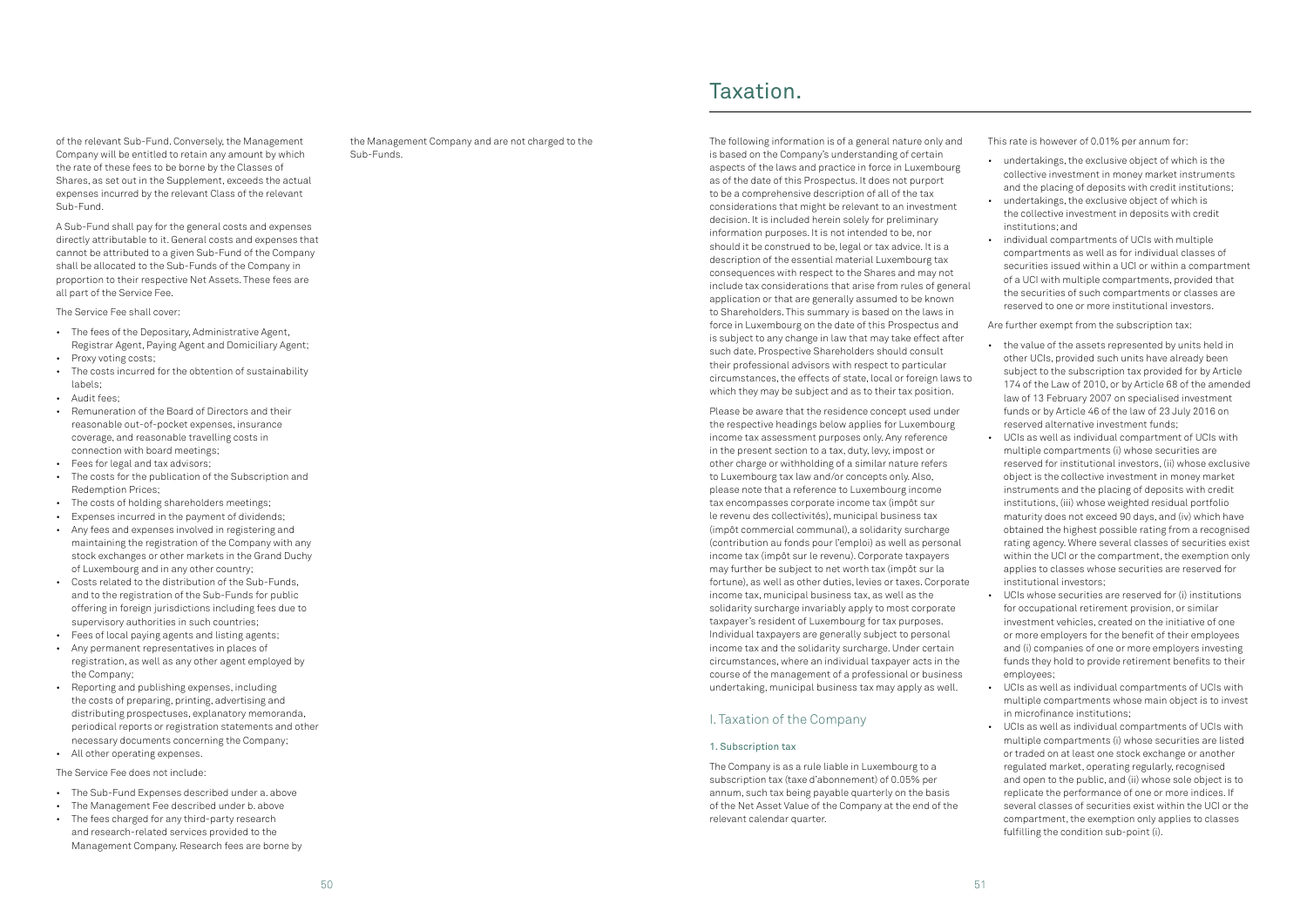of the relevant Sub-Fund. Conversely, the Management Company will be entitled to retain any amount by which the rate of these fees to be borne by the Classes of Shares, as set out in the Supplement, exceeds the actual expenses incurred by the relevant Class of the relevant Sub-Fund.

A Sub-Fund shall pay for the general costs and expenses directly attributable to it. General costs and expenses that cannot be attributed to a given Sub-Fund of the Company shall be allocated to the Sub-Funds of the Company in proportion to their respective Net Assets. These fees are all part of the Service Fee.

The Service Fee shall cover:

- The fees of the Depositary, Administrative Agent, Registrar Agent, Paying Agent and Domiciliary Agent;
- Proxy voting costs;
- The costs incurred for the obtention of sustainability labels;
- Audit fees;
- Remuneration of the Board of Directors and their reasonable out-of-pocket expenses, insurance coverage, and reasonable travelling costs in connection with board meetings;
- Fees for legal and tax advisors;
- The costs for the publication of the Subscription and Redemption Prices;
- The costs of holding shareholders meetings;
- Expenses incurred in the payment of dividends;
- Any fees and expenses involved in registering and maintaining the registration of the Company with any stock exchanges or other markets in the Grand Duchy of Luxembourg and in any other country;
- Costs related to the distribution of the Sub-Funds, and to the registration of the Sub-Funds for public offering in foreign jurisdictions including fees due to supervisory authorities in such countries;
- Fees of local paying agents and listing agents;
- Any permanent representatives in places of registration, as well as any other agent employed by the Company;
- Reporting and publishing expenses, including the costs of preparing, printing, advertising and distributing prospectuses, explanatory memoranda, periodical reports or registration statements and other necessary documents concerning the Company;
- All other operating expenses.

The Service Fee does not include:

- The Sub-Fund Expenses described under a. above
- The Management Fee described under b. above
- The fees charged for any third-party research and research-related services provided to the Management Company. Research fees are borne by

the Management Company and are not charged to the Sub-Funds.

The following information is of a general nature only and is based on the Company's understanding of certain aspects of the laws and practice in force in Luxembourg as of the date of this Prospectus. It does not purport to be a comprehensive description of all of the tax considerations that might be relevant to an investment decision. It is included herein solely for preliminary information purposes. It is not intended to be, nor should it be construed to be, legal or tax advice. It is a description of the essential material Luxembourg tax consequences with respect to the Shares and may not include tax considerations that arise from rules of general application or that are generally assumed to be known to Shareholders. This summary is based on the laws in force in Luxembourg on the date of this Prospectus and is subject to any change in law that may take effect after such date. Prospective Shareholders should consult their professional advisors with respect to particular circumstances, the effects of state, local or foreign laws to which they may be subject and as to their tax position.

Please be aware that the residence concept used under the respective headings below applies for Luxembourg income tax assessment purposes only. Any reference in the present section to a tax, duty, levy, impost or other charge or withholding of a similar nature refers to Luxembourg tax law and/or concepts only. Also, please note that a reference to Luxembourg income tax encompasses corporate income tax (impôt sur le revenu des collectivités), municipal business tax (impôt commercial communal), a solidarity surcharge (contribution au fonds pour l'emploi) as well as personal income tax (impôt sur le revenu). Corporate taxpayers may further be subject to net worth tax (impôt sur la fortune), as well as other duties, levies or taxes. Corporate income tax, municipal business tax, as well as the solidarity surcharge invariably apply to most corporate taxpayer's resident of Luxembourg for tax purposes. Individual taxpayers are generally subject to personal income tax and the solidarity surcharge. Under certain circumstances, where an individual taxpayer acts in the course of the management of a professional or business undertaking, municipal business tax may apply as well.

### I. Taxation of the Company

### 1. Subscription tax

The Company is as a rule liable in Luxembourg to a subscription tax (taxe d'abonnement) of 0.05% per annum, such tax being payable quarterly on the basis of the Net Asset Value of the Company at the end of the relevant calendar quarter.

This rate is however of 0.01% per annum for:

- undertakings, the exclusive object of which is the collective investment in money market instruments and the placing of deposits with credit institutions;
- undertakings, the exclusive object of which is the collective investment in deposits with credit institutions; and
- individual compartments of UCIs with multiple compartments as well as for individual classes of securities issued within a UCI or within a compartment of a UCI with multiple compartments, provided that the securities of such compartments or classes are reserved to one or more institutional investors.

Are further exempt from the subscription tax:

- the value of the assets represented by units held in other UCIs, provided such units have already been subject to the subscription tax provided for by Article 174 of the Law of 2010, or by Article 68 of the amended law of 13 February 2007 on specialised investment funds or by Article 46 of the law of 23 July 2016 on reserved alternative investment funds;
- UCIs as well as individual compartment of UCIs with multiple compartments (i) whose securities are reserved for institutional investors, (ii) whose exclusive object is the collective investment in money market instruments and the placing of deposits with credit institutions, (iii) whose weighted residual portfolio maturity does not exceed 90 days, and (iv) which have obtained the highest possible rating from a recognised rating agency. Where several classes of securities exist within the UCI or the compartment, the exemption only applies to classes whose securities are reserved for institutional investors;
- UCIs whose securities are reserved for (i) institutions for occupational retirement provision, or similar investment vehicles, created on the initiative of one or more employers for the benefit of their employees and (i) companies of one or more employers investing funds they hold to provide retirement benefits to their employees;
- UCIs as well as individual compartments of UCIs with multiple compartments whose main object is to invest in microfinance institutions;
- UCIs as well as individual compartments of UCIs with multiple compartments (i) whose securities are listed or traded on at least one stock exchange or another regulated market, operating regularly, recognised and open to the public, and (ii) whose sole object is to replicate the performance of one or more indices. If several classes of securities exist within the UCI or the compartment, the exemption only applies to classes fulfilling the condition sub-point (i).

## Taxation.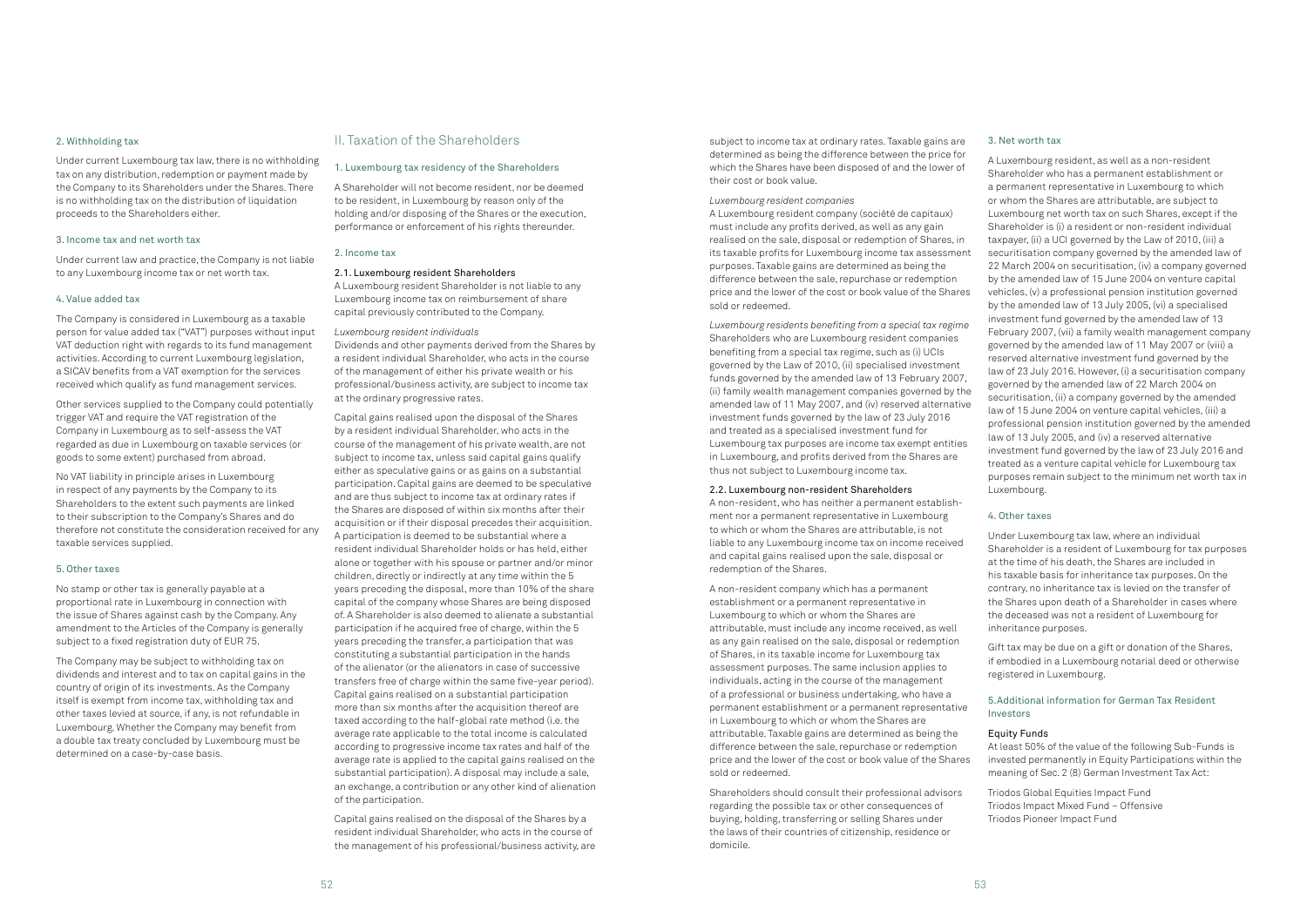#### 2. Withholding tax

Under current Luxembourg tax law, there is no withholding tax on any distribution, redemption or payment made by the Company to its Shareholders under the Shares. There is no withholding tax on the distribution of liquidation proceeds to the Shareholders either.

#### 3. Income tax and net worth tax

Under current law and practice, the Company is not liable to any Luxembourg income tax or net worth tax.

### 4. Value added tax

The Company is considered in Luxembourg as a taxable person for value added tax ("VAT") purposes without input VAT deduction right with regards to its fund management activities. According to current Luxembourg legislation, a SICAV benefits from a VAT exemption for the services received which qualify as fund management services.

Other services supplied to the Company could potentially trigger VAT and require the VAT registration of the Company in Luxembourg as to self-assess the VAT regarded as due in Luxembourg on taxable services (or goods to some extent) purchased from abroad.

No VAT liability in principle arises in Luxembourg in respect of any payments by the Company to its Shareholders to the extent such payments are linked to their subscription to the Company's Shares and do therefore not constitute the consideration received for any taxable services supplied.

#### 5. Other taxes

No stamp or other tax is generally payable at a proportional rate in Luxembourg in connection with the issue of Shares against cash by the Company. Any amendment to the Articles of the Company is generally subject to a fixed registration duty of EUR 75.

The Company may be subject to withholding tax on dividends and interest and to tax on capital gains in the country of origin of its investments. As the Company itself is exempt from income tax, withholding tax and other taxes levied at source, if any, is not refundable in Luxembourg. Whether the Company may benefit from a double tax treaty concluded by Luxembourg must be determined on a case-by-case basis.

### II. Taxation of the Shareholders

#### 1. Luxembourg tax residency of the Shareholders

A Shareholder will not become resident, nor be deemed to be resident, in Luxembourg by reason only of the holding and/or disposing of the Shares or the execution, performance or enforcement of his rights thereunder.

### 2. Income tax

### 2.1. Luxembourg resident Shareholders

A Luxembourg resident Shareholder is not liable to any Luxembourg income tax on reimbursement of share capital previously contributed to the Company.

### *Luxembourg resident individuals*

Dividends and other payments derived from the Shares by a resident individual Shareholder, who acts in the course of the management of either his private wealth or his professional/business activity, are subject to income tax at the ordinary progressive rates.

Capital gains realised upon the disposal of the Shares by a resident individual Shareholder, who acts in the course of the management of his private wealth, are not subject to income tax, unless said capital gains qualify either as speculative gains or as gains on a substantial participation. Capital gains are deemed to be speculative and are thus subject to income tax at ordinary rates if the Shares are disposed of within six months after their acquisition or if their disposal precedes their acquisition. A participation is deemed to be substantial where a resident individual Shareholder holds or has held, either alone or together with his spouse or partner and/or minor children, directly or indirectly at any time within the 5 years preceding the disposal, more than 10% of the share capital of the company whose Shares are being disposed of. A Shareholder is also deemed to alienate a substantial participation if he acquired free of charge, within the 5 years preceding the transfer, a participation that was constituting a substantial participation in the hands of the alienator (or the alienators in case of successive transfers free of charge within the same five-year period). Capital gains realised on a substantial participation more than six months after the acquisition thereof are taxed according to the half-global rate method (i.e. the average rate applicable to the total income is calculated according to progressive income tax rates and half of the average rate is applied to the capital gains realised on the substantial participation). A disposal may include a sale, an exchange, a contribution or any other kind of alienation of the participation.

Capital gains realised on the disposal of the Shares by a resident individual Shareholder, who acts in the course of the management of his professional/business activity, are

subject to income tax at ordinary rates. Taxable gains are determined as being the difference between the price for which the Shares have been disposed of and the lower of their cost or book value.

### *Luxembourg resident companies*

A Luxembourg resident company (société de capitaux) must include any profits derived, as well as any gain realised on the sale, disposal or redemption of Shares, in its taxable profits for Luxembourg income tax assessment purposes. Taxable gains are determined as being the difference between the sale, repurchase or redemption price and the lower of the cost or book value of the Shares sold or redeemed.

*Luxembourg residents benefiting from a special tax regime* Shareholders who are Luxembourg resident companies benefiting from a special tax regime, such as (i) UCIs governed by the Law of 2010, (ii) specialised investment funds governed by the amended law of 13 February 2007, (ii) family wealth management companies governed by the amended law of 11 May 2007, and (iv) reserved alternative investment funds governed by the law of 23 July 2016 and treated as a specialised investment fund for Luxembourg tax purposes are income tax exempt entities in Luxembourg, and profits derived from the Shares are thus not subject to Luxembourg income tax.

### 2.2. Luxembourg non-resident Shareholders

A non-resident, who has neither a permanent establishment nor a permanent representative in Luxembourg to which or whom the Shares are attributable, is not liable to any Luxembourg income tax on income received and capital gains realised upon the sale, disposal or redemption of the Shares.

A non-resident company which has a permanent establishment or a permanent representative in Luxembourg to which or whom the Shares are attributable, must include any income received, as well as any gain realised on the sale, disposal or redemption of Shares, in its taxable income for Luxembourg tax assessment purposes. The same inclusion applies to individuals, acting in the course of the management of a professional or business undertaking, who have a permanent establishment or a permanent representative in Luxembourg to which or whom the Shares are attributable. Taxable gains are determined as being the difference between the sale, repurchase or redemption price and the lower of the cost or book value of the Shares sold or redeemed.

Shareholders should consult their professional advisors regarding the possible tax or other consequences of buying, holding, transferring or selling Shares under the laws of their countries of citizenship, residence or domicile.

#### 3. Net worth tax

A Luxembourg resident, as well as a non-resident Shareholder who has a permanent establishment or a permanent representative in Luxembourg to which or whom the Shares are attributable, are subject to Luxembourg net worth tax on such Shares, except if the Shareholder is (i) a resident or non-resident individual taxpayer, (ii) a UCI governed by the Law of 2010, (iii) a securitisation company governed by the amended law of 22 March 2004 on securitisation, (iv) a company governed by the amended law of 15 June 2004 on venture capital vehicles, (v) a professional pension institution governed by the amended law of 13 July 2005, (vi) a specialised investment fund governed by the amended law of 13 February 2007, (vii) a family wealth management company governed by the amended law of 11 May 2007 or (viii) a reserved alternative investment fund governed by the law of 23 July 2016. However, (i) a securitisation company governed by the amended law of 22 March 2004 on securitisation, (ii) a company governed by the amended law of 15 June 2004 on venture capital vehicles, (iii) a professional pension institution governed by the amended law of 13 July 2005, and (iv) a reserved alternative investment fund governed by the law of 23 July 2016 and treated as a venture capital vehicle for Luxembourg tax purposes remain subject to the minimum net worth tax in Luxembourg.

#### 4. Other taxes

Under Luxembourg tax law, where an individual Shareholder is a resident of Luxembourg for tax purposes at the time of his death, the Shares are included in his taxable basis for inheritance tax purposes. On the contrary, no inheritance tax is levied on the transfer of the Shares upon death of a Shareholder in cases where the deceased was not a resident of Luxembourg for inheritance purposes.

Gift tax may be due on a gift or donation of the Shares, if embodied in a Luxembourg notarial deed or otherwise registered in Luxembourg.

### 5.Additional information for German Tax Resident Investors

### Equity Funds

At least 50% of the value of the following Sub-Funds is invested permanently in Equity Participations within the meaning of Sec. 2 (8) German Investment Tax Act:

Triodos Global Equities Impact Fund Triodos Impact Mixed Fund – Offensive Triodos Pioneer Impact Fund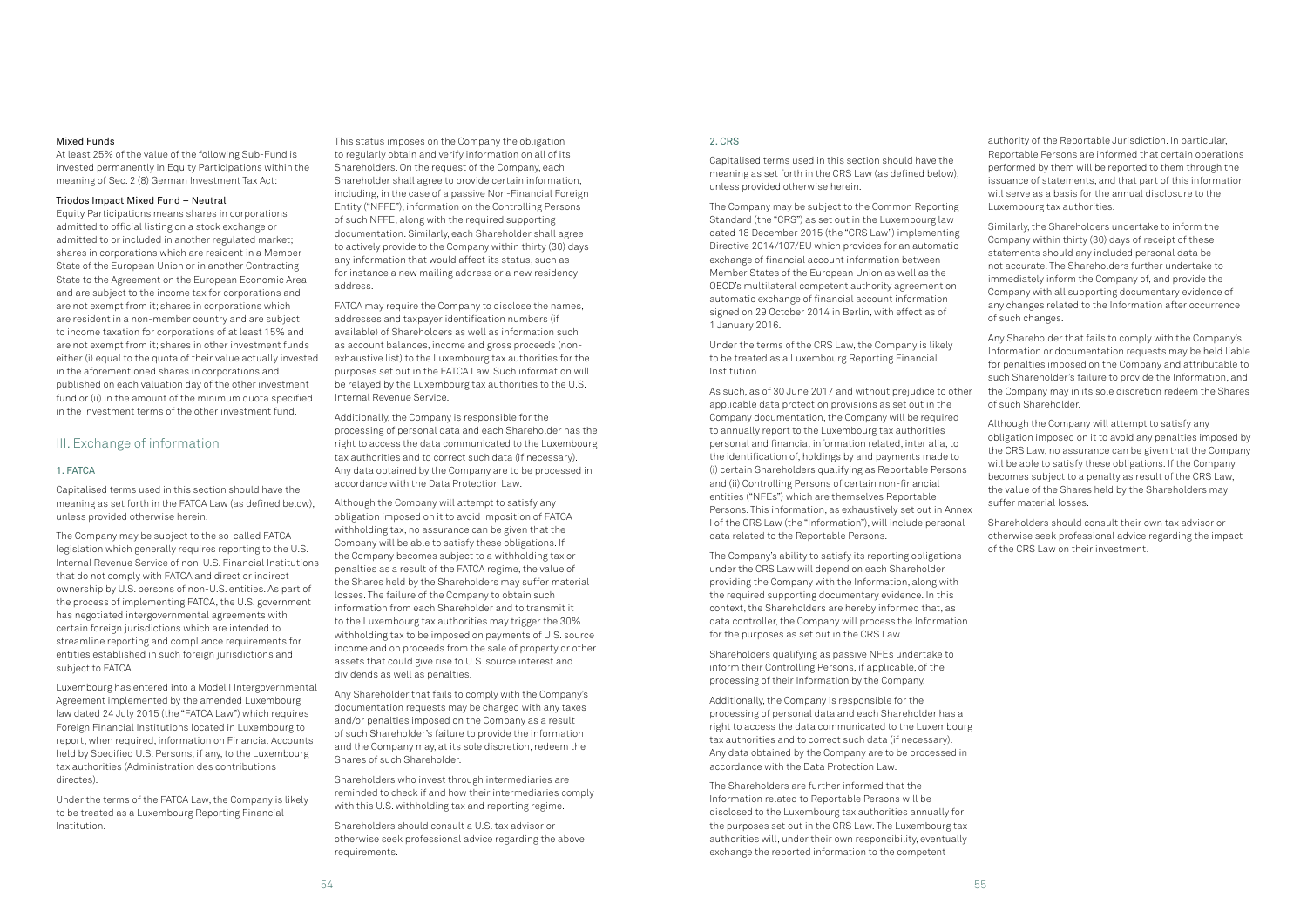### Mixed Funds

At least 25% of the value of the following Sub-Fund is invested permanently in Equity Participations within the meaning of Sec. 2 (8) German Investment Tax Act:

### Triodos Impact Mixed Fund – Neutral

Equity Participations means shares in corporations admitted to official listing on a stock exchange or admitted to or included in another regulated market; shares in corporations which are resident in a Member State of the European Union or in another Contracting State to the Agreement on the European Economic Area and are subject to the income tax for corporations and are not exempt from it; shares in corporations which are resident in a non-member country and are subject to income taxation for corporations of at least 15% and are not exempt from it; shares in other investment funds either (i) equal to the quota of their value actually invested in the aforementioned shares in corporations and published on each valuation day of the other investment fund or (ii) in the amount of the minimum quota specified in the investment terms of the other investment fund.

### III. Exchange of information

### 1. FATCA

Capitalised terms used in this section should have the meaning as set forth in the FATCA Law (as defined below), unless provided otherwise herein.

The Company may be subject to the so-called FATCA legislation which generally requires reporting to the U.S. Internal Revenue Service of non-U.S. Financial Institutions that do not comply with FATCA and direct or indirect ownership by U.S. persons of non-U.S. entities. As part of the process of implementing FATCA, the U.S. government has negotiated intergovernmental agreements with certain foreign jurisdictions which are intended to streamline reporting and compliance requirements for entities established in such foreign jurisdictions and subject to FATCA.

Luxembourg has entered into a Model I Intergovernmental Agreement implemented by the amended Luxembourg law dated 24 July 2015 (the "FATCA Law") which requires Foreign Financial Institutions located in Luxembourg to report, when required, information on Financial Accounts held by Specified U.S. Persons, if any, to the Luxembourg tax authorities (Administration des contributions directes).

Under the terms of the FATCA Law, the Company is likely to be treated as a Luxembourg Reporting Financial Institution.

This status imposes on the Company the obligation to regularly obtain and verify information on all of its Shareholders. On the request of the Company, each Shareholder shall agree to provide certain information, including, in the case of a passive Non-Financial Foreign Entity ("NFFE"), information on the Controlling Persons of such NFFE, along with the required supporting documentation. Similarly, each Shareholder shall agree to actively provide to the Company within thirty (30) days any information that would affect its status, such as for instance a new mailing address or a new residency address.

FATCA may require the Company to disclose the names, addresses and taxpayer identification numbers (if available) of Shareholders as well as information such as account balances, income and gross proceeds (nonexhaustive list) to the Luxembourg tax authorities for the purposes set out in the FATCA Law. Such information will be relayed by the Luxembourg tax authorities to the U.S. Internal Revenue Service.

Additionally, the Company is responsible for the processing of personal data and each Shareholder has the right to access the data communicated to the Luxembourg tax authorities and to correct such data (if necessary). Any data obtained by the Company are to be processed in accordance with the Data Protection Law.

Although the Company will attempt to satisfy any obligation imposed on it to avoid imposition of FATCA withholding tax, no assurance can be given that the Company will be able to satisfy these obligations. If the Company becomes subject to a withholding tax or penalties as a result of the FATCA regime, the value of the Shares held by the Shareholders may suffer material losses. The failure of the Company to obtain such information from each Shareholder and to transmit it to the Luxembourg tax authorities may trigger the 30% withholding tax to be imposed on payments of U.S. source income and on proceeds from the sale of property or other assets that could give rise to U.S. source interest and dividends as well as penalties.

Any Shareholder that fails to comply with the Company's documentation requests may be charged with any taxes and/or penalties imposed on the Company as a result of such Shareholder's failure to provide the information and the Company may, at its sole discretion, redeem the Shares of such Shareholder.

Shareholders who invest through intermediaries are reminded to check if and how their intermediaries comply with this U.S. withholding tax and reporting regime.

Shareholders should consult a U.S. tax advisor or otherwise seek professional advice regarding the above requirements.

### 2. CRS

Capitalised terms used in this section should have the meaning as set forth in the CRS Law (as defined below), unless provided otherwise herein.

The Company may be subject to the Common Reporting Standard (the "CRS") as set out in the Luxembourg law dated 18 December 2015 (the "CRS Law") implementing Directive 2014/107/EU which provides for an automatic exchange of financial account information between Member States of the European Union as well as the OECD's multilateral competent authority agreement on automatic exchange of financial account information signed on 29 October 2014 in Berlin, with effect as of 1 January 2016.

Under the terms of the CRS Law, the Company is likely to be treated as a Luxembourg Reporting Financial Institution.

The Company's ability to satisfy its reporting obligations under the CRS Law will depend on each Shareholder providing the Company with the Information, along with the required supporting documentary evidence. In this context, the Shareholders are hereby informed that, as data controller, the Company will process the Information for the purposes as set out in the CRS Law.

Shareholders qualifying as passive NFEs undertake to inform their Controlling Persons, if applicable, of the processing of their Information by the Company.

Additionally, the Company is responsible for the processing of personal data and each Shareholder has a right to access the data communicated to the Luxembourg tax authorities and to correct such data (if necessary). Any data obtained by the Company are to be processed in accordance with the Data Protection Law.

As such, as of 30 June 2017 and without prejudice to other applicable data protection provisions as set out in the Company documentation, the Company will be required to annually report to the Luxembourg tax authorities personal and financial information related, inter alia, to the identification of, holdings by and payments made to (i) certain Shareholders qualifying as Reportable Persons and (ii) Controlling Persons of certain non-financial entities ("NFEs") which are themselves Reportable Persons. This information, as exhaustively set out in Annex I of the CRS Law (the "Information"), will include personal data related to the Reportable Persons. of such Shareholder. Although the Company will attempt to satisfy any obligation imposed on it to avoid any penalties imposed by the CRS Law, no assurance can be given that the Company will be able to satisfy these obligations. If the Company becomes subject to a penalty as result of the CRS Law, the value of the Shares held by the Shareholders may suffer material losses. Shareholders should consult their own tax advisor or otherwise seek professional advice regarding the impact of the CRS Law on their investment.

The Shareholders are further informed that the Information related to Reportable Persons will be disclosed to the Luxembourg tax authorities annually for the purposes set out in the CRS Law. The Luxembourg tax authorities will, under their own responsibility, eventually exchange the reported information to the competent

authority of the Reportable Jurisdiction. In particular, Reportable Persons are informed that certain operations performed by them will be reported to them through the issuance of statements, and that part of this information will serve as a basis for the annual disclosure to the Luxembourg tax authorities.

Similarly, the Shareholders undertake to inform the Company within thirty (30) days of receipt of these statements should any included personal data be not accurate. The Shareholders further undertake to immediately inform the Company of, and provide the Company with all supporting documentary evidence of any changes related to the Information after occurrence of such changes.

Any Shareholder that fails to comply with the Company's Information or documentation requests may be held liable for penalties imposed on the Company and attributable to such Shareholder's failure to provide the Information, and the Company may in its sole discretion redeem the Shares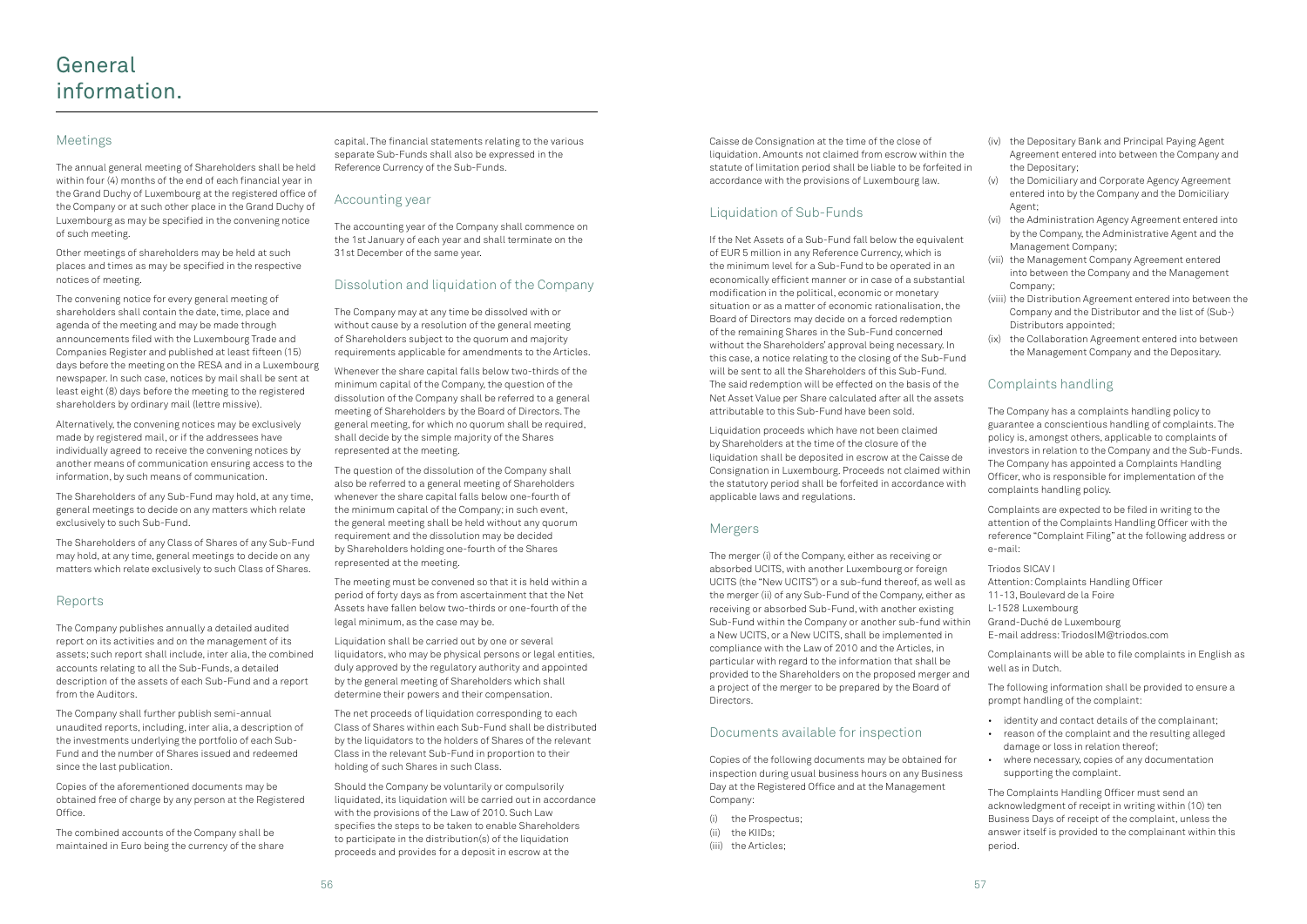### Meetings

The annual general meeting of Shareholders shall be held within four (4) months of the end of each financial year in the Grand Duchy of Luxembourg at the registered office of the Company or at such other place in the Grand Duchy of Luxembourg as may be specified in the convening notice of such meeting.

Other meetings of shareholders may be held at such places and times as may be specified in the respective notices of meeting.

The convening notice for every general meeting of shareholders shall contain the date, time, place and agenda of the meeting and may be made through announcements filed with the Luxembourg Trade and Companies Register and published at least fifteen (15) days before the meeting on the RESA and in a Luxembourg newspaper. In such case, notices by mail shall be sent at least eight (8) days before the meeting to the registered shareholders by ordinary mail (lettre missive).

Alternatively, the convening notices may be exclusively made by registered mail, or if the addressees have individually agreed to receive the convening notices by another means of communication ensuring access to the information, by such means of communication.

The Shareholders of any Sub-Fund may hold, at any time, general meetings to decide on any matters which relate exclusively to such Sub-Fund.

The Shareholders of any Class of Shares of any Sub-Fund may hold, at any time, general meetings to decide on any matters which relate exclusively to such Class of Shares.

### Reports

The Company publishes annually a detailed audited report on its activities and on the management of its assets; such report shall include, inter alia, the combined accounts relating to all the Sub-Funds, a detailed description of the assets of each Sub-Fund and a report from the Auditors.

The Company shall further publish semi-annual unaudited reports, including, inter alia, a description of the investments underlying the portfolio of each Sub-Fund and the number of Shares issued and redeemed since the last publication.

Copies of the aforementioned documents may be obtained free of charge by any person at the Registered Office.

The combined accounts of the Company shall be maintained in Euro being the currency of the share capital. The financial statements relating to the various separate Sub-Funds shall also be expressed in the Reference Currency of the Sub-Funds.

### Accounting year

The accounting year of the Company shall commence on the 1st January of each year and shall terminate on the 31st December of the same year.

### Dissolution and liquidation of the Company

The Company may at any time be dissolved with or without cause by a resolution of the general meeting of Shareholders subject to the quorum and majority requirements applicable for amendments to the Articles.

Whenever the share capital falls below two-thirds of the minimum capital of the Company, the question of the dissolution of the Company shall be referred to a general meeting of Shareholders by the Board of Directors. The general meeting, for which no quorum shall be required, shall decide by the simple majority of the Shares represented at the meeting.

The question of the dissolution of the Company shall also be referred to a general meeting of Shareholders whenever the share capital falls below one-fourth of the minimum capital of the Company; in such event, the general meeting shall be held without any quorum requirement and the dissolution may be decided by Shareholders holding one-fourth of the Shares represented at the meeting.

The meeting must be convened so that it is held within a period of forty days as from ascertainment that the Net Assets have fallen below two-thirds or one-fourth of the legal minimum, as the case may be.

Liquidation shall be carried out by one or several liquidators, who may be physical persons or legal entities, duly approved by the regulatory authority and appointed by the general meeting of Shareholders which shall determine their powers and their compensation.

The net proceeds of liquidation corresponding to each Class of Shares within each Sub-Fund shall be distributed by the liquidators to the holders of Shares of the relevant Class in the relevant Sub-Fund in proportion to their holding of such Shares in such Class.

Should the Company be voluntarily or compulsorily liquidated, its liquidation will be carried out in accordance with the provisions of the Law of 2010. Such Law specifies the steps to be taken to enable Shareholders to participate in the distribution(s) of the liquidation proceeds and provides for a deposit in escrow at the

Caisse de Consignation at the time of the close of liquidation. Amounts not claimed from escrow within the statute of limitation period shall be liable to be forfeited in accordance with the provisions of Luxembourg law.

### Liquidation of Sub-Funds

If the Net Assets of a Sub-Fund fall below the equivalent of EUR 5 million in any Reference Currency, which is the minimum level for a Sub-Fund to be operated in an economically efficient manner or in case of a substantial modification in the political, economic or monetary situation or as a matter of economic rationalisation, the Board of Directors may decide on a forced redemption of the remaining Shares in the Sub-Fund concerned without the Shareholders' approval being necessary. In this case, a notice relating to the closing of the Sub-Fund will be sent to all the Shareholders of this Sub-Fund. The said redemption will be effected on the basis of the Net Asset Value per Share calculated after all the assets attributable to this Sub-Fund have been sold.

Liquidation proceeds which have not been claimed by Shareholders at the time of the closure of the liquidation shall be deposited in escrow at the Caisse de Consignation in Luxembourg. Proceeds not claimed within the statutory period shall be forfeited in accordance with applicable laws and regulations.

### Mergers

The merger (i) of the Company, either as receiving or absorbed UCITS, with another Luxembourg or foreign UCITS (the "New UCITS") or a sub-fund thereof, as well as the merger (ii) of any Sub-Fund of the Company, either as receiving or absorbed Sub-Fund, with another existing Sub-Fund within the Company or another sub-fund within a New UCITS, or a New UCITS, shall be implemented in compliance with the Law of 2010 and the Articles, in particular with regard to the information that shall be provided to the Shareholders on the proposed merger and a project of the merger to be prepared by the Board of Directors.

### Documents available for inspection

Copies of the following documents may be obtained for inspection during usual business hours on any Business Day at the Registered Office and at the Management Company:

- (i) the Prospectus;
- (ii) the KIIDs;
- (iii) the Articles;
- (iv) the Depositary Bank and Principal Paying Agent Agreement entered into between the Company and the Depositary;
- (v) the Domiciliary and Corporate Agency Agreement entered into by the Company and the Domiciliary Agent;
- (vi) the Administration Agency Agreement entered into by the Company, the Administrative Agent and the Management Company;
- (vii) the Management Company Agreement entered into between the Company and the Management Company;
- (viii) the Distribution Agreement entered into between the Company and the Distributor and the list of (Sub-) Distributors appointed;
- (ix) the Collaboration Agreement entered into between the Management Company and the Depositary.

### Complaints handling

The Company has a complaints handling policy to guarantee a conscientious handling of complaints. The policy is, amongst others, applicable to complaints of investors in relation to the Company and the Sub-Funds. The Company has appointed a Complaints Handling Officer, who is responsible for implementation of the complaints handling policy.

Complaints are expected to be filed in writing to the attention of the Complaints Handling Officer with the reference "Complaint Filing" at the following address or e-mail:

Triodos SICAV I Attention: Complaints Handling Officer 11-13, Boulevard de la Foire L-1528 Luxembourg Grand-Duché de Luxembourg E-mail address: [TriodosIM@triodos.com](mailto:TriodosIM@triodos.com)

Complainants will be able to file complaints in English as well as in Dutch.

The following information shall be provided to ensure a prompt handling of the complaint:

- identity and contact details of the complainant;
- reason of the complaint and the resulting alleged damage or loss in relation thereof;
- where necessary, copies of any documentation supporting the complaint.

The Complaints Handling Officer must send an acknowledgment of receipt in writing within (10) ten Business Days of receipt of the complaint, unless the answer itself is provided to the complainant within this period.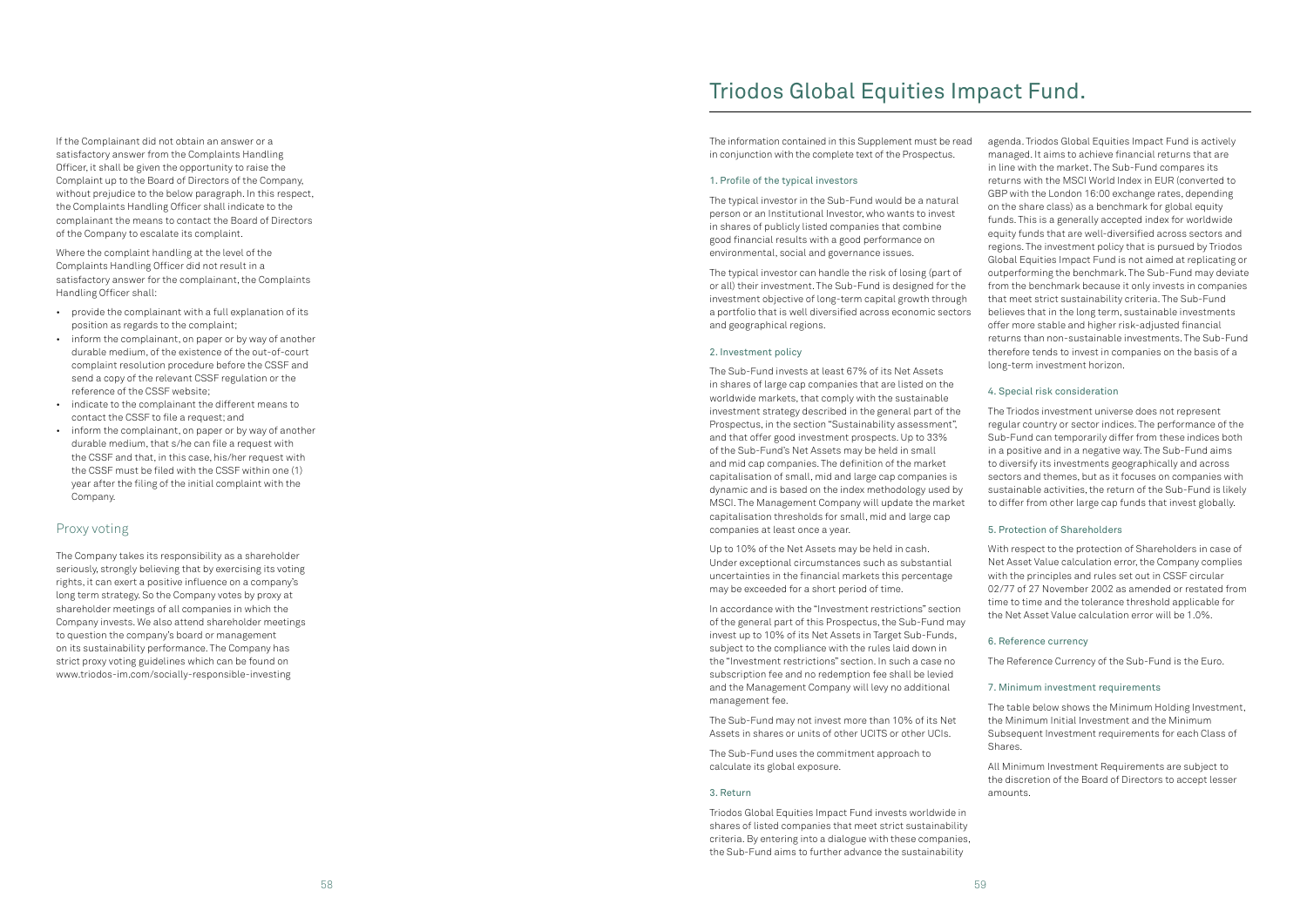If the Complainant did not obtain an answer or a satisfactory answer from the Complaints Handling Officer, it shall be given the opportunity to raise the Complaint up to the Board of Directors of the Company, without prejudice to the below paragraph. In this respect, the Complaints Handling Officer shall indicate to the complainant the means to contact the Board of Directors of the Company to escalate its complaint.

Where the complaint handling at the level of the Complaints Handling Officer did not result in a satisfactory answer for the complainant, the Complaints Handling Officer shall:

- provide the complainant with a full explanation of its position as regards to the complaint;
- inform the complainant, on paper or by way of another durable medium, of the existence of the out-of-court complaint resolution procedure before the CSSF and send a copy of the relevant CSSF regulation or the reference of the CSSF website;
- indicate to the complainant the different means to contact the CSSF to file a request; and
- inform the complainant, on paper or by way of another durable medium, that s/he can file a request with the CSSF and that, in this case, his/her request with the CSSF must be filed with the CSSF within one (1) year after the filing of the initial complaint with the Company.

### Proxy voting

The Company takes its responsibility as a shareholder seriously, strongly believing that by exercising its voting rights, it can exert a positive influence on a company's long term strategy. So the Company votes by proxy at shareholder meetings of all companies in which the Company invests. We also attend shareholder meetings to question the company's board or management on its sustainability performance. The Company has strict proxy voting guidelines which can be found on [www.triodos-im.com/socially-responsible-investing](http://www.triodos-im.com/socially-responsible-investing)

The Sub-Fund invests at least 67% of its Net Assets in shares of large cap companies that are listed on the worldwide markets, that comply with the sustainable investment strategy described in the general part of the Prospectus, in the section "Sustainability assessment", and that offer good investment prospects. Up to 33% of the Sub-Fund's Net Assets may be held in small and mid cap companies. The definition of the market capitalisation of small, mid and large cap companies is dynamic and is based on the index methodology used by MSCI. The Management Company will update the market capitalisation thresholds for small, mid and large cap companies at least once a year.

Up to 10% of the Net Assets may be held in cash. Under exceptional circumstances such as substantial uncertainties in the financial markets this percentage may be exceeded for a short period of time.

The information contained in this Supplement must be read in conjunction with the complete text of the Prospectus. 1. Profile of the typical investors The typical investor in the Sub-Fund would be a natural person or an Institutional Investor, who wants to invest in shares of publicly listed companies that combine good financial results with a good performance on environmental, social and governance issues. The typical investor can handle the risk of losing (part of or all) their investment. The Sub-Fund is designed for the investment objective of long-term capital growth through a portfolio that is well diversified across economic sectors and geographical regions. 2. Investment policy agenda. Triodos Global Equities Impact Fund is actively managed. It aims to achieve financial returns that are in line with the market. The Sub-Fund compares its returns with the MSCI World Index in EUR (converted to GBP with the London 16:00 exchange rates, depending on the share class) as a benchmark for global equity funds. This is a generally accepted index for worldwide equity funds that are well-diversified across sectors and regions. The investment policy that is pursued by Triodos Global Equities Impact Fund is not aimed at replicating or outperforming the benchmark. The Sub-Fund may deviate from the benchmark because it only invests in companies that meet strict sustainability criteria. The Sub-Fund believes that in the long term, sustainable investments offer more stable and higher risk-adjusted financial returns than non-sustainable investments. The Sub-Fund therefore tends to invest in companies on the basis of a long-term investment horizon.

In accordance with the "Investment restrictions" section of the general part of this Prospectus, the Sub-Fund may invest up to 10% of its Net Assets in Target Sub-Funds, subject to the compliance with the rules laid down in the "Investment restrictions" section. In such a case no subscription fee and no redemption fee shall be levied and the Management Company will levy no additional management fee.

The Sub-Fund may not invest more than 10% of its Net Assets in shares or units of other UCITS or other UCIs.

The Sub-Fund uses the commitment approach to calculate its global exposure.

#### 3. Return

Triodos Global Equities Impact Fund invests worldwide in shares of listed companies that meet strict sustainability criteria. By entering into a dialogue with these companies, the Sub-Fund aims to further advance the sustainability

### 4. Special risk consideration

The Triodos investment universe does not represent regular country or sector indices. The performance of the Sub-Fund can temporarily differ from these indices both in a positive and in a negative way. The Sub-Fund aims to diversify its investments geographically and across sectors and themes, but as it focuses on companies with sustainable activities, the return of the Sub-Fund is likely to differ from other large cap funds that invest globally.

### 5. Protection of Shareholders

With respect to the protection of Shareholders in case of Net Asset Value calculation error, the Company complies with the principles and rules set out in CSSF circular 02/77 of 27 November 2002 as amended or restated from time to time and the tolerance threshold applicable for the Net Asset Value calculation error will be 1.0%.

### 6. Reference currency

The Reference Currency of the Sub-Fund is the Euro.

### 7. Minimum investment requirements

The table below shows the Minimum Holding Investment, the Minimum Initial Investment and the Minimum Subsequent Investment requirements for each Class of Shares.

All Minimum Investment Requirements are subject to the discretion of the Board of Directors to accept lesser amounts.

## Triodos Global Equities Impact Fund.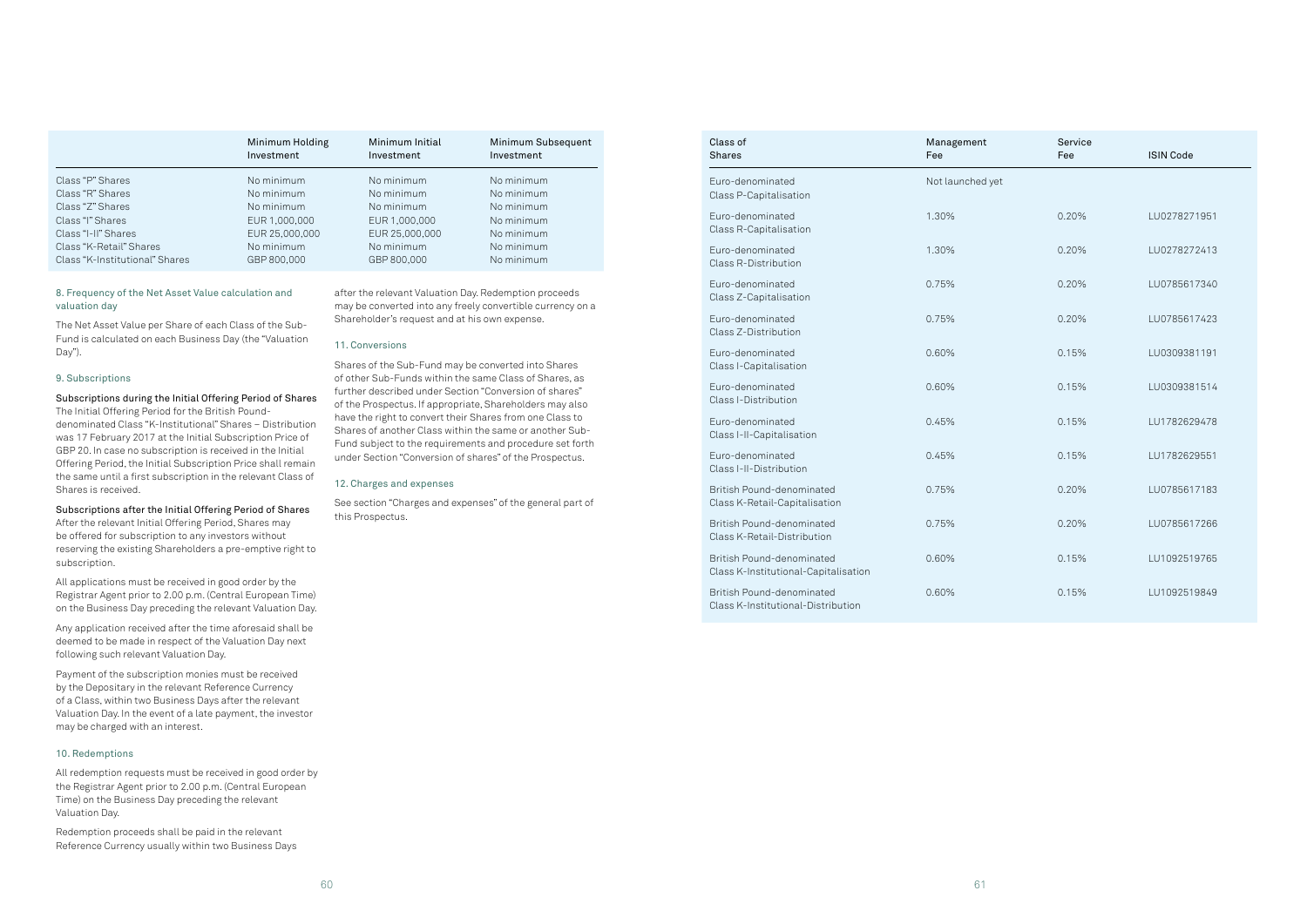|                                | Minimum Holding<br>Investment | Minimum Initial<br>Investment | Minimum Subsequent<br>Investment |
|--------------------------------|-------------------------------|-------------------------------|----------------------------------|
| Class "P" Shares               | No minimum                    | No minimum                    | No minimum                       |
| Class "R" Shares               | No minimum                    | No minimum                    | No minimum                       |
| Class "Z" Shares               | No minimum                    | No minimum                    | No minimum                       |
| Class "I" Shares               | EUR 1,000,000                 | EUR 1,000,000                 | No minimum                       |
| Class "I-II" Shares            | EUR 25,000,000                | EUR 25,000,000                | No minimum                       |
| Class "K-Retail" Shares        | No minimum                    | No minimum                    | No minimum                       |
| Class "K-Institutional" Shares | GBP 800,000                   | GBP 800,000                   | No minimum                       |

### 8. Frequency of the Net Asset Value calculation and valuation day

The Net Asset Value per Share of each Class of the Sub-Fund is calculated on each Business Day (the "Valuation Day").

### 9. Subscriptions

### Subscriptions during the Initial Offering Period of Shares

The Initial Offering Period for the British Pounddenominated Class "K-Institutional" Shares – Distribution was 17 February 2017 at the Initial Subscription Price of GBP 20. In case no subscription is received in the Initial Offering Period, the Initial Subscription Price shall remain the same until a first subscription in the relevant Class of Shares is received.

### Subscriptions after the Initial Offering Period of Shares

After the relevant Initial Offering Period, Shares may be offered for subscription to any investors without reserving the existing Shareholders a pre-emptive right to subscription.

All applications must be received in good order by the Registrar Agent prior to 2.00 p.m. (Central European Time) on the Business Day preceding the relevant Valuation Day.

Any application received after the time aforesaid shall be deemed to be made in respect of the Valuation Day next following such relevant Valuation Day.

Payment of the subscription monies must be received by the Depositary in the relevant Reference Currency of a Class, within two Business Days after the relevant Valuation Day. In the event of a late payment, the investor may be charged with an interest.

#### 10. Redemptions

All redemption requests must be received in good order by the Registrar Agent prior to 2.00 p.m. (Central European Time) on the Business Day preceding the relevant Valuation Day.

Redemption proceeds shall be paid in the relevant Reference Currency usually within two Business Days

after the relevant Valuation Day. Redemption proceeds may be converted into any freely convertible currency on a Shareholder's request and at his own expense.

### 11. Conversions

Shares of the Sub-Fund may be converted into Shares of other Sub-Funds within the same Class of Shares, as further described under Section "Conversion of shares" of the Prospectus. If appropriate, Shareholders may also have the right to convert their Shares from one Class to Shares of another Class within the same or another Sub-Fund subject to the requirements and procedure set forth under Section "Conversion of shares" of the Prospectus.

### 12. Charges and expenses

See section "Charges and expenses" of the general part of this Prospectus.

| Class of<br><b>Shares</b>                                         | Management<br>Fee | Service<br>Fee | <b>ISIN Code</b> |
|-------------------------------------------------------------------|-------------------|----------------|------------------|
| Euro-denominated<br>Class P-Capitalisation                        | Not launched yet  |                |                  |
| Euro-denominated<br>Class R-Capitalisation                        | 1.30%             | 0.20%          | LU0278271951     |
| Euro-denominated<br>Class R-Distribution                          | 1.30%             | 0.20%          | LU0278272413     |
| Euro-denominated<br>Class Z-Capitalisation                        | 0.75%             | 0.20%          | LU0785617340     |
| Euro-denominated<br>Class Z-Distribution                          | 0.75%             | 0.20%          | LU0785617423     |
| Euro-denominated<br>Class I-Capitalisation                        | 0.60%             | 0.15%          | LU0309381191     |
| Euro-denominated<br>Class I-Distribution                          | 0.60%             | 0.15%          | LU0309381514     |
| Euro-denominated<br>Class I-II-Capitalisation                     | 0.45%             | 0.15%          | LU1782629478     |
| Euro-denominated<br>Class I-II-Distribution                       | 0.45%             | 0.15%          | LU1782629551     |
| British Pound-denominated<br>Class K-Retail-Capitalisation        | 0.75%             | 0.20%          | LU0785617183     |
| British Pound-denominated<br>Class K-Retail-Distribution          | 0.75%             | 0.20%          | LU0785617266     |
| British Pound-denominated<br>Class K-Institutional-Capitalisation | 0.60%             | 0.15%          | LU1092519765     |
| British Pound-denominated<br>Class K-Institutional-Distribution   | 0.60%             | 0.15%          | LU1092519849     |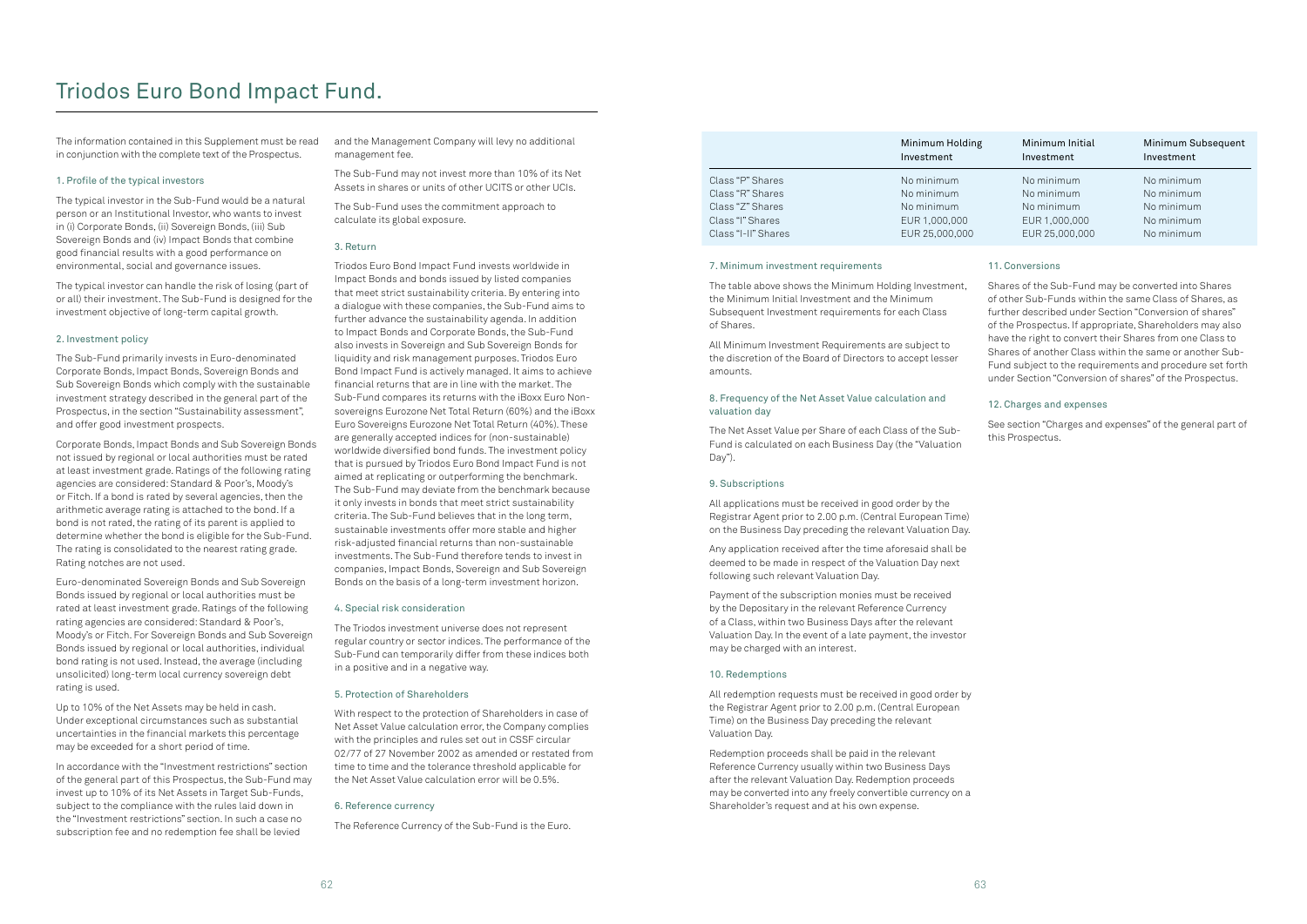The information contained in this Supplement must be read in conjunction with the complete text of the Prospectus.

### 1. Profile of the typical investors

The typical investor in the Sub-Fund would be a natural person or an Institutional Investor, who wants to invest in (i) Corporate Bonds, (ii) Sovereign Bonds, (iii) Sub Sovereign Bonds and (iv) Impact Bonds that combine good financial results with a good performance on environmental, social and governance issues.

The typical investor can handle the risk of losing (part of or all) their investment. The Sub-Fund is designed for the investment objective of long-term capital growth.

#### 2. Investment policy

The Sub-Fund primarily invests in Euro-denominated Corporate Bonds, Impact Bonds, Sovereign Bonds and Sub Sovereign Bonds which comply with the sustainable investment strategy described in the general part of the Prospectus, in the section "Sustainability assessment", and offer good investment prospects.

Corporate Bonds, Impact Bonds and Sub Sovereign Bonds not issued by regional or local authorities must be rated at least investment grade. Ratings of the following rating agencies are considered: Standard & Poor's, Moody's or Fitch. If a bond is rated by several agencies, then the arithmetic average rating is attached to the bond. If a bond is not rated, the rating of its parent is applied to determine whether the bond is eligible for the Sub-Fund. The rating is consolidated to the nearest rating grade. Rating notches are not used.

Euro-denominated Sovereign Bonds and Sub Sovereign Bonds issued by regional or local authorities must be rated at least investment grade. Ratings of the following rating agencies are considered: Standard & Poor's, Moody's or Fitch. For Sovereign Bonds and Sub Sovereign Bonds issued by regional or local authorities, individual bond rating is not used. Instead, the average (including unsolicited) long-term local currency sovereign debt rating is used.

Up to 10% of the Net Assets may be held in cash. Under exceptional circumstances such as substantial uncertainties in the financial markets this percentage may be exceeded for a short period of time.

In accordance with the "Investment restrictions" section of the general part of this Prospectus, the Sub-Fund may invest up to 10% of its Net Assets in Target Sub-Funds, subject to the compliance with the rules laid down in the "Investment restrictions" section. In such a case no subscription fee and no redemption fee shall be levied

and the Management Company will levy no additional management fee.

The Sub-Fund may not invest more than 10% of its Net Assets in shares or units of other UCITS or other UCIs.

The Sub-Fund uses the commitment approach to calculate its global exposure.

### 3. Return

Triodos Euro Bond Impact Fund invests worldwide in Impact Bonds and bonds issued by listed companies that meet strict sustainability criteria. By entering into a dialogue with these companies, the Sub-Fund aims to further advance the sustainability agenda. In addition to Impact Bonds and Corporate Bonds, the Sub-Fund also invests in Sovereign and Sub Sovereign Bonds for liquidity and risk management purposes. Triodos Euro Bond Impact Fund is actively managed. It aims to achieve financial returns that are in line with the market. The Sub-Fund compares its returns with the iBoxx Euro Nonsovereigns Eurozone Net Total Return (60%) and the iBoxx Euro Sovereigns Eurozone Net Total Return (40%). These are generally accepted indices for (non-sustainable) worldwide diversified bond funds. The investment policy that is pursued by Triodos Euro Bond Impact Fund is not aimed at replicating or outperforming the benchmark. The Sub-Fund may deviate from the benchmark because it only invests in bonds that meet strict sustainability criteria. The Sub-Fund believes that in the long term, sustainable investments offer more stable and higher risk-adjusted financial returns than non-sustainable investments. The Sub-Fund therefore tends to invest in companies, Impact Bonds, Sovereign and Sub Sovereign Bonds on the basis of a long-term investment horizon.

#### 4. Special risk consideration

The Triodos investment universe does not represent regular country or sector indices. The performance of the Sub-Fund can temporarily differ from these indices both in a positive and in a negative way.

#### 5. Protection of Shareholders

With respect to the protection of Shareholders in case of Net Asset Value calculation error, the Company complies with the principles and rules set out in CSSF circular 02/77 of 27 November 2002 as amended or restated from time to time and the tolerance threshold applicable for the Net Asset Value calculation error will be 0.5%.

#### 6. Reference currency

The Reference Currency of the Sub-Fund is the Euro.

## Triodos Euro Bond Impact Fund.

|                     | Minimum Holding<br>Investment | Minimum Initial<br>Investment | Minimum Subsequent<br>Investment |
|---------------------|-------------------------------|-------------------------------|----------------------------------|
| Class "P" Shares    | No minimum                    | No minimum                    | No minimum                       |
| Class "R" Shares    | No minimum                    | No minimum                    | No minimum                       |
| Class "Z" Shares    | No minimum                    | No minimum                    | No minimum                       |
| Class "I" Shares    | EUR 1,000,000                 | EUR 1,000,000                 | No minimum                       |
| Class "I-II" Shares | EUR 25,000,000                | EUR 25,000,000                | No minimum                       |

#### 7. Minimum investment requirements

The table above shows the Minimum Holding Investment, the Minimum Initial Investment and the Minimum Subsequent Investment requirements for each Class of Shares.

All Minimum Investment Requirements are subject to the discretion of the Board of Directors to accept lesser amounts.

### 8. Frequency of the Net Asset Value calculation and valuation day

The Net Asset Value per Share of each Class of the Sub-Fund is calculated on each Business Day (the "Valuation Day").

#### 9. Subscriptions

All applications must be received in good order by the Registrar Agent prior to 2.00 p.m. (Central European Time) on the Business Day preceding the relevant Valuation Day.

Any application received after the time aforesaid shall be deemed to be made in respect of the Valuation Day next following such relevant Valuation Day.

Payment of the subscription monies must be received by the Depositary in the relevant Reference Currency of a Class, within two Business Days after the relevant Valuation Day. In the event of a late payment, the investor may be charged with an interest.

#### 10. Redemptions

All redemption requests must be received in good order by the Registrar Agent prior to 2.00 p.m. (Central European Time) on the Business Day preceding the relevant Valuation Day.

Redemption proceeds shall be paid in the relevant Reference Currency usually within two Business Days after the relevant Valuation Day. Redemption proceeds may be converted into any freely convertible currency on a Shareholder's request and at his own expense.

### 11. Conversions

Shares of the Sub-Fund may be converted into Shares of other Sub-Funds within the same Class of Shares, as further described under Section "Conversion of shares" of the Prospectus. If appropriate, Shareholders may also have the right to convert their Shares from one Class to Shares of another Class within the same or another Sub-Fund subject to the requirements and procedure set forth under Section "Conversion of shares" of the Prospectus.

### 12. Charges and expenses

See section "Charges and expenses" of the general part of this Prospectus.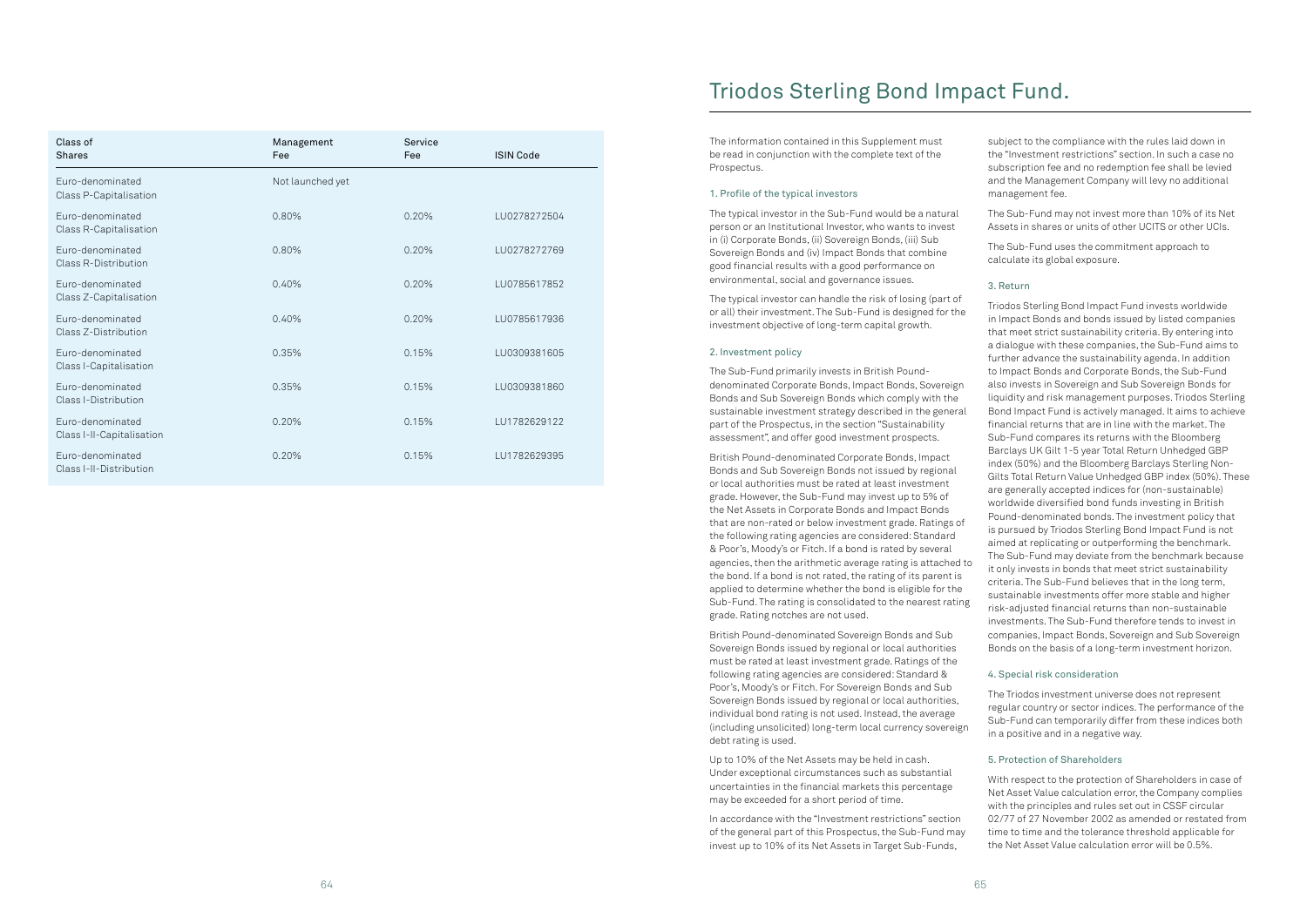| Class of<br><b>Shares</b>                     | Management<br>Fee | Service<br>Fee | <b>ISIN Code</b> |
|-----------------------------------------------|-------------------|----------------|------------------|
| Euro-denominated<br>Class P-Capitalisation    | Not launched yet  |                |                  |
| Euro-denominated<br>Class R-Capitalisation    | 0.80%             | 0.20%          | LU0278272504     |
| Euro-denominated<br>Class R-Distribution      | 0.80%             | 0.20%          | LU0278272769     |
| Euro-denominated<br>Class Z-Capitalisation    | 0.40%             | 0.20%          | LU0785617852     |
| Euro-denominated<br>Class Z-Distribution      | 0.40%             | 0.20%          | LU0785617936     |
| Euro-denominated<br>Class I-Capitalisation    | 0.35%             | 0.15%          | LU0309381605     |
| Euro-denominated<br>Class I-Distribution      | 0.35%             | 0.15%          | LU0309381860     |
| Euro-denominated<br>Class I-II-Capitalisation | 0.20%             | 0.15%          | LU1782629122     |
| Euro-denominated<br>Class I-II-Distribution   | 0.20%             | 0.15%          | LU1782629395     |

The information contained in this Supplement must be read in conjunction with the complete text of the Prospectus.

### 1. Profile of the typical investors

The typical investor in the Sub-Fund would be a natural person or an Institutional Investor, who wants to invest in (i) Corporate Bonds, (ii) Sovereign Bonds, (iii) Sub Sovereign Bonds and (iv) Impact Bonds that combine good financial results with a good performance on environmental, social and governance issues.

The typical investor can handle the risk of losing (part of or all) their investment. The Sub-Fund is designed for the investment objective of long-term capital growth.

denominated Corporate Bonds, Impact Bonds, Sovereign Bonds and Sub Sovereign Bonds which comply with the part of the Prospectus, in the section "Sustainability assessment", and offer good investment prospects.

Sovereign Bonds issued by regional or local authorities must be rated at least investment grade. Ratings of the following rating agencies are considered: Standard & Poor's, Moody's or Fitch. For Sovereign Bonds and Sub Sovereign Bonds issued by regional or local authorities, individual bond rating is not used. Instead, the average (including unsolicited) long-term local currency sovereign debt rating is used.

Up to 10% of the Net Assets may be held in cash. Under exceptional circumstances such as substantial uncertainties in the financial markets this percentage may be exceeded for a short period of time.

In accordance with the "Investment restrictions" section of the general part of this Prospectus, the Sub-Fund may invest up to 10% of its Net Assets in Target Sub-Funds,

2. Investment policy The Sub-Fund primarily invests in British Poundsustainable investment strategy described in the general British Pound-denominated Corporate Bonds, Impact Bonds and Sub Sovereign Bonds not issued by regional or local authorities must be rated at least investment grade. However, the Sub-Fund may invest up to 5% of the Net Assets in Corporate Bonds and Impact Bonds that are non-rated or below investment grade. Ratings of the following rating agencies are considered: Standard & Poor's, Moody's or Fitch. If a bond is rated by several agencies, then the arithmetic average rating is attached to the bond. If a bond is not rated, the rating of its parent is applied to determine whether the bond is eligible for the Sub-Fund. The rating is consolidated to the nearest rating grade. Rating notches are not used. British Pound-denominated Sovereign Bonds and Sub Triodos Sterling Bond Impact Fund invests worldwide in Impact Bonds and bonds issued by listed companies that meet strict sustainability criteria. By entering into a dialogue with these companies, the Sub-Fund aims to further advance the sustainability agenda. In addition to Impact Bonds and Corporate Bonds, the Sub-Fund also invests in Sovereign and Sub Sovereign Bonds for liquidity and risk management purposes. Triodos Sterling Bond Impact Fund is actively managed. It aims to achieve financial returns that are in line with the market. The Sub-Fund compares its returns with the Bloomberg Barclays UK Gilt 1-5 year Total Return Unhedged GBP index (50%) and the Bloomberg Barclays Sterling Non-Gilts Total Return Value Unhedged GBP index (50%). These are generally accepted indices for (non-sustainable) worldwide diversified bond funds investing in British Pound-denominated bonds. The investment policy that is pursued by Triodos Sterling Bond Impact Fund is not aimed at replicating or outperforming the benchmark. The Sub-Fund may deviate from the benchmark because it only invests in bonds that meet strict sustainability criteria. The Sub-Fund believes that in the long term, sustainable investments offer more stable and higher risk-adjusted financial returns than non-sustainable investments. The Sub-Fund therefore tends to invest in companies, Impact Bonds, Sovereign and Sub Sovereign Bonds on the basis of a long-term investment horizon.

subject to the compliance with the rules laid down in the "Investment restrictions" section. In such a case no subscription fee and no redemption fee shall be levied and the Management Company will levy no additional management fee.

The Sub-Fund may not invest more than 10% of its Net Assets in shares or units of other UCITS or other UCIs.

The Sub-Fund uses the commitment approach to calculate its global exposure.

### 3. Return

### 4. Special risk consideration

The Triodos investment universe does not represent regular country or sector indices. The performance of the Sub-Fund can temporarily differ from these indices both in a positive and in a negative way.

### 5. Protection of Shareholders

With respect to the protection of Shareholders in case of Net Asset Value calculation error, the Company complies with the principles and rules set out in CSSF circular 02/77 of 27 November 2002 as amended or restated from time to time and the tolerance threshold applicable for the Net Asset Value calculation error will be 0.5%.

# Triodos Sterling Bond Impact Fund.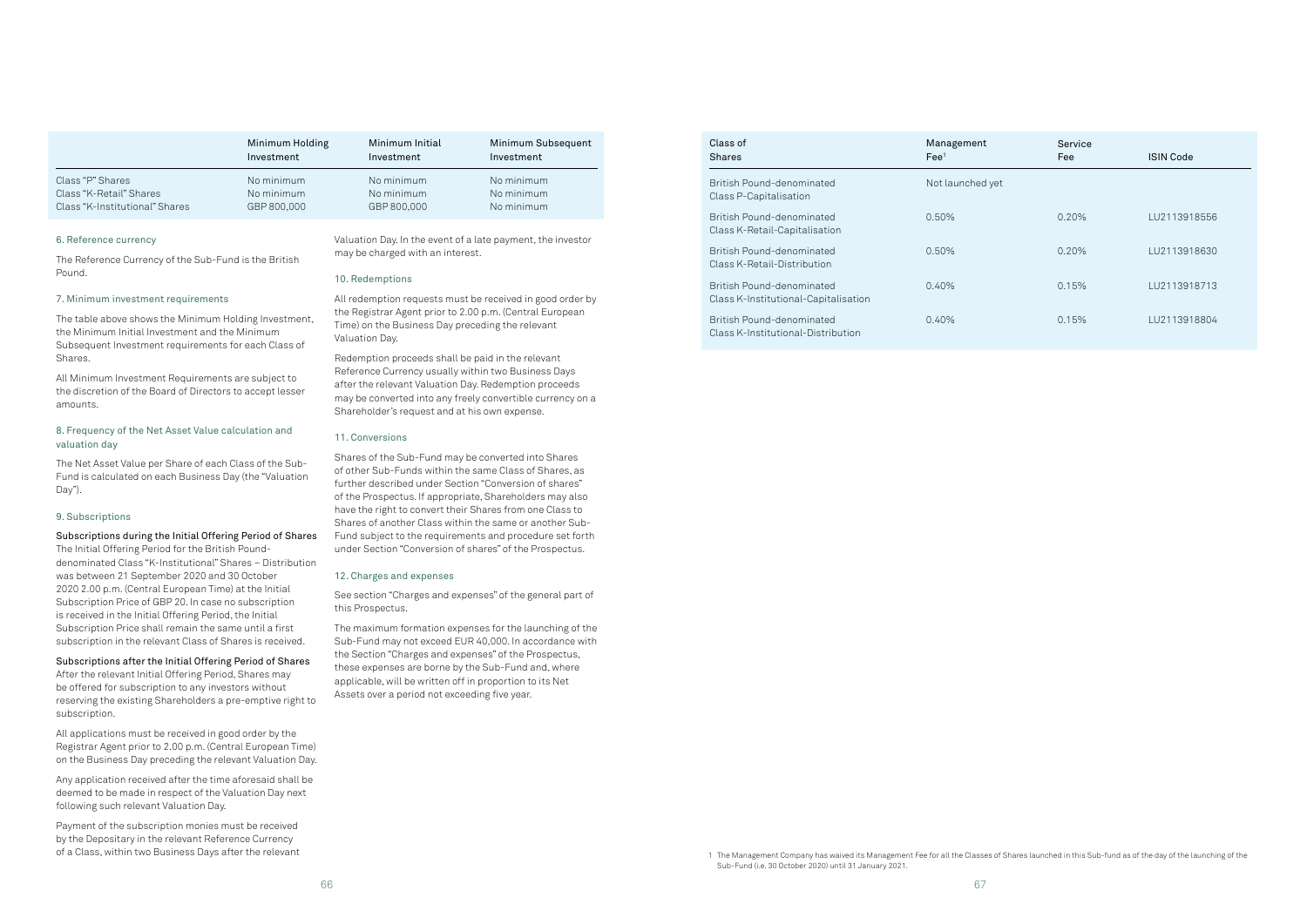#### 6. Reference currency

The Reference Currency of the Sub-Fund is the British Pound.

#### 7. Minimum investment requirements

The table above shows the Minimum Holding Investment, the Minimum Initial Investment and the Minimum Subsequent Investment requirements for each Class of Shares.

All Minimum Investment Requirements are subject to the discretion of the Board of Directors to accept lesser amounts.

### 8. Frequency of the Net Asset Value calculation and valuation day

The Net Asset Value per Share of each Class of the Sub-Fund is calculated on each Business Day (the "Valuation Day").

#### 9. Subscriptions

### Subscriptions during the Initial Offering Period of Shares

The Initial Offering Period for the British Pounddenominated Class "K-Institutional" Shares – Distribution was between 21 September 2020 and 30 October 2020 2.00 p.m. (Central European Time) at the Initial Subscription Price of GBP 20. In case no subscription is received in the Initial Offering Period, the Initial Subscription Price shall remain the same until a first subscription in the relevant Class of Shares is received.

#### Subscriptions after the Initial Offering Period of Shares

After the relevant Initial Offering Period, Shares may be offered for subscription to any investors without reserving the existing Shareholders a pre-emptive right to subscription.

All applications must be received in good order by the Registrar Agent prior to 2.00 p.m. (Central European Time) on the Business Day preceding the relevant Valuation Day.

Any application received after the time aforesaid shall be deemed to be made in respect of the Valuation Day next following such relevant Valuation Day.

Payment of the subscription monies must be received by the Depositary in the relevant Reference Currency of a Class, within two Business Days after the relevant Valuation Day. In the event of a late payment, the investor may be charged with an interest.

#### 10. Redemptions

All redemption requests must be received in good order by the Registrar Agent prior to 2.00 p.m. (Central European Time) on the Business Day preceding the relevant Valuation Day.

Redemption proceeds shall be paid in the relevant Reference Currency usually within two Business Days after the relevant Valuation Day. Redemption proceeds may be converted into any freely convertible currency on a Shareholder's request and at his own expense.

#### 11. Conversions

Shares of the Sub-Fund may be converted into Shares of other Sub-Funds within the same Class of Shares, as further described under Section "Conversion of shares" of the Prospectus. If appropriate, Shareholders may also have the right to convert their Shares from one Class to Shares of another Class within the same or another Sub-Fund subject to the requirements and procedure set forth under Section "Conversion of shares" of the Prospectus.

#### 12. Charges and expenses

See section "Charges and expenses" of the general part of this Prospectus.

The maximum formation expenses for the launching of the Sub-Fund may not exceed EUR 40,000. In accordance with the Section "Charges and expenses" of the Prospectus, these expenses are borne by the Sub-Fund and, where applicable, will be written off in proportion to its Net Assets over a period not exceeding five year.

|                                | Minimum Holding | Minimum Initial | Minimum Subsequent |
|--------------------------------|-----------------|-----------------|--------------------|
|                                | Investment      | Investment      | Investment         |
| Class "P" Shares               | No minimum      | No minimum      | No minimum         |
| Class "K-Retail" Shares        | No minimum      | No minimum      | No minimum         |
| Class "K-Institutional" Shares | GBP 800,000     | GBP 800,000     | No minimum         |

| Class of<br><b>Shares</b>                                         | Management<br>$\text{Fe}e^1$ | Service<br>Fee | <b>ISIN Code</b> |
|-------------------------------------------------------------------|------------------------------|----------------|------------------|
| British Pound-denominated<br>Class P-Capitalisation               | Not launched yet             |                |                  |
| British Pound-denominated<br>Class K-Retail-Capitalisation        | $0.50\%$                     | 0.20%          | LU2113918556     |
| British Pound-denominated<br>Class K-Retail-Distribution          | 0.50%                        | 0.20%          | LU2113918630     |
| British Pound-denominated<br>Class K-Institutional-Capitalisation | 0.40%                        | 0.15%          | LU2113918713     |
| British Pound-denominated<br>Class K-Institutional-Distribution   | 0.40%                        | 0.15%          | LU2113918804     |

<sup>1</sup> The Management Company has waived its Management Fee for all the Classes of Shares launched in this Sub-fund as of the day of the launching of the Sub-Fund (i.e. 30 October 2020) until 31 January 2021.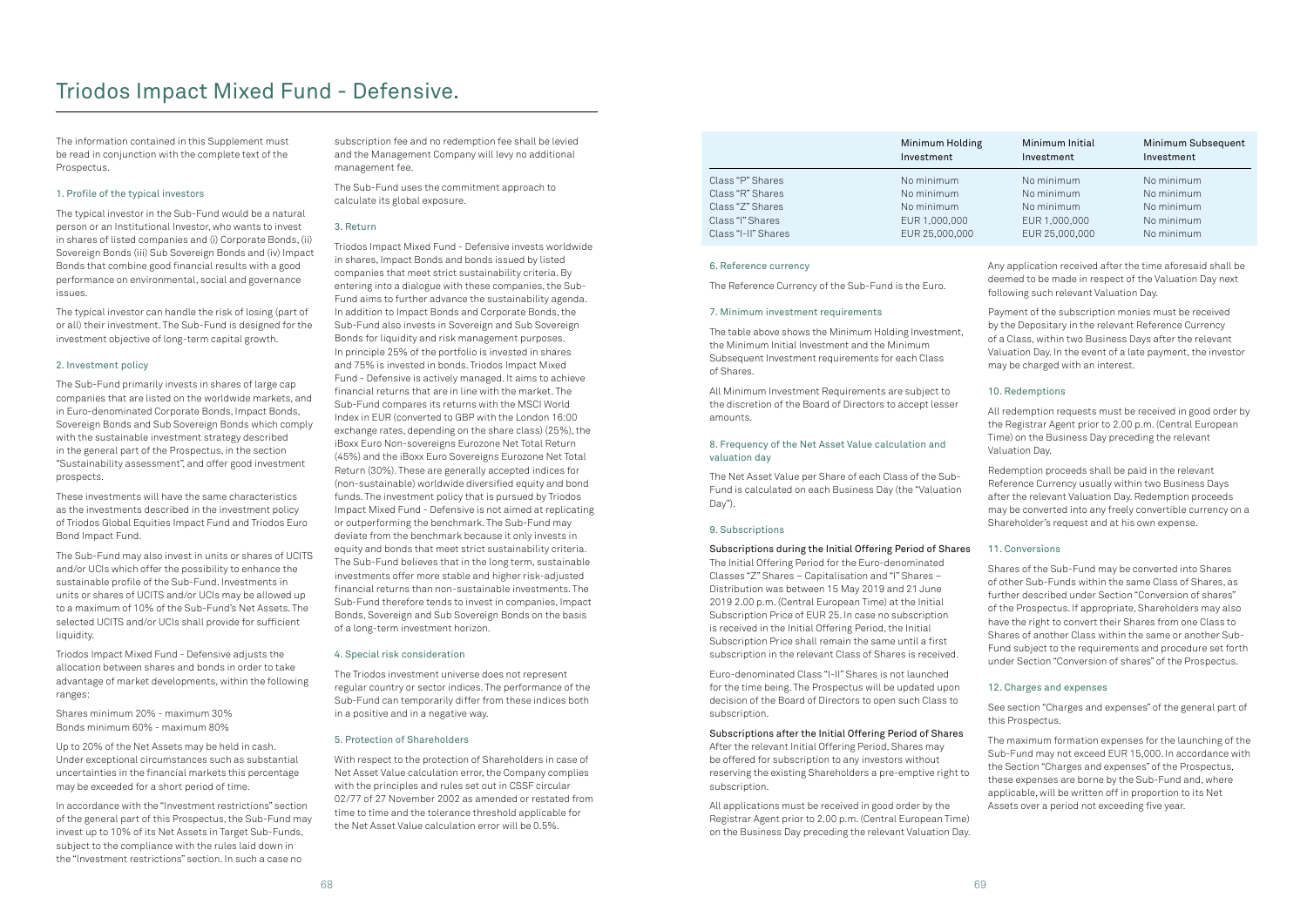The information contained in this Supplement must be read in conjunction with the complete text of the Prospectus.

### 1. Profile of the typical investors

The typical investor in the Sub-Fund would be a natural person or an Institutional Investor, who wants to invest in shares of listed companies and (i) Corporate Bonds, (ii) Sovereign Bonds (iii) Sub Sovereign Bonds and (iv) Impact Bonds that combine good financial results with a good performance on environmental, social and governance issues.

The typical investor can handle the risk of losing (part of or all) their investment. The Sub-Fund is designed for the investment objective of long-term capital growth.

### 2. Investment policy

The Sub-Fund primarily invests in shares of large cap companies that are listed on the worldwide markets, and in Euro-denominated Corporate Bonds, Impact Bonds, Sovereign Bonds and Sub Sovereign Bonds which comply with the sustainable investment strategy described in the general part of the Prospectus, in the section "Sustainability assessment", and offer good investment prospects.

These investments will have the same characteristics as the investments described in the investment policy of Triodos Global Equities Impact Fund and Triodos Euro Bond Impact Fund.

The Sub-Fund may also invest in units or shares of UCITS and/or UCIs which offer the possibility to enhance the sustainable profile of the Sub-Fund. Investments in units or shares of UCITS and/or UCIs may be allowed up to a maximum of 10% of the Sub-Fund's Net Assets. The selected UCITS and/or UCIs shall provide for sufficient liquidity.

Triodos Impact Mixed Fund - Defensive adjusts the allocation between shares and bonds in order to take advantage of market developments, within the following ranges:

Shares minimum 20% - maximum 30% Bonds minimum 60% - maximum 80%

Up to 20% of the Net Assets may be held in cash. Under exceptional circumstances such as substantial uncertainties in the financial markets this percentage may be exceeded for a short period of time.

In accordance with the "Investment restrictions" section of the general part of this Prospectus, the Sub-Fund may invest up to 10% of its Net Assets in Target Sub-Funds, subject to the compliance with the rules laid down in the "Investment restrictions" section. In such a case no

subscription fee and no redemption fee shall be levied and the Management Company will levy no additional management fee.

The Sub-Fund uses the commitment approach to calculate its global exposure.

### 3. Return

Triodos Impact Mixed Fund - Defensive invests worldwide in shares, Impact Bonds and bonds issued by listed companies that meet strict sustainability criteria. By entering into a dialogue with these companies, the Sub-Fund aims to further advance the sustainability agenda. In addition to Impact Bonds and Corporate Bonds, the Sub-Fund also invests in Sovereign and Sub Sovereign Bonds for liquidity and risk management purposes. In principle 25% of the portfolio is invested in shares and 75% is invested in bonds. Triodos Impact Mixed Fund - Defensive is actively managed. It aims to achieve financial returns that are in line with the market. The Sub-Fund compares its returns with the MSCI World Index in EUR (converted to GBP with the London 16:00 exchange rates, depending on the share class) (25%), the iBoxx Euro Non-sovereigns Eurozone Net Total Return (45%) and the iBoxx Euro Sovereigns Eurozone Net Total Return (30%). These are generally accepted indices for (non-sustainable) worldwide diversified equity and bond funds. The investment policy that is pursued by Triodos Impact Mixed Fund - Defensive is not aimed at replicating or outperforming the benchmark. The Sub-Fund may deviate from the benchmark because it only invests in equity and bonds that meet strict sustainability criteria. The Sub-Fund believes that in the long term, sustainable investments offer more stable and higher risk-adjusted financial returns than non-sustainable investments. The Sub-Fund therefore tends to invest in companies, Impact Bonds, Sovereign and Sub Sovereign Bonds on the basis of a long-term investment horizon.

#### 4. Special risk consideration

The Triodos investment universe does not represent regular country or sector indices. The performance of the Sub-Fund can temporarily differ from these indices both in a positive and in a negative way.

### 5. Protection of Shareholders

With respect to the protection of Shareholders in case of Net Asset Value calculation error, the Company complies with the principles and rules set out in CSSF circular 02/77 of 27 November 2002 as amended or restated from time to time and the tolerance threshold applicable for the Net Asset Value calculation error will be 0.5%.

### 6. Reference currency

The Reference Currency of the Sub-Fund is the Euro.

### 7. Minimum investment requirements

The table above shows the Minimum Holding Investment, the Minimum Initial Investment and the Minimum Subsequent Investment requirements for each Class of Shares.

All Minimum Investment Requirements are subject to the discretion of the Board of Directors to accept lesser amounts.

### 8. Frequency of the Net Asset Value calculation and valuation day

The Net Asset Value per Share of each Class of the Sub-Fund is calculated on each Business Day (the "Valuation Day").

#### 9. Subscriptions

Subscriptions during the Initial Offering Period of Shares The Initial Offering Period for the Euro-denominated Classes "Z" Shares – Capitalisation and "I" Shares – Distribution was between 15 May 2019 and 21 June 2019 2.00 p.m. (Central European Time) at the Initial Subscription Price of EUR 25. In case no subscription is received in the Initial Offering Period, the Initial Subscription Price shall remain the same until a first subscription in the relevant Class of Shares is received.

Euro-denominated Class "I-II" Shares is not launched for the time being. The Prospectus will be updated upon decision of the Board of Directors to open such Class to subscription.

### Subscriptions after the Initial Offering Period of Shares

After the relevant Initial Offering Period, Shares may be offered for subscription to any investors without reserving the existing Shareholders a pre-emptive right to subscription.

All applications must be received in good order by the Registrar Agent prior to 2.00 p.m. (Central European Time) on the Business Day preceding the relevant Valuation Day. Any application received after the time aforesaid shall be deemed to be made in respect of the Valuation Day next following such relevant Valuation Day.

Payment of the subscription monies must be received by the Depositary in the relevant Reference Currency of a Class, within two Business Days after the relevant Valuation Day. In the event of a late payment, the investor may be charged with an interest.

### 10. Redemptions

All redemption requests must be received in good order by the Registrar Agent prior to 2.00 p.m. (Central European Time) on the Business Day preceding the relevant Valuation Day.

Redemption proceeds shall be paid in the relevant Reference Currency usually within two Business Days after the relevant Valuation Day. Redemption proceeds may be converted into any freely convertible currency on a Shareholder's request and at his own expense.

### 11. Conversions

Shares of the Sub-Fund may be converted into Shares of other Sub-Funds within the same Class of Shares, as further described under Section "Conversion of shares" of the Prospectus. If appropriate, Shareholders may also have the right to convert their Shares from one Class to Shares of another Class within the same or another Sub-Fund subject to the requirements and procedure set forth under Section "Conversion of shares" of the Prospectus.

### 12. Charges and expenses

See section "Charges and expenses" of the general part of this Prospectus.

The maximum formation expenses for the launching of the Sub-Fund may not exceed EUR 15,000. In accordance with the Section "Charges and expenses" of the Prospectus, these expenses are borne by the Sub-Fund and, where applicable, will be written off in proportion to its Net Assets over a period not exceeding five year.

|                     | Minimum Holding<br>Investment | Minimum Initial<br>Investment | Minimum Subsequent<br>Investment |
|---------------------|-------------------------------|-------------------------------|----------------------------------|
| Class "P" Shares    | No minimum                    | No minimum                    | No minimum                       |
| Class "R" Shares    | No minimum                    | No minimum                    | No minimum                       |
| Class "Z" Shares    | No minimum                    | No minimum                    | No minimum                       |
| Class "I" Shares    | EUR 1,000,000                 | EUR 1,000,000                 | No minimum                       |
| Class "I-II" Shares | EUR 25,000,000                | EUR 25,000,000                | No minimum                       |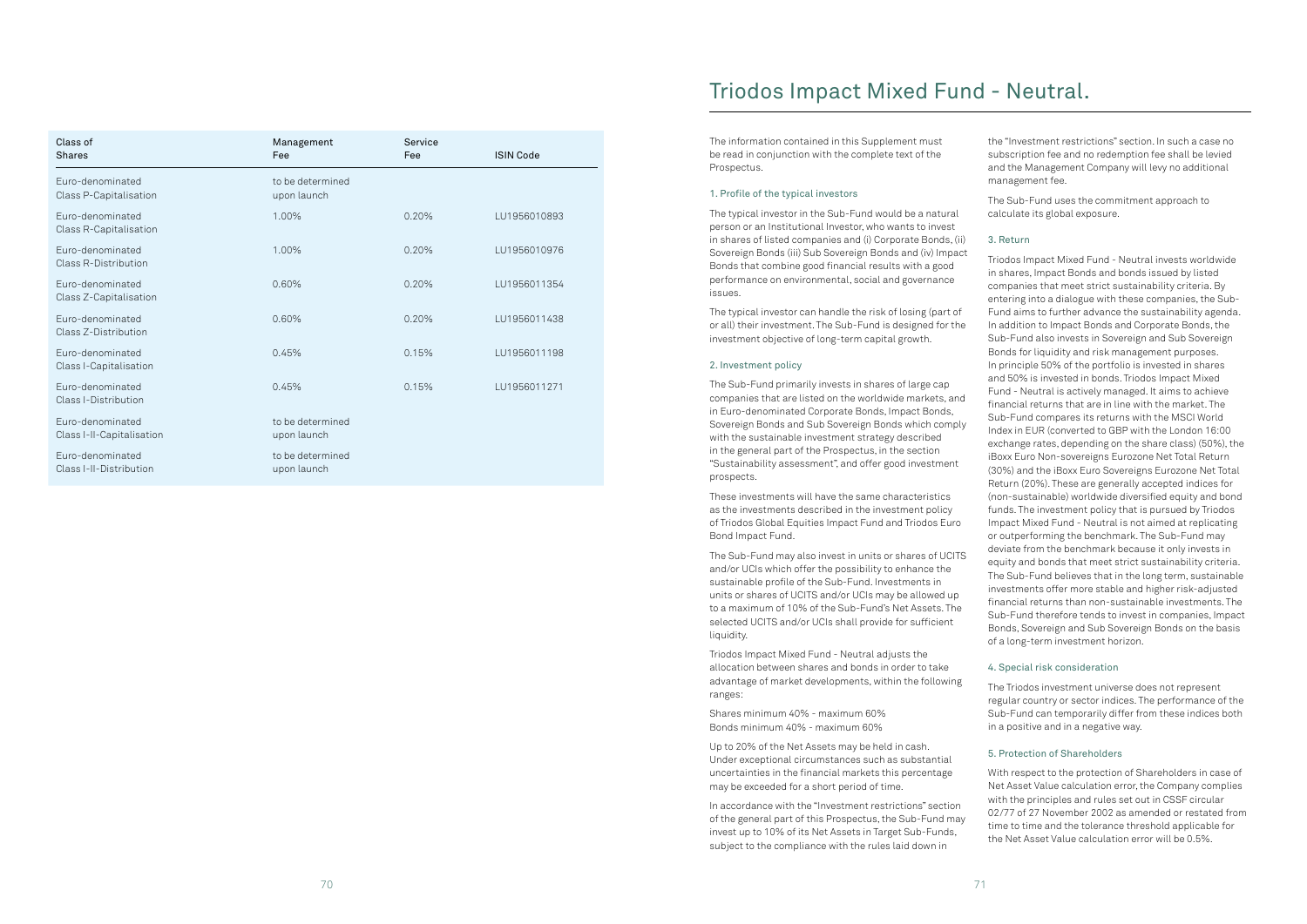| Class of<br><b>Shares</b>                     | Management<br>Fee               | Service<br>Fee | <b>ISIN Code</b> |
|-----------------------------------------------|---------------------------------|----------------|------------------|
| Euro-denominated<br>Class P-Capitalisation    | to be determined<br>upon launch |                |                  |
| Euro-denominated<br>Class R-Capitalisation    | 1.00%                           | 0.20%          | LU1956010893     |
| Euro-denominated<br>Class R-Distribution      | 1.00%                           | 0.20%          | LU1956010976     |
| Euro-denominated<br>Class Z-Capitalisation    | 0.60%                           | 0.20%          | LU1956011354     |
| Euro-denominated<br>Class Z-Distribution      | 0.60%                           | 0.20%          | LU1956011438     |
| Euro-denominated<br>Class I-Capitalisation    | 0.45%                           | 0.15%          | LU1956011198     |
| Euro-denominated<br>Class I-Distribution      | 0.45%                           | 0.15%          | LU1956011271     |
| Euro-denominated<br>Class I-II-Capitalisation | to be determined<br>upon launch |                |                  |
| Euro-denominated<br>Class I-II-Distribution   | to be determined<br>upon launch |                |                  |

The information contained in this Supplement must be read in conjunction with the complete text of the Prospectus.

### 1. Profile of the typical investors

The typical investor in the Sub-Fund would be a natural person or an Institutional Investor, who wants to invest in shares of listed companies and (i) Corporate Bonds, (ii) Sovereign Bonds (iii) Sub Sovereign Bonds and (iv) Impact Bonds that combine good financial results with a good performance on environmental, social and governance issues.

The typical investor can handle the risk of losing (part of or all) their investment. The Sub-Fund is designed for the investment objective of long-term capital growth.

### 2. Investment policy

The Sub-Fund primarily invests in shares of large cap companies that are listed on the worldwide markets, and in Euro-denominated Corporate Bonds, Impact Bonds, Sovereign Bonds and Sub Sovereign Bonds which comply with the sustainable investment strategy described in the general part of the Prospectus, in the section "Sustainability assessment", and offer good investment prospects.

These investments will have the same characteristics as the investments described in the investment policy of Triodos Global Equities Impact Fund and Triodos Euro Bond Impact Fund.

The Sub-Fund may also invest in units or shares of UCITS and/or UCIs which offer the possibility to enhance the sustainable profile of the Sub-Fund. Investments in units or shares of UCITS and/or UCIs may be allowed up to a maximum of 10% of the Sub-Fund's Net Assets. The selected UCITS and/or UCIs shall provide for sufficient liquidity.

Triodos Impact Mixed Fund - Neutral adjusts the allocation between shares and bonds in order to take advantage of market developments, within the following ranges:

Shares minimum 40% - maximum 60% Bonds minimum 40% - maximum 60%

Up to 20% of the Net Assets may be held in cash. Under exceptional circumstances such as substantial uncertainties in the financial markets this percentage may be exceeded for a short period of time.

In accordance with the "Investment restrictions" section of the general part of this Prospectus, the Sub-Fund may invest up to 10% of its Net Assets in Target Sub-Funds, subject to the compliance with the rules laid down in

the "Investment restrictions" section. In such a case no subscription fee and no redemption fee shall be levied and the Management Company will levy no additional management fee.

The Sub-Fund uses the commitment approach to calculate its global exposure.

### 3. Return

Triodos Impact Mixed Fund - Neutral invests worldwide in shares, Impact Bonds and bonds issued by listed companies that meet strict sustainability criteria. By entering into a dialogue with these companies, the Sub-Fund aims to further advance the sustainability agenda. In addition to Impact Bonds and Corporate Bonds, the Sub-Fund also invests in Sovereign and Sub Sovereign Bonds for liquidity and risk management purposes. In principle 50% of the portfolio is invested in shares and 50% is invested in bonds. Triodos Impact Mixed Fund - Neutral is actively managed. It aims to achieve financial returns that are in line with the market. The Sub-Fund compares its returns with the MSCI World Index in EUR (converted to GBP with the London 16:00 exchange rates, depending on the share class) (50%), the iBoxx Euro Non-sovereigns Eurozone Net Total Return (30%) and the iBoxx Euro Sovereigns Eurozone Net Total Return (20%). These are generally accepted indices for (non-sustainable) worldwide diversified equity and bond funds. The investment policy that is pursued by Triodos Impact Mixed Fund - Neutral is not aimed at replicating or outperforming the benchmark. The Sub-Fund may deviate from the benchmark because it only invests in equity and bonds that meet strict sustainability criteria. The Sub-Fund believes that in the long term, sustainable investments offer more stable and higher risk-adjusted financial returns than non-sustainable investments. The Sub-Fund therefore tends to invest in companies, Impact Bonds, Sovereign and Sub Sovereign Bonds on the basis of a long-term investment horizon.

### 4. Special risk consideration

The Triodos investment universe does not represent regular country or sector indices. The performance of the Sub-Fund can temporarily differ from these indices both in a positive and in a negative way.

### 5. Protection of Shareholders

With respect to the protection of Shareholders in case of Net Asset Value calculation error, the Company complies with the principles and rules set out in CSSF circular 02/77 of 27 November 2002 as amended or restated from time to time and the tolerance threshold applicable for the Net Asset Value calculation error will be 0.5%.

## Triodos Impact Mixed Fund - Neutral.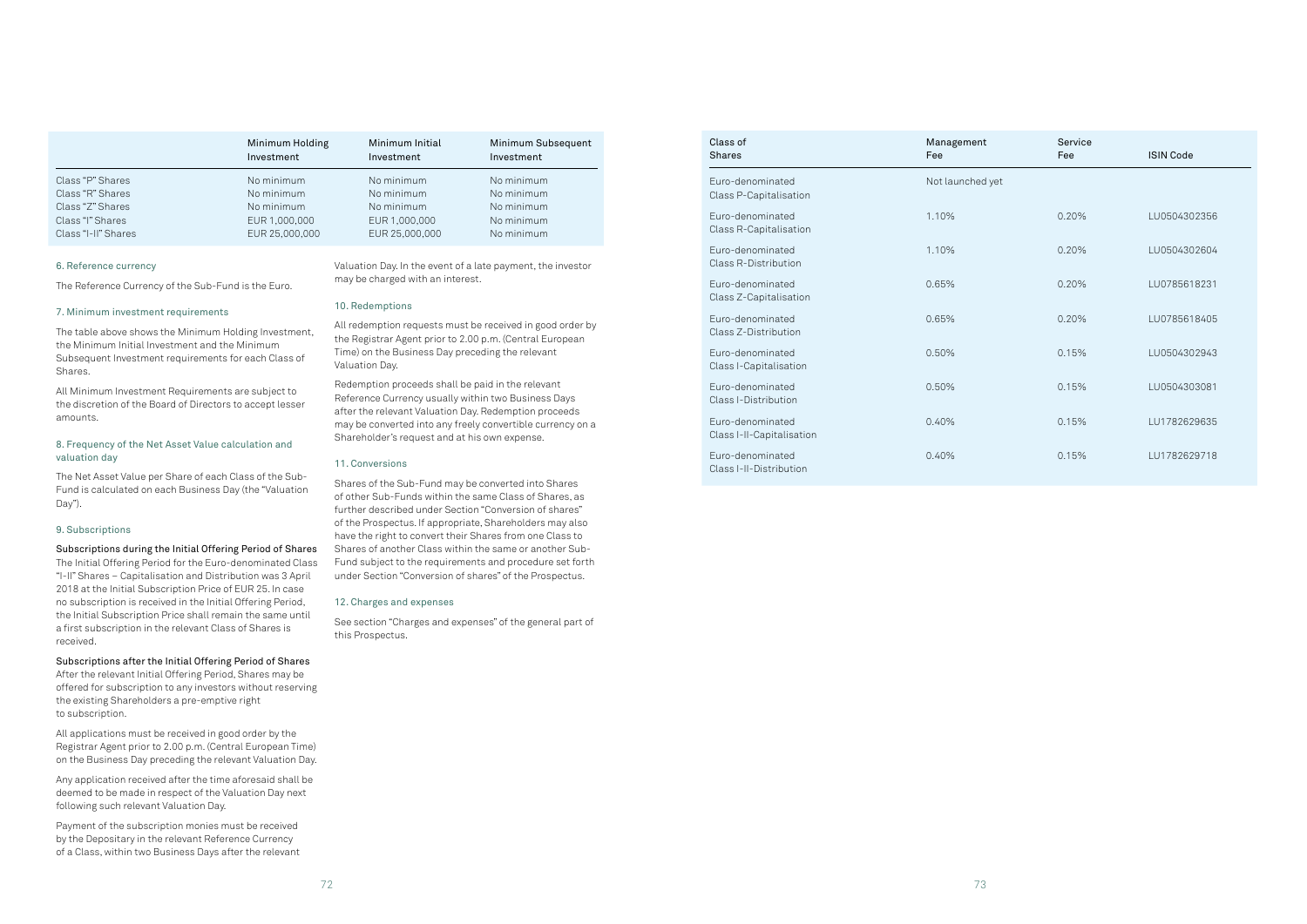### 6. Reference currency

The Reference Currency of the Sub-Fund is the Euro.

#### 7. Minimum investment requirements

The table above shows the Minimum Holding Investment, the Minimum Initial Investment and the Minimum Subsequent Investment requirements for each Class of Shares.

All Minimum Investment Requirements are subject to the discretion of the Board of Directors to accept lesser amounts.

### 8. Frequency of the Net Asset Value calculation and valuation day

The Net Asset Value per Share of each Class of the Sub-Fund is calculated on each Business Day (the "Valuation Day").

### 9. Subscriptions

Subscriptions during the Initial Offering Period of Shares The Initial Offering Period for the Euro-denominated Class "I-II" Shares – Capitalisation and Distribution was 3 April 2018 at the Initial Subscription Price of EUR 25. In case no subscription is received in the Initial Offering Period, the Initial Subscription Price shall remain the same until a first subscription in the relevant Class of Shares is received.

### Subscriptions after the Initial Offering Period of Shares

After the relevant Initial Offering Period, Shares may be offered for subscription to any investors without reserving the existing Shareholders a pre-emptive right to subscription.

All applications must be received in good order by the Registrar Agent prior to 2.00 p.m. (Central European Time) on the Business Day preceding the relevant Valuation Day.

Any application received after the time aforesaid shall be deemed to be made in respect of the Valuation Day next following such relevant Valuation Day.

Payment of the subscription monies must be received by the Depositary in the relevant Reference Currency of a Class, within two Business Days after the relevant Valuation Day. In the event of a late payment, the investor may be charged with an interest.

### 10. Redemptions

All redemption requests must be received in good order by the Registrar Agent prior to 2.00 p.m. (Central European Time) on the Business Day preceding the relevant Valuation Day.

Redemption proceeds shall be paid in the relevant Reference Currency usually within two Business Days after the relevant Valuation Day. Redemption proceeds may be converted into any freely convertible currency on a Shareholder's request and at his own expense.

### 11. Conversions

Shares of the Sub-Fund may be converted into Shares of other Sub-Funds within the same Class of Shares, as further described under Section "Conversion of shares" of the Prospectus. If appropriate, Shareholders may also have the right to convert their Shares from one Class to Shares of another Class within the same or another Sub-Fund subject to the requirements and procedure set forth under Section "Conversion of shares" of the Prospectus.

#### 12. Charges and expenses

See section "Charges and expenses" of the general part of this Prospectus.

|                     | Minimum Holding<br>Investment | Minimum Initial<br>Investment | Minimum Subsequent<br>Investment |
|---------------------|-------------------------------|-------------------------------|----------------------------------|
| Class "P" Shares    | No minimum                    | No minimum                    | No minimum                       |
| Class "R" Shares    | No minimum                    | No minimum                    | No minimum                       |
| Class "Z" Shares    | No minimum                    | No minimum                    | No minimum                       |
| Class "I" Shares    | EUR 1,000,000                 | EUR 1,000,000                 | No minimum                       |
| Class "I-II" Shares | EUR 25,000,000                | EUR 25,000,000                | No minimum                       |

| Class of<br><b>Shares</b>                       | Management<br>Fee | Service<br>Fee | <b>ISIN Code</b> |
|-------------------------------------------------|-------------------|----------------|------------------|
| Euro-denominated<br>Class P-Capitalisation      | Not launched yet  |                |                  |
| Euro-denominated<br>Class R-Capitalisation      | 1.10%             | 0.20%          | LU0504302356     |
| Euro-denominated<br><b>Class R-Distribution</b> | 1.10%             | 0.20%          | LU0504302604     |
| Euro-denominated<br>Class Z-Capitalisation      | 0.65%             | 0.20%          | LU0785618231     |
| Euro-denominated<br>Class Z-Distribution        | 0.65%             | 0.20%          | LU0785618405     |
| Euro-denominated<br>Class I-Capitalisation      | 0.50%             | 0.15%          | LU0504302943     |
| Euro-denominated<br>Class I-Distribution        | 0.50%             | 0.15%          | LU0504303081     |
| Euro-denominated<br>Class I-II-Capitalisation   | 0.40%             | 0.15%          | LU1782629635     |
| Euro-denominated<br>Class I-II-Distribution     | 0.40%             | 0.15%          | LU1782629718     |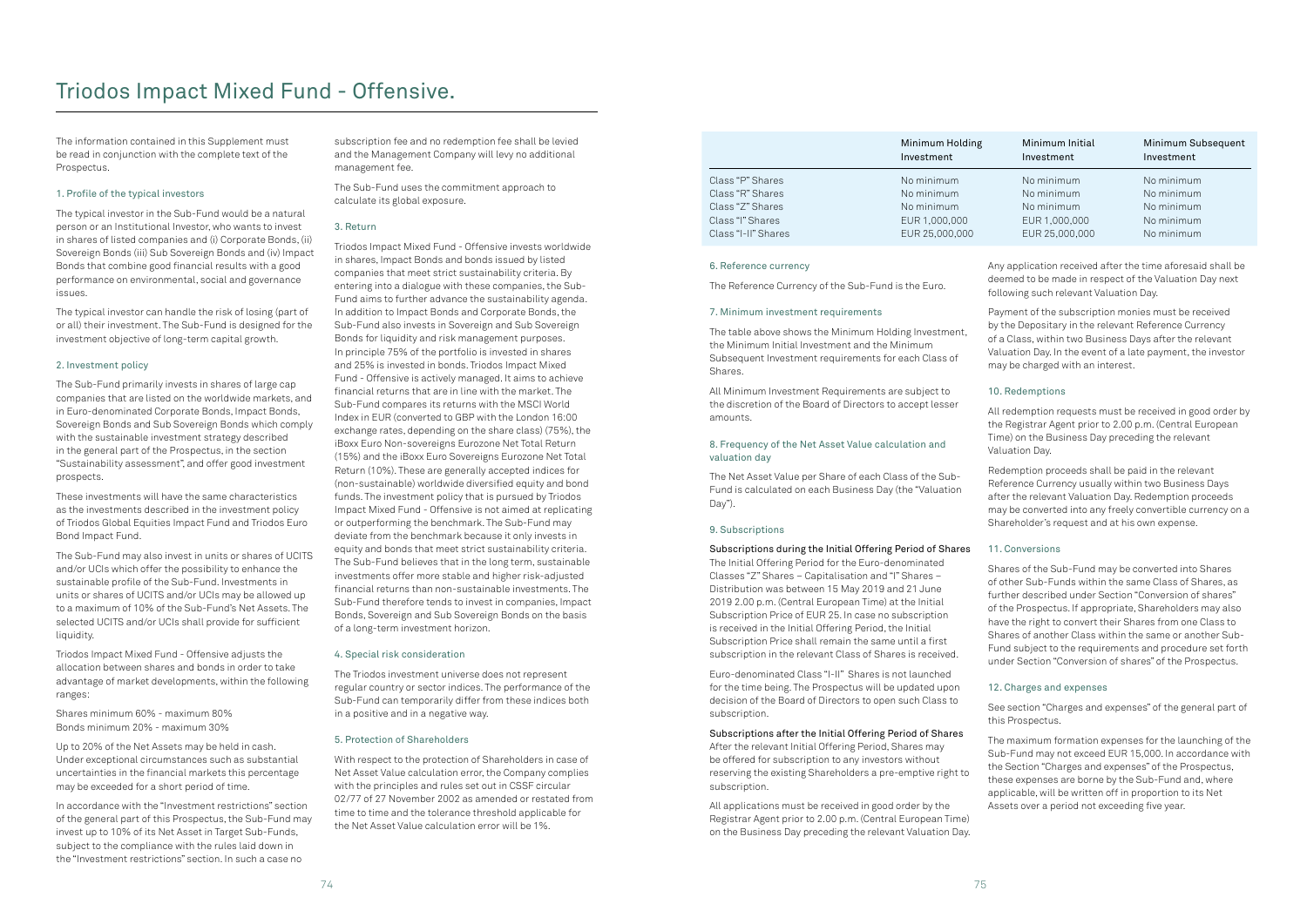The information contained in this Supplement must be read in conjunction with the complete text of the Prospectus.

### 1. Profile of the typical investors

The typical investor in the Sub-Fund would be a natural person or an Institutional Investor, who wants to invest in shares of listed companies and (i) Corporate Bonds, (ii) Sovereign Bonds (iii) Sub Sovereign Bonds and (iv) Impact Bonds that combine good financial results with a good performance on environmental, social and governance issues.

The typical investor can handle the risk of losing (part of or all) their investment. The Sub-Fund is designed for the investment objective of long-term capital growth.

### 2. Investment policy

The Sub-Fund primarily invests in shares of large cap companies that are listed on the worldwide markets, and in Euro-denominated Corporate Bonds, Impact Bonds, Sovereign Bonds and Sub Sovereign Bonds which comply with the sustainable investment strategy described in the general part of the Prospectus, in the section "Sustainability assessment", and offer good investment prospects.

These investments will have the same characteristics as the investments described in the investment policy of Triodos Global Equities Impact Fund and Triodos Euro Bond Impact Fund.

The Sub-Fund may also invest in units or shares of UCITS and/or UCIs which offer the possibility to enhance the sustainable profile of the Sub-Fund. Investments in units or shares of UCITS and/or UCIs may be allowed up to a maximum of 10% of the Sub-Fund's Net Assets. The selected UCITS and/or UCIs shall provide for sufficient liquidity.

Triodos Impact Mixed Fund - Offensive adjusts the allocation between shares and bonds in order to take advantage of market developments, within the following ranges:

Shares minimum 60% - maximum 80% Bonds minimum 20% - maximum 30%

Up to 20% of the Net Assets may be held in cash. Under exceptional circumstances such as substantial uncertainties in the financial markets this percentage may be exceeded for a short period of time.

In accordance with the "Investment restrictions" section of the general part of this Prospectus, the Sub-Fund may invest up to 10% of its Net Asset in Target Sub-Funds, subject to the compliance with the rules laid down in the "Investment restrictions" section. In such a case no

subscription fee and no redemption fee shall be levied and the Management Company will levy no additional management fee.

The Sub-Fund uses the commitment approach to calculate its global exposure.

### 3. Return

Triodos Impact Mixed Fund - Offensive invests worldwide in shares, Impact Bonds and bonds issued by listed companies that meet strict sustainability criteria. By entering into a dialogue with these companies, the Sub-Fund aims to further advance the sustainability agenda. In addition to Impact Bonds and Corporate Bonds, the Sub-Fund also invests in Sovereign and Sub Sovereign Bonds for liquidity and risk management purposes. In principle 75% of the portfolio is invested in shares and 25% is invested in bonds. Triodos Impact Mixed Fund - Offensive is actively managed. It aims to achieve financial returns that are in line with the market. The Sub-Fund compares its returns with the MSCI World Index in EUR (converted to GBP with the London 16:00 exchange rates, depending on the share class) (75%), the iBoxx Euro Non-sovereigns Eurozone Net Total Return (15%) and the iBoxx Euro Sovereigns Eurozone Net Total Return (10%). These are generally accepted indices for (non-sustainable) worldwide diversified equity and bond funds. The investment policy that is pursued by Triodos Impact Mixed Fund - Offensive is not aimed at replicating or outperforming the benchmark. The Sub-Fund may deviate from the benchmark because it only invests in equity and bonds that meet strict sustainability criteria. The Sub-Fund believes that in the long term, sustainable investments offer more stable and higher risk-adjusted financial returns than non-sustainable investments. The Sub-Fund therefore tends to invest in companies, Impact Bonds, Sovereign and Sub Sovereign Bonds on the basis of a long-term investment horizon.

### 4. Special risk consideration

The Triodos investment universe does not represent regular country or sector indices. The performance of the Sub-Fund can temporarily differ from these indices both in a positive and in a negative way.

### 5. Protection of Shareholders

With respect to the protection of Shareholders in case of Net Asset Value calculation error, the Company complies with the principles and rules set out in CSSF circular 02/77 of 27 November 2002 as amended or restated from time to time and the tolerance threshold applicable for the Net Asset Value calculation error will be 1%.

### 6. Reference currency

The Reference Currency of the Sub-Fund is the Euro.

### 7. Minimum investment requirements

The table above shows the Minimum Holding Investment, the Minimum Initial Investment and the Minimum Subsequent Investment requirements for each Class of Shares.

All Minimum Investment Requirements are subject to the discretion of the Board of Directors to accept lesser amounts.

### 8. Frequency of the Net Asset Value calculation and valuation day

The Net Asset Value per Share of each Class of the Sub-Fund is calculated on each Business Day (the "Valuation Day").

### 9. Subscriptions

Subscriptions during the Initial Offering Period of Shares The Initial Offering Period for the Euro-denominated Classes "Z" Shares – Capitalisation and "I" Shares – Distribution was between 15 May 2019 and 21 June 2019 2.00 p.m. (Central European Time) at the Initial Subscription Price of EUR 25. In case no subscription is received in the Initial Offering Period, the Initial Subscription Price shall remain the same until a first subscription in the relevant Class of Shares is received.

Euro-denominated Class "I-II" Shares is not launched for the time being. The Prospectus will be updated upon decision of the Board of Directors to open such Class to subscription.

### Subscriptions after the Initial Offering Period of Shares

After the relevant Initial Offering Period, Shares may be offered for subscription to any investors without reserving the existing Shareholders a pre-emptive right to subscription.

All applications must be received in good order by the Registrar Agent prior to 2.00 p.m. (Central European Time) on the Business Day preceding the relevant Valuation Day. Any application received after the time aforesaid shall be deemed to be made in respect of the Valuation Day next following such relevant Valuation Day.

Payment of the subscription monies must be received by the Depositary in the relevant Reference Currency of a Class, within two Business Days after the relevant Valuation Day. In the event of a late payment, the investor may be charged with an interest.

### 10. Redemptions

All redemption requests must be received in good order by the Registrar Agent prior to 2.00 p.m. (Central European Time) on the Business Day preceding the relevant Valuation Day.

Redemption proceeds shall be paid in the relevant Reference Currency usually within two Business Days after the relevant Valuation Day. Redemption proceeds may be converted into any freely convertible currency on a Shareholder's request and at his own expense.

### 11. Conversions

Shares of the Sub-Fund may be converted into Shares of other Sub-Funds within the same Class of Shares, as further described under Section "Conversion of shares" of the Prospectus. If appropriate, Shareholders may also have the right to convert their Shares from one Class to Shares of another Class within the same or another Sub-Fund subject to the requirements and procedure set forth under Section "Conversion of shares" of the Prospectus.

### 12. Charges and expenses

See section "Charges and expenses" of the general part of this Prospectus.

The maximum formation expenses for the launching of the Sub-Fund may not exceed EUR 15,000. In accordance with the Section "Charges and expenses" of the Prospectus, these expenses are borne by the Sub-Fund and, where applicable, will be written off in proportion to its Net Assets over a period not exceeding five year.

|                     | Minimum Holding<br>Investment | Minimum Initial<br>Investment | Minimum Subsequent<br>Investment |
|---------------------|-------------------------------|-------------------------------|----------------------------------|
| Class "P" Shares    | No minimum                    | No minimum                    | No minimum                       |
| Class "R" Shares    | No minimum                    | No minimum                    | No minimum                       |
| Class "Z" Shares    | No minimum                    | No minimum                    | No minimum                       |
| Class "I" Shares    | EUR 1,000,000                 | EUR 1,000,000                 | No minimum                       |
| Class "I-II" Shares | EUR 25,000,000                | EUR 25,000,000                | No minimum                       |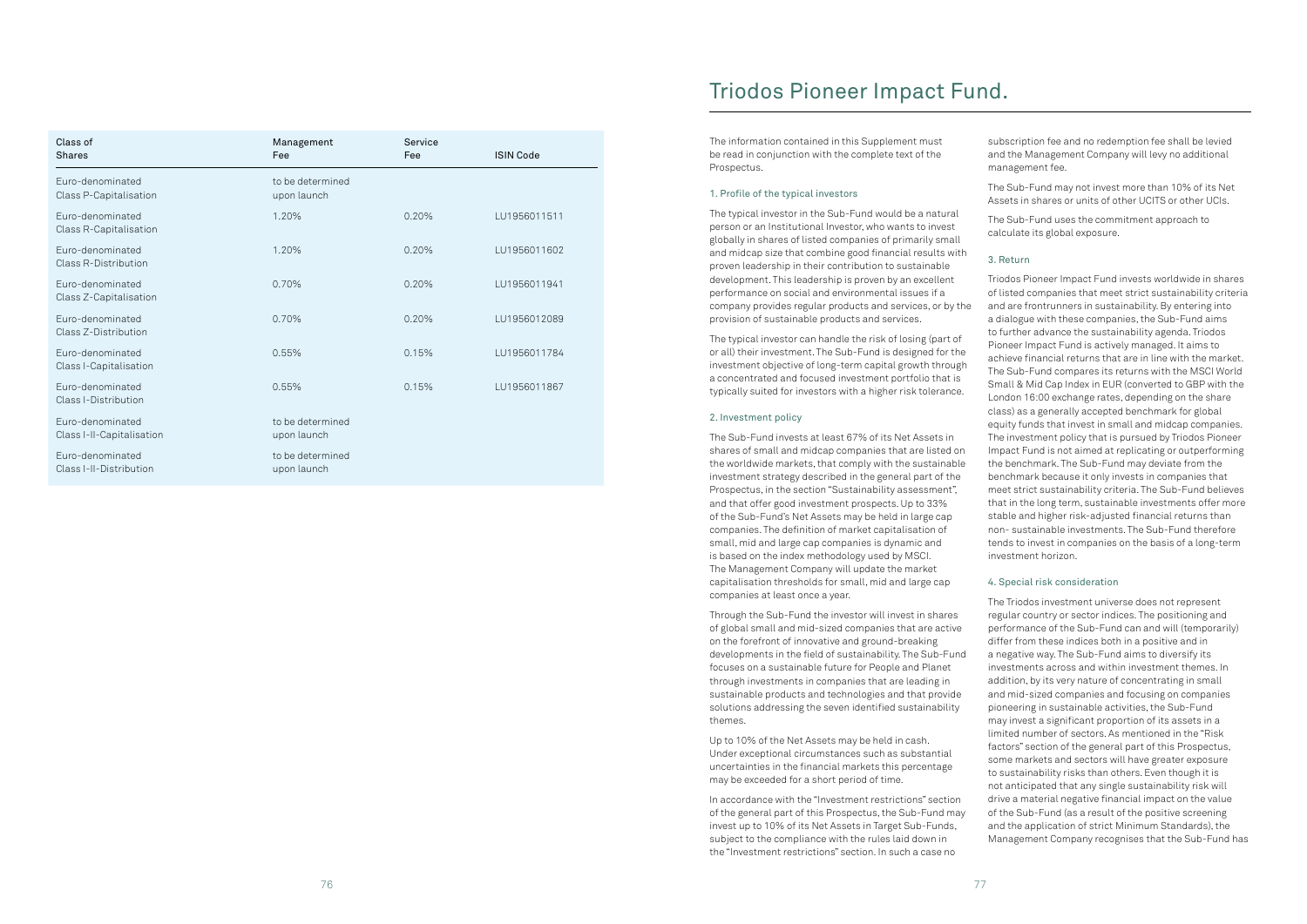| Class of<br><b>Shares</b>                     | Management<br>Fee               | Service<br>Fee | <b>ISIN Code</b> |
|-----------------------------------------------|---------------------------------|----------------|------------------|
| Euro-denominated<br>Class P-Capitalisation    | to be determined<br>upon launch |                |                  |
| Euro-denominated<br>Class R-Capitalisation    | 1.20%                           | 0.20%          | LU1956011511     |
| Euro-denominated<br>Class R-Distribution      | 1.20%                           | 0.20%          | LU1956011602     |
| Euro-denominated<br>Class Z-Capitalisation    | 0.70%                           | 0.20%          | LU1956011941     |
| Euro-denominated<br>Class Z-Distribution      | 0.70%                           | 0.20%          | LU1956012089     |
| Euro-denominated<br>Class I-Capitalisation    | 0.55%                           | 0.15%          | LU1956011784     |
| Euro-denominated<br>Class I-Distribution      | 0.55%                           | 0.15%          | LU1956011867     |
| Euro-denominated<br>Class I-II-Capitalisation | to be determined<br>upon launch |                |                  |
| Euro-denominated<br>Class I-II-Distribution   | to be determined<br>upon launch |                |                  |

The information contained in this Supplement must be read in conjunction with the complete text of the Prospectus.

### 1. Profile of the typical investors

The typical investor in the Sub-Fund would be a natural person or an Institutional Investor, who wants to invest globally in shares of listed companies of primarily small and midcap size that combine good financial results with proven leadership in their contribution to sustainable development. This leadership is proven by an excellent performance on social and environmental issues if a company provides regular products and services, or by the provision of sustainable products and services.

The typical investor can handle the risk of losing (part of or all) their investment. The Sub-Fund is designed for the investment objective of long-term capital growth through a concentrated and focused investment portfolio that is typically suited for investors with a higher risk tolerance.

#### 2. Investment policy

The Sub-Fund invests at least 67% of its Net Assets in shares of small and midcap companies that are listed on the worldwide markets, that comply with the sustainable investment strategy described in the general part of the Prospectus, in the section "Sustainability assessment", and that offer good investment prospects. Up to 33% of the Sub-Fund's Net Assets may be held in large cap companies. The definition of market capitalisation of small, mid and large cap companies is dynamic and is based on the index methodology used by MSCI. The Management Company will update the market capitalisation thresholds for small, mid and large cap companies at least once a year.

Through the Sub-Fund the investor will invest in shares of global small and mid-sized companies that are active on the forefront of innovative and ground-breaking developments in the field of sustainability. The Sub-Fund focuses on a sustainable future for People and Planet through investments in companies that are leading in sustainable products and technologies and that provide solutions addressing the seven identified sustainability themes.

Up to 10% of the Net Assets may be held in cash. Under exceptional circumstances such as substantial uncertainties in the financial markets this percentage may be exceeded for a short period of time.

In accordance with the "Investment restrictions" section of the general part of this Prospectus, the Sub-Fund may invest up to 10% of its Net Assets in Target Sub-Funds, subject to the compliance with the rules laid down in the "Investment restrictions" section. In such a case no

subscription fee and no redemption fee shall be levied and the Management Company will levy no additional management fee.

The Sub-Fund may not invest more than 10% of its Net Assets in shares or units of other UCITS or other UCIs.

The Sub-Fund uses the commitment approach to calculate its global exposure.

### 3. Return

Triodos Pioneer Impact Fund invests worldwide in shares of listed companies that meet strict sustainability criteria and are frontrunners in sustainability. By entering into a dialogue with these companies, the Sub-Fund aims to further advance the sustainability agenda. Triodos Pioneer Impact Fund is actively managed. It aims to achieve financial returns that are in line with the market. The Sub-Fund compares its returns with the MSCI World Small & Mid Cap Index in EUR (converted to GBP with the London 16:00 exchange rates, depending on the share class) as a generally accepted benchmark for global equity funds that invest in small and midcap companies. The investment policy that is pursued by Triodos Pioneer Impact Fund is not aimed at replicating or outperforming the benchmark. The Sub-Fund may deviate from the benchmark because it only invests in companies that meet strict sustainability criteria. The Sub-Fund believes that in the long term, sustainable investments offer more stable and higher risk-adjusted financial returns than non- sustainable investments. The Sub-Fund therefore tends to invest in companies on the basis of a long-term investment horizon.

### 4. Special risk consideration

The Triodos investment universe does not represent regular country or sector indices. The positioning and performance of the Sub-Fund can and will (temporarily) differ from these indices both in a positive and in a negative way. The Sub-Fund aims to diversify its investments across and within investment themes. In addition, by its very nature of concentrating in small and mid-sized companies and focusing on companies pioneering in sustainable activities, the Sub-Fund may invest a significant proportion of its assets in a limited number of sectors. As mentioned in the "Risk factors" section of the general part of this Prospectus, some markets and sectors will have greater exposure to sustainability risks than others. Even though it is not anticipated that any single sustainability risk will drive a material negative financial impact on the value of the Sub-Fund (as a result of the positive screening and the application of strict Minimum Standards), the Management Company recognises that the Sub-Fund has

## Triodos Pioneer Impact Fund.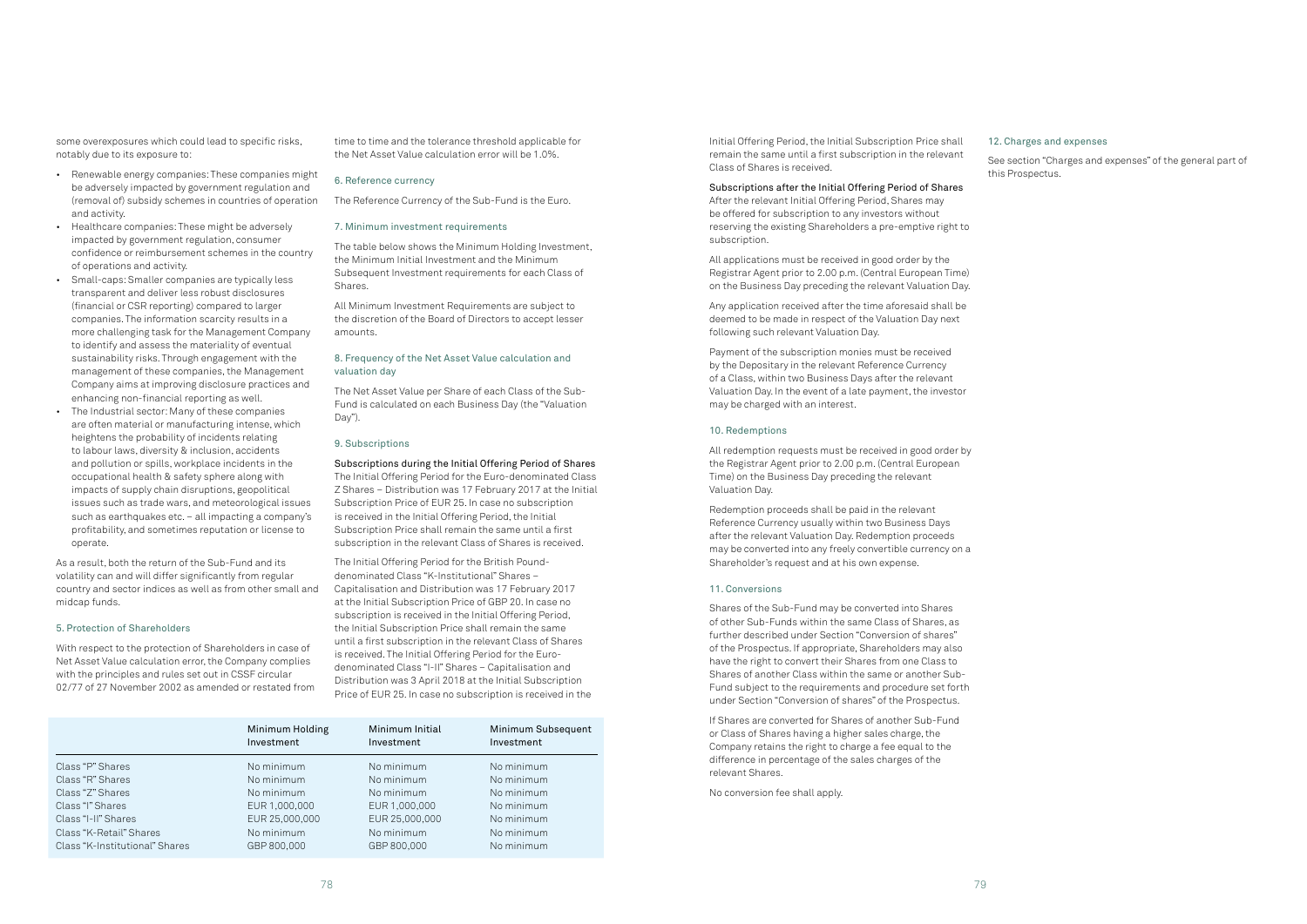some overexposures which could lead to specific risks, notably due to its exposure to:

- Renewable energy companies: These companies might be adversely impacted by government regulation and (removal of) subsidy schemes in countries of operation and activity.
- Healthcare companies: These might be adversely impacted by government regulation, consumer confidence or reimbursement schemes in the country of operations and activity.
- Small-caps: Smaller companies are typically less transparent and deliver less robust disclosures (financial or CSR reporting) compared to larger companies. The information scarcity results in a more challenging task for the Management Company to identify and assess the materiality of eventual sustainability risks. Through engagement with the management of these companies, the Management Company aims at improving disclosure practices and enhancing non-financial reporting as well.
- The Industrial sector: Many of these companies are often material or manufacturing intense, which heightens the probability of incidents relating to labour laws, diversity & inclusion, accidents and pollution or spills, workplace incidents in the occupational health & safety sphere along with impacts of supply chain disruptions, geopolitical issues such as trade wars, and meteorological issues such as earthquakes etc. – all impacting a company's profitability, and sometimes reputation or license to operate.

As a result, both the return of the Sub-Fund and its volatility can and will differ significantly from regular country and sector indices as well as from other small and midcap funds.

#### 5. Protection of Shareholders

With respect to the protection of Shareholders in case of Net Asset Value calculation error, the Company complies with the principles and rules set out in CSSF circular 02/77 of 27 November 2002 as amended or restated from time to time and the tolerance threshold applicable for the Net Asset Value calculation error will be 1.0%.

#### 6. Reference currency

The Reference Currency of the Sub-Fund is the Euro.

#### 7. Minimum investment requirements

The table below shows the Minimum Holding Investment, the Minimum Initial Investment and the Minimum Subsequent Investment requirements for each Class of Shares.

All Minimum Investment Requirements are subject to the discretion of the Board of Directors to accept lesser amounts.

### 8. Frequency of the Net Asset Value calculation and valuation day

The Net Asset Value per Share of each Class of the Sub-Fund is calculated on each Business Day (the "Valuation Day").

#### 9. Subscriptions

Subscriptions during the Initial Offering Period of Shares The Initial Offering Period for the Euro-denominated Class Z Shares – Distribution was 17 February 2017 at the Initial Subscription Price of EUR 25. In case no subscription is received in the Initial Offering Period, the Initial Subscription Price shall remain the same until a first subscription in the relevant Class of Shares is received.

The Initial Offering Period for the British Pounddenominated Class "K-Institutional" Shares – Capitalisation and Distribution was 17 February 2017 at the Initial Subscription Price of GBP 20. In case no subscription is received in the Initial Offering Period, the Initial Subscription Price shall remain the same until a first subscription in the relevant Class of Shares is received. The Initial Offering Period for the Eurodenominated Class "I-II" Shares – Capitalisation and Distribution was 3 April 2018 at the Initial Subscription Price of EUR 25. In case no subscription is received in the

|                                | Minimum Holding<br>Investment | Minimum Initial<br>Investment | Minimum Subsequent<br>Investment |
|--------------------------------|-------------------------------|-------------------------------|----------------------------------|
| Class "P" Shares               | No minimum                    | No minimum                    | No minimum                       |
| Class "R" Shares               | No minimum                    | No minimum                    | No minimum                       |
| Class "Z" Shares               | No minimum                    | No minimum                    | No minimum                       |
| Class "I" Shares               | EUR 1,000,000                 | EUR 1,000,000                 | No minimum                       |
| Class "I-II" Shares            | EUR 25,000,000                | EUR 25,000,000                | No minimum                       |
| Class "K-Retail" Shares        | No minimum                    | No minimum                    | No minimum                       |
| Class "K-Institutional" Shares | GBP 800,000                   | GBP 800,000                   | No minimum                       |

Initial Offering Period, the Initial Subscription Price shall remain the same until a first subscription in the relevant Class of Shares is received.

Subscriptions after the Initial Offering Period of Shares After the relevant Initial Offering Period, Shares may be offered for subscription to any investors without reserving the existing Shareholders a pre-emptive right to subscription.

All applications must be received in good order by the Registrar Agent prior to 2.00 p.m. (Central European Time) on the Business Day preceding the relevant Valuation Day.

Any application received after the time aforesaid shall be deemed to be made in respect of the Valuation Day next following such relevant Valuation Day.

Payment of the subscription monies must be received by the Depositary in the relevant Reference Currency of a Class, within two Business Days after the relevant Valuation Day. In the event of a late payment, the investor may be charged with an interest.

#### 10. Redemptions

All redemption requests must be received in good order by the Registrar Agent prior to 2.00 p.m. (Central European Time) on the Business Day preceding the relevant Valuation Day.

Redemption proceeds shall be paid in the relevant Reference Currency usually within two Business Days after the relevant Valuation Day. Redemption proceeds may be converted into any freely convertible currency on a Shareholder's request and at his own expense.

#### 11. Conversions

Shares of the Sub-Fund may be converted into Shares of other Sub-Funds within the same Class of Shares, as further described under Section "Conversion of shares" of the Prospectus. If appropriate, Shareholders may also have the right to convert their Shares from one Class to Shares of another Class within the same or another Sub-Fund subject to the requirements and procedure set forth under Section "Conversion of shares" of the Prospectus.

If Shares are converted for Shares of another Sub-Fund or Class of Shares having a higher sales charge, the Company retains the right to charge a fee equal to the difference in percentage of the sales charges of the relevant Shares.

No conversion fee shall apply.

#### 12. Charges and expenses

See section "Charges and expenses" of the general part of this Prospectus.